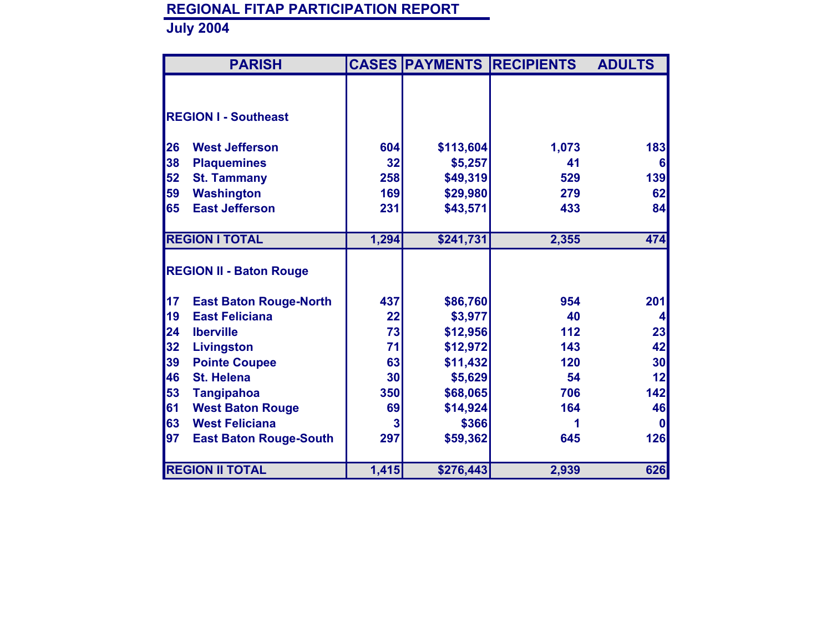|    | <b>PARISH</b>                  |                 |           | <b>CASES PAYMENTS RECIPIENTS</b> | <b>ADULTS</b>   |
|----|--------------------------------|-----------------|-----------|----------------------------------|-----------------|
|    |                                |                 |           |                                  |                 |
|    | <b>REGION I - Southeast</b>    |                 |           |                                  |                 |
|    |                                |                 |           |                                  |                 |
| 26 | <b>West Jefferson</b>          | 604             | \$113,604 | 1,073                            | 183             |
| 38 | <b>Plaquemines</b>             | 32              | \$5,257   | 41                               | 6               |
| 52 | <b>St. Tammany</b>             | 258             | \$49,319  | 529                              | 139             |
| 59 | <b>Washington</b>              | 169             | \$29,980  | 279                              | 62              |
| 65 | <b>East Jefferson</b>          | 231             | \$43,571  | 433                              | 84              |
|    |                                |                 |           |                                  |                 |
|    | <b>REGION I TOTAL</b>          | 1,294           | \$241,731 | 2,355                            | 474             |
|    |                                |                 |           |                                  |                 |
|    | <b>REGION II - Baton Rouge</b> |                 |           |                                  |                 |
| 17 | <b>East Baton Rouge-North</b>  | 437             | \$86,760  | 954                              | 201             |
| 19 | <b>East Feliciana</b>          | 22              | \$3,977   | 40                               | 4               |
| 24 | <b>Iberville</b>               | 73              | \$12,956  | 112                              | 23              |
| 32 | Livingston                     | 71              | \$12,972  | 143                              | 42              |
| 39 | <b>Pointe Coupee</b>           | 63              | \$11,432  | 120                              | 30 <sub>l</sub> |
| 46 | <b>St. Helena</b>              | 30 <sub>l</sub> | \$5,629   | 54                               | 12              |
| 53 | <b>Tangipahoa</b>              | 350             | \$68,065  | 706                              | 142             |
| 61 | <b>West Baton Rouge</b>        | 69              | \$14,924  | 164                              | 46              |
| 63 | <b>West Feliciana</b>          | 3               | \$366     |                                  | $\bf{0}$        |
| 97 | <b>East Baton Rouge-South</b>  | 297             | \$59,362  | 645                              | <b>126</b>      |
|    |                                |                 |           |                                  |                 |
|    | <b>REGION II TOTAL</b>         | 1,415           | \$276,443 | 2,939                            | 626             |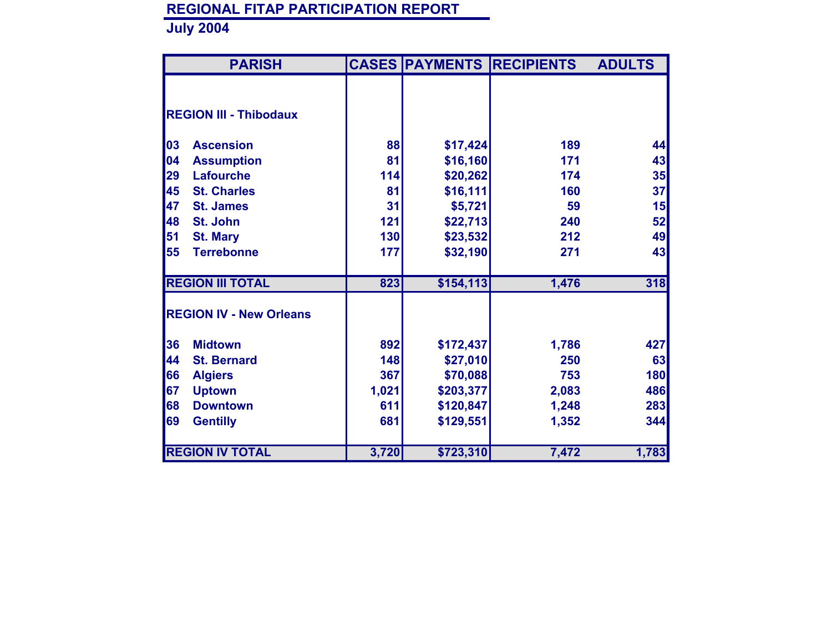|    | <b>PARISH</b>                  |       |            | <b>CASES PAYMENTS RECIPIENTS</b> | <b>ADULTS</b> |
|----|--------------------------------|-------|------------|----------------------------------|---------------|
|    |                                |       |            |                                  |               |
|    |                                |       |            |                                  |               |
|    | <b>REGION III - Thibodaux</b>  |       |            |                                  |               |
| 03 | <b>Ascension</b>               | 88    | \$17,424   | 189                              | 44            |
| 04 | <b>Assumption</b>              | 81    | \$16,160   | 171                              | 43            |
| 29 | <b>Lafourche</b>               | 114   | \$20,262   | 174                              | 35            |
| 45 | <b>St. Charles</b>             | 81    | \$16,111   | 160                              | 37            |
| 47 | <b>St. James</b>               | 31    | \$5,721    | 59                               | 15            |
| 48 | St. John                       | 121   | \$22,713   | 240                              | 52            |
| 51 | <b>St. Mary</b>                | 130   | \$23,532   | 212                              | 49            |
| 55 | <b>Terrebonne</b>              | 177   | \$32,190   | 271                              | 43            |
|    | <b>REGION III TOTAL</b>        | 823   | \$154, 113 | 1,476                            | 318           |
|    | <b>REGION IV - New Orleans</b> |       |            |                                  |               |
|    |                                |       |            |                                  |               |
| 36 | <b>Midtown</b>                 | 892   | \$172,437  | 1,786                            | 427           |
| 44 | <b>St. Bernard</b>             | 148   | \$27,010   | 250                              | 63            |
| 66 | <b>Algiers</b>                 | 367   | \$70,088   | 753                              | 180           |
| 67 | <b>Uptown</b>                  | 1,021 | \$203,377  | 2,083                            | 486           |
| 68 | <b>Downtown</b>                | 611   | \$120,847  | 1,248                            | 283           |
| 69 | <b>Gentilly</b>                | 681   | \$129,551  | 1,352                            | 344           |
|    |                                |       |            |                                  |               |
|    | <b>REGION IV TOTAL</b>         | 3,720 | \$723,310  | 7,472                            | 1,783         |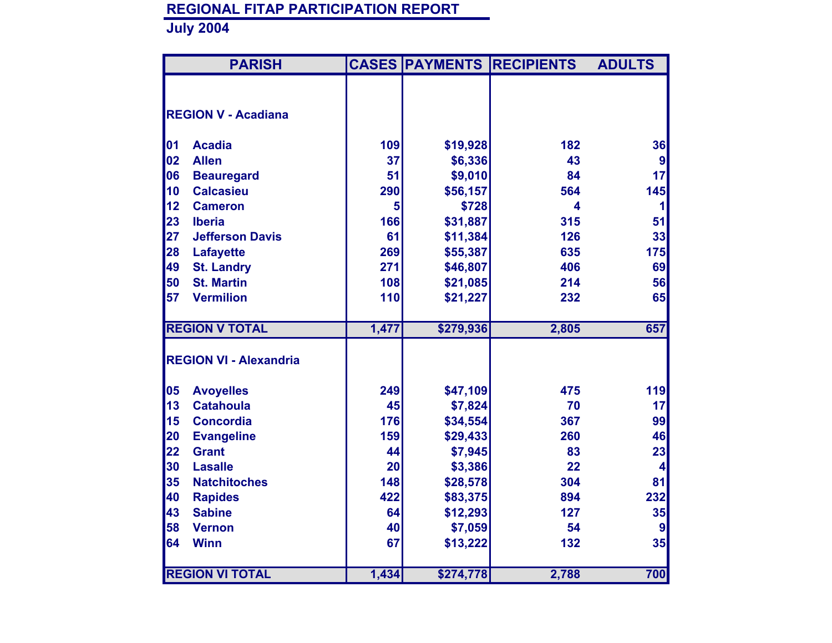|          | <b>PARISH</b>                     |           |           | <b>CASES PAYMENTS RECIPIENTS</b> | <b>ADULTS</b>                 |
|----------|-----------------------------------|-----------|-----------|----------------------------------|-------------------------------|
|          |                                   |           |           |                                  |                               |
|          | <b>REGION V - Acadiana</b>        |           |           |                                  |                               |
|          |                                   |           |           |                                  |                               |
| 01       | <b>Acadia</b>                     | 109       | \$19,928  | 182                              | 36                            |
| 02       | <b>Allen</b>                      | 37        | \$6,336   | 43                               | 9                             |
| 06       | <b>Beauregard</b>                 | 51        | \$9,010   | 84                               | 17                            |
| 10       | <b>Calcasieu</b>                  | 290       | \$56,157  | 564                              | 145                           |
| 12       | <b>Cameron</b>                    | 5         | \$728     | $\overline{\mathbf{4}}$          | 1                             |
| 23       | <b>Iberia</b>                     | 166       | \$31,887  | 315                              | 51                            |
| 27       | <b>Jefferson Davis</b>            | 61        | \$11,384  | 126                              | 33                            |
| 28       | <b>Lafayette</b>                  | 269       | \$55,387  | 635                              | 175                           |
| 49       | <b>St. Landry</b>                 | 271       | \$46,807  | 406                              | 69                            |
| 50       | <b>St. Martin</b>                 | 108       | \$21,085  | 214                              | 56                            |
| 57       | <b>Vermilion</b>                  | 110       | \$21,227  | 232                              | 65                            |
|          |                                   |           |           |                                  |                               |
|          | <b>REGION V TOTAL</b>             | 1,477     | \$279,936 | 2,805                            | 657                           |
|          |                                   |           |           |                                  |                               |
|          | <b>REGION VI - Alexandria</b>     |           |           |                                  |                               |
|          |                                   | 249       |           |                                  |                               |
| 05<br>13 | <b>Avoyelles</b>                  |           | \$47,109  | 475                              | 119                           |
|          | <b>Catahoula</b>                  | 45<br>176 | \$7,824   | 70                               | 17                            |
| 15       | <b>Concordia</b>                  |           | \$34,554  | 367                              | 99                            |
| 20<br>22 | <b>Evangeline</b><br><b>Grant</b> | 159<br>44 | \$29,433  | 260                              | 46                            |
| 30       | <b>Lasalle</b>                    | 20        | \$7,945   | 83<br>22                         | 23<br>$\overline{\mathbf{4}}$ |
| 35       | <b>Natchitoches</b>               | 148       | \$3,386   | 304                              | 81                            |
| 40       |                                   | 422       | \$28,578  | 894                              |                               |
|          | <b>Rapides</b>                    |           | \$83,375  | 127                              | 232                           |
| 43       | <b>Sabine</b>                     | 64<br>40  | \$12,293  | 54                               | 35                            |
| 58       | <b>Vernon</b>                     | 67        | \$7,059   |                                  | $\boldsymbol{9}$              |
| 64       | <b>Winn</b>                       |           | \$13,222  | 132                              | 35                            |
|          | <b>REGION VI TOTAL</b>            | 1,434     | \$274,778 | 2,788                            | 700                           |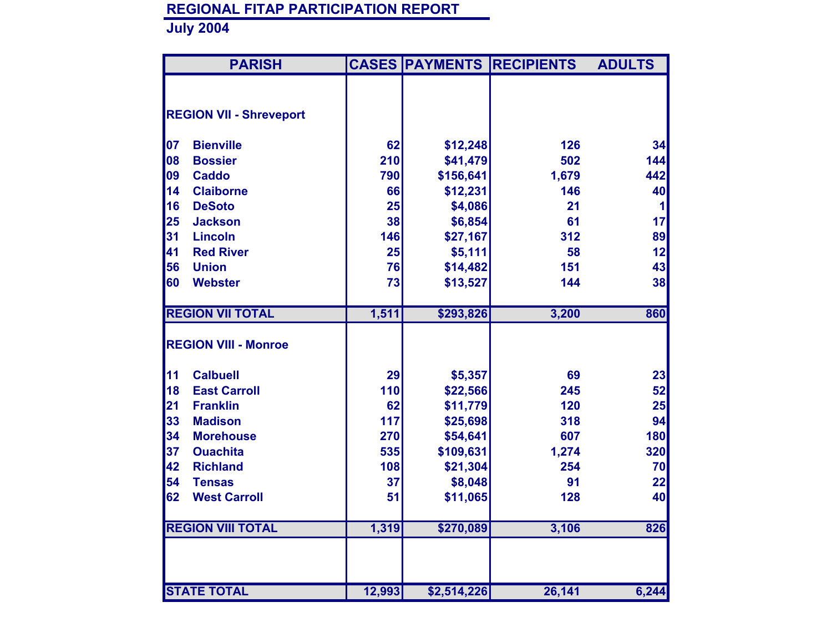|    | <b>PARISH</b>                  |        |             | <b>CASES PAYMENTS RECIPIENTS</b> | <b>ADULTS</b> |
|----|--------------------------------|--------|-------------|----------------------------------|---------------|
|    |                                |        |             |                                  |               |
|    | <b>REGION VII - Shreveport</b> |        |             |                                  |               |
|    |                                |        |             |                                  |               |
| 07 | <b>Bienville</b>               | 62     | \$12,248    | 126                              | 34            |
| 08 | <b>Bossier</b>                 | 210    | \$41,479    | 502                              | 144           |
| 09 | <b>Caddo</b>                   | 790    | \$156,641   | 1,679                            | 442           |
| 14 | <b>Claiborne</b>               | 66     | \$12,231    | 146                              | 40            |
| 16 | <b>DeSoto</b>                  | 25     | \$4,086     | 21                               | 1             |
| 25 | <b>Jackson</b>                 | 38     | \$6,854     | 61                               | 17            |
| 31 | <b>Lincoln</b>                 | 146    | \$27,167    | 312                              | 89            |
| 41 | <b>Red River</b>               | 25     | \$5,111     | 58                               | 12            |
| 56 | <b>Union</b>                   | 76     | \$14,482    | 151                              | 43            |
| 60 | <b>Webster</b>                 | 73     | \$13,527    | 144                              | 38            |
|    |                                |        |             |                                  |               |
|    | <b>REGION VII TOTAL</b>        | 1,511  | \$293,826   | 3,200                            | 860           |
|    |                                |        |             |                                  |               |
|    | <b>REGION VIII - Monroe</b>    |        |             |                                  |               |
| 11 | <b>Calbuell</b>                | 29     | \$5,357     | 69                               | 23            |
| 18 | <b>East Carroll</b>            | 110    | \$22,566    | 245                              | 52            |
| 21 | <b>Franklin</b>                | 62     | \$11,779    | 120                              | 25            |
| 33 | <b>Madison</b>                 | 117    | \$25,698    | 318                              | 94            |
| 34 | <b>Morehouse</b>               | 270    | \$54,641    | 607                              | 180           |
| 37 | <b>Ouachita</b>                | 535    | \$109,631   | 1,274                            | 320           |
| 42 | <b>Richland</b>                | 108    | \$21,304    | 254                              | 70            |
| 54 | <b>Tensas</b>                  | 37     | \$8,048     | 91                               | 22            |
| 62 | <b>West Carroll</b>            | 51     | \$11,065    | 128                              | 40            |
|    |                                |        |             |                                  |               |
|    | <b>REGION VIII TOTAL</b>       | 1,319  | \$270,089   | 3,106                            | 826           |
|    |                                |        |             |                                  |               |
|    |                                |        |             |                                  |               |
|    |                                |        |             |                                  |               |
|    | <b>STATE TOTAL</b>             | 12,993 | \$2,514,226 | 26,141                           | 6,244         |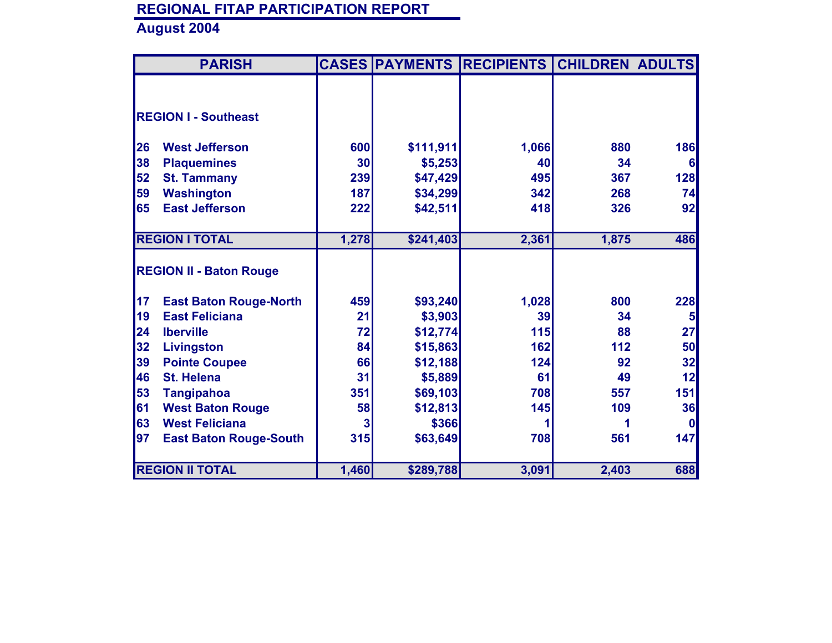|           | <b>PARISH</b>                  |       |           | <b>CASES PAYMENTS RECIPIENTS</b> | <b>CHILDREN ADULTS</b> |              |
|-----------|--------------------------------|-------|-----------|----------------------------------|------------------------|--------------|
|           |                                |       |           |                                  |                        |              |
|           |                                |       |           |                                  |                        |              |
|           | <b>REGION I - Southeast</b>    |       |           |                                  |                        |              |
|           |                                |       |           |                                  |                        |              |
| <b>26</b> | <b>West Jefferson</b>          | 600   | \$111,911 | 1,066                            | 880                    | 186          |
| 38        | <b>Plaquemines</b>             | 30    | \$5,253   | 40                               | 34                     | 6            |
| 52        | <b>St. Tammany</b>             | 239   | \$47,429  | 495                              | 367                    | 128          |
| 59        | <b>Washington</b>              | 187   | \$34,299  | 342                              | 268                    | 74           |
| 65        | <b>East Jefferson</b>          | 222   | \$42,511  | 418                              | 326                    | 92           |
|           |                                |       |           |                                  |                        |              |
|           | <b>REGION I TOTAL</b>          | 1,278 | \$241,403 | 2,361                            | 1,875                  | 486          |
|           |                                |       |           |                                  |                        |              |
|           | <b>REGION II - Baton Rouge</b> |       |           |                                  |                        |              |
|           |                                |       |           |                                  |                        |              |
| 17        | <b>East Baton Rouge-North</b>  | 459   | \$93,240  | 1,028                            | 800                    | 228          |
| 19        | <b>East Feliciana</b>          | 21    | \$3,903   | 39                               | 34                     | 5            |
| 24        | <b>Iberville</b>               | 72    | \$12,774  | 115                              | 88                     | 27           |
| 32        | Livingston                     | 84    | \$15,863  | 162                              | 112                    | 50           |
| 39        | <b>Pointe Coupee</b>           | 66    | \$12,188  | 124                              | 92                     | 32           |
| 46        | <b>St. Helena</b>              | 31    | \$5,889   | 61                               | 49                     | 12           |
| 53        | <b>Tangipahoa</b>              | 351   | \$69,103  | 708                              | 557                    | 151          |
| 61        | <b>West Baton Rouge</b>        | 58    | \$12,813  | 145                              | 109                    | 36           |
| 63        | <b>West Feliciana</b>          | 3     | \$366     |                                  |                        | $\mathbf{0}$ |
| 97        | <b>East Baton Rouge-South</b>  | 315   | \$63,649  | 708                              | 561                    | 147          |
|           |                                |       |           |                                  |                        |              |
|           | <b>REGION II TOTAL</b>         | 1,460 | \$289,788 | 3,091                            | 2,403                  | 688          |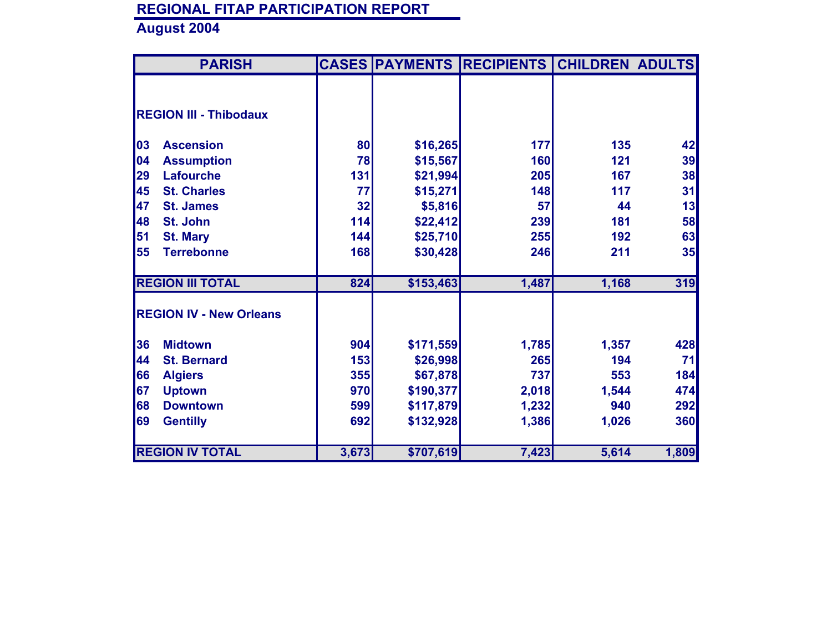| <b>PARISH</b>                  |       |           | <b>CASES PAYMENTS RECIPIENTS</b> | <b>CHILDREN ADULTS</b> |       |
|--------------------------------|-------|-----------|----------------------------------|------------------------|-------|
|                                |       |           |                                  |                        |       |
|                                |       |           |                                  |                        |       |
| <b>REGION III - Thibodaux</b>  |       |           |                                  |                        |       |
|                                |       |           |                                  |                        |       |
| 03<br><b>Ascension</b>         | 80    | \$16,265  | 177                              | 135                    | 42    |
| 04<br><b>Assumption</b>        | 78    | \$15,567  | 160                              | 121                    | 39    |
| 29<br><b>Lafourche</b>         | 131   | \$21,994  | 205                              | 167                    | 38    |
| 45<br><b>St. Charles</b>       | 77    | \$15,271  | 148                              | 117                    | 31    |
| 47<br><b>St. James</b>         | 32    | \$5,816   | 57                               | 44                     | 13    |
| 48<br>St. John                 | 114   | \$22,412  | 239                              | 181                    | 58    |
| 51<br><b>St. Mary</b>          | 144   | \$25,710  | 255                              | 192                    | 63    |
| 55<br><b>Terrebonne</b>        | 168   | \$30,428  | 246                              | 211                    | 35    |
|                                |       |           |                                  |                        |       |
| <b>REGION III TOTAL</b>        | 824   | \$153,463 | 1,487                            | 1,168                  | 319   |
|                                |       |           |                                  |                        |       |
| <b>REGION IV - New Orleans</b> |       |           |                                  |                        |       |
|                                |       |           |                                  |                        |       |
| 36<br><b>Midtown</b>           | 904   | \$171,559 | 1,785                            | 1,357                  | 428   |
| 44<br><b>St. Bernard</b>       | 153   | \$26,998  | 265                              | 194                    | 71    |
| 66<br><b>Algiers</b>           | 355   | \$67,878  | 737                              | 553                    | 184   |
| 67<br><b>Uptown</b>            | 970   | \$190,377 | 2,018                            | 1,544                  | 474   |
| 68<br><b>Downtown</b>          | 599   | \$117,879 | 1,232                            | 940                    | 292   |
| 69<br><b>Gentilly</b>          | 692   | \$132,928 | 1,386                            | 1,026                  | 360   |
|                                |       |           |                                  |                        |       |
| <b>REGION IV TOTAL</b>         | 3,673 | \$707,619 | 7,423                            | 5,614                  | 1,809 |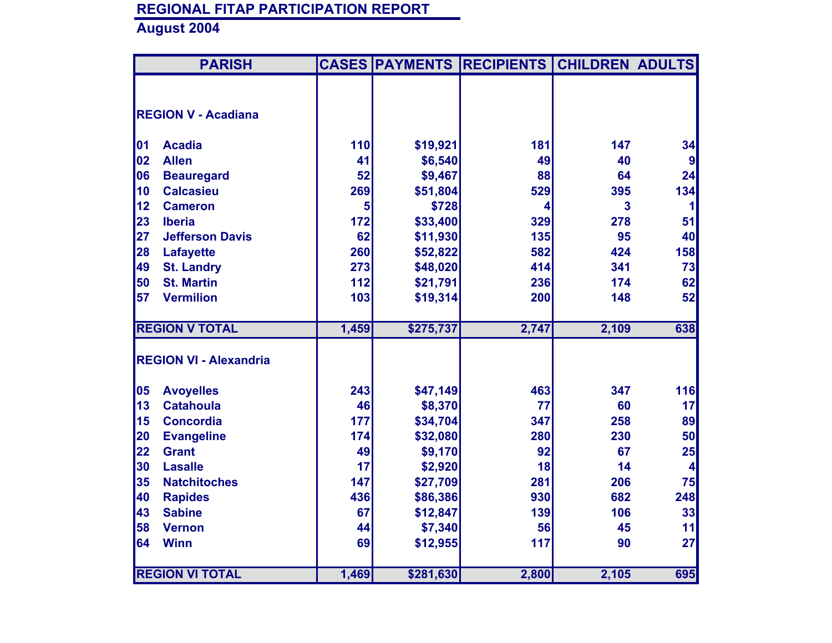|    | <b>PARISH</b>                 |       |           | <b>CASES PAYMENTS RECIPIENTS CHILDREN ADULTS</b> |       |                  |
|----|-------------------------------|-------|-----------|--------------------------------------------------|-------|------------------|
|    |                               |       |           |                                                  |       |                  |
|    | <b>REGION V - Acadiana</b>    |       |           |                                                  |       |                  |
|    |                               |       |           |                                                  |       |                  |
| 01 | <b>Acadia</b>                 | 110   | \$19,921  | 181                                              | 147   | 34               |
| 02 | <b>Allen</b>                  | 41    | \$6,540   | 49                                               | 40    | $\boldsymbol{9}$ |
| 06 | <b>Beauregard</b>             | 52    | \$9,467   | 88                                               | 64    | 24               |
| 10 | <b>Calcasieu</b>              | 269   | \$51,804  | 529                                              | 395   | 134              |
| 12 | <b>Cameron</b>                | 5     | \$728     | 4                                                | 3     |                  |
| 23 | <b>Iberia</b>                 | 172   | \$33,400  | 329                                              | 278   | 51               |
| 27 | <b>Jefferson Davis</b>        | 62    | \$11,930  | 135                                              | 95    | 40               |
| 28 | <b>Lafayette</b>              | 260   | \$52,822  | 582                                              | 424   | 158              |
| 49 | <b>St. Landry</b>             | 273   | \$48,020  | 414                                              | 341   | 73               |
| 50 | <b>St. Martin</b>             | 112   | \$21,791  | 236                                              | 174   | 62               |
| 57 | <b>Vermilion</b>              | 103   | \$19,314  | 200                                              | 148   | 52               |
|    |                               |       |           |                                                  |       |                  |
|    | <b>REGION V TOTAL</b>         | 1,459 | \$275,737 | 2,747                                            | 2,109 | 638              |
|    |                               |       |           |                                                  |       |                  |
|    | <b>REGION VI - Alexandria</b> |       |           |                                                  |       |                  |
| 05 | <b>Avoyelles</b>              | 243   | \$47,149  | 463                                              | 347   | 116              |
| 13 | <b>Catahoula</b>              | 46    | \$8,370   | 77                                               | 60    | 17               |
| 15 | <b>Concordia</b>              | 177   | \$34,704  | 347                                              | 258   | 89               |
| 20 | <b>Evangeline</b>             | 174   | \$32,080  | 280                                              | 230   | 50               |
| 22 | <b>Grant</b>                  | 49    | \$9,170   | 92                                               | 67    | 25               |
| 30 | <b>Lasalle</b>                | 17    | \$2,920   | 18                                               | 14    | 4                |
| 35 | <b>Natchitoches</b>           | 147   | \$27,709  | 281                                              | 206   | 75               |
| 40 | <b>Rapides</b>                | 436   | \$86,386  | 930                                              | 682   | 248              |
| 43 | <b>Sabine</b>                 | 67    | \$12,847  | 139                                              | 106   | 33               |
| 58 | <b>Vernon</b>                 | 44    | \$7,340   | 56                                               | 45    | 11               |
| 64 | <b>Winn</b>                   | 69    | \$12,955  | 117                                              | 90    | 27               |
|    |                               |       |           |                                                  |       |                  |
|    | <b>REGION VI TOTAL</b>        | 1,469 | \$281,630 | 2,800                                            | 2,105 | 695              |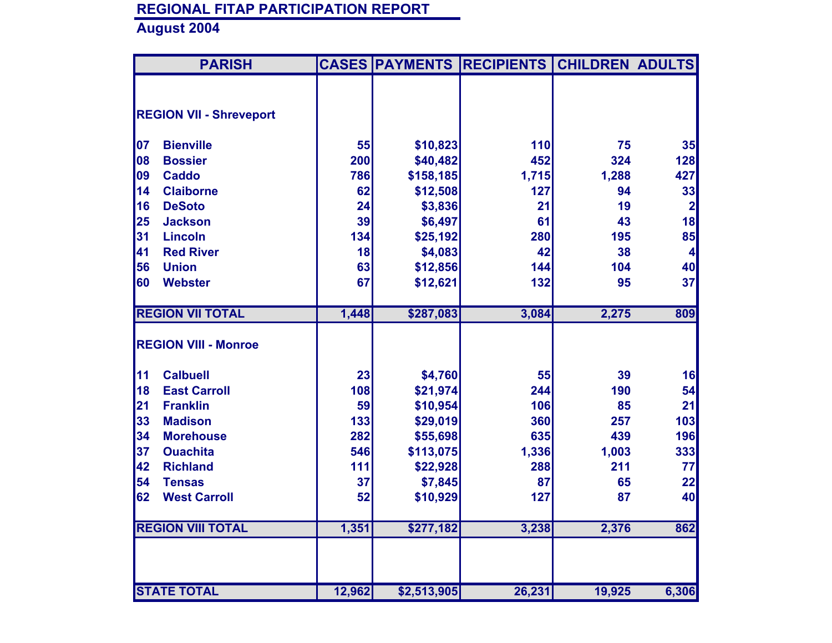|    | <b>PARISH</b>                  |        |             | <b>CASES PAYMENTS RECIPIENTS</b> | <b>CHILDREN ADULTS</b> |              |
|----|--------------------------------|--------|-------------|----------------------------------|------------------------|--------------|
|    |                                |        |             |                                  |                        |              |
|    | <b>REGION VII - Shreveport</b> |        |             |                                  |                        |              |
| 07 | <b>Bienville</b>               | 55     | \$10,823    | 110                              | 75                     | 35           |
| 08 | <b>Bossier</b>                 | 200    | \$40,482    | 452                              | 324                    | 128          |
| 09 | <b>Caddo</b>                   | 786    | \$158,185   | 1,715                            | 1,288                  | 427          |
| 14 | <b>Claiborne</b>               | 62     | \$12,508    | 127                              | 94                     | 33           |
| 16 | <b>DeSoto</b>                  | 24     | \$3,836     | 21                               | 19                     | $\mathbf{2}$ |
| 25 | <b>Jackson</b>                 | 39     | \$6,497     | 61                               | 43                     | 18           |
| 31 | <b>Lincoln</b>                 | 134    | \$25,192    | 280                              | 195                    | 85           |
| 41 | <b>Red River</b>               | 18     | \$4,083     | 42                               | 38                     | $\vert$      |
| 56 | <b>Union</b>                   | 63     | \$12,856    | 144                              | 104                    | 40           |
| 60 | <b>Webster</b>                 | 67     | \$12,621    | 132                              | 95                     | 37           |
|    |                                |        |             |                                  |                        |              |
|    | <b>REGION VII TOTAL</b>        | 1,448  | \$287,083   | 3,084                            | 2,275                  | 809          |
|    | <b>REGION VIII - Monroe</b>    |        |             |                                  |                        |              |
| 11 | <b>Calbuell</b>                | 23     | \$4,760     | 55                               | 39                     | 16           |
| 18 | <b>East Carroll</b>            | 108    | \$21,974    | 244                              | 190                    | 54           |
| 21 | <b>Franklin</b>                | 59     | \$10,954    | 106                              | 85                     | 21           |
| 33 | <b>Madison</b>                 | 133    | \$29,019    | 360                              | 257                    | 103          |
| 34 | <b>Morehouse</b>               | 282    | \$55,698    | 635                              | 439                    | 196          |
| 37 | <b>Ouachita</b>                | 546    | \$113,075   | 1,336                            | 1,003                  | 333          |
| 42 | <b>Richland</b>                | 111    | \$22,928    | 288                              | 211                    | 77           |
| 54 | <b>Tensas</b>                  | 37     | \$7,845     | 87                               | 65                     | 22           |
| 62 | <b>West Carroll</b>            | 52     | \$10,929    | 127                              | 87                     | 40           |
|    | <b>REGION VIII TOTAL</b>       | 1,351  | \$277,182   | 3,238                            | 2,376                  | 862          |
|    |                                |        |             |                                  |                        |              |
|    | <b>STATE TOTAL</b>             | 12,962 | \$2,513,905 | 26,231                           | 19,925                 | 6,306        |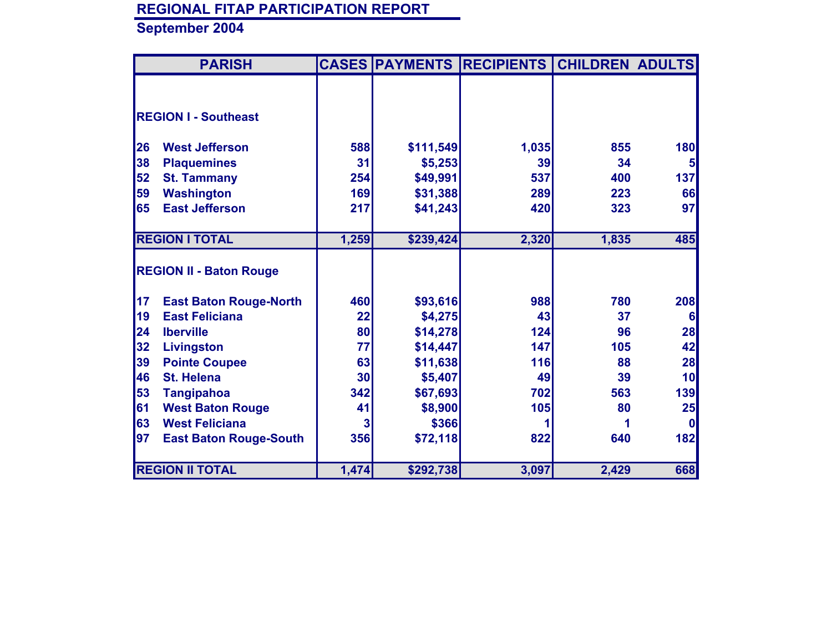|           | <b>PARISH</b>                  |       |           | <b>CASES PAYMENTS RECIPIENTS</b> | <b>CHILDREN ADULTS</b> |            |
|-----------|--------------------------------|-------|-----------|----------------------------------|------------------------|------------|
|           |                                |       |           |                                  |                        |            |
|           |                                |       |           |                                  |                        |            |
|           | <b>REGION I - Southeast</b>    |       |           |                                  |                        |            |
|           |                                |       |           |                                  |                        |            |
| <b>26</b> | <b>West Jefferson</b>          | 588   | \$111,549 | 1,035                            | 855                    | <b>180</b> |
| 38        | <b>Plaquemines</b>             | 31    | \$5,253   | 39                               | 34                     | 5          |
| 52        | <b>St. Tammany</b>             | 254   | \$49,991  | 537                              | 400                    | 137        |
| 59        | <b>Washington</b>              | 169   | \$31,388  | 289                              | 223                    | 66         |
| 65        | <b>East Jefferson</b>          | 217   | \$41,243  | 420                              | 323                    | 97         |
|           |                                |       |           |                                  |                        |            |
|           | <b>REGION I TOTAL</b>          | 1,259 | \$239,424 | 2,320                            | 1,835                  | 485        |
|           |                                |       |           |                                  |                        |            |
|           | <b>REGION II - Baton Rouge</b> |       |           |                                  |                        |            |
|           |                                |       |           |                                  |                        |            |
| 17        | <b>East Baton Rouge-North</b>  | 460   | \$93,616  | 988                              | 780                    | 208        |
| 19        | <b>East Feliciana</b>          | 22    | \$4,275   | 43                               | 37                     | $6 \mid$   |
| 24        | <b>Iberville</b>               | 80    | \$14,278  | 124                              | 96                     | 28         |
| 32        | <b>Livingston</b>              | 77    | \$14,447  | 147                              | 105                    | 42         |
| 39        | <b>Pointe Coupee</b>           | 63    | \$11,638  | 116                              | 88                     | 28         |
| 46        | <b>St. Helena</b>              | 30    | \$5,407   | 49                               | 39                     | 10         |
| 53        | <b>Tangipahoa</b>              | 342   | \$67,693  | 702                              | 563                    | 139        |
| 61        | <b>West Baton Rouge</b>        | 41    | \$8,900   | 105                              | 80                     | 25         |
| 63        | <b>West Feliciana</b>          | 3     | \$366     |                                  |                        | 0          |
| 97        | <b>East Baton Rouge-South</b>  | 356   | \$72,118  | 822                              | 640                    | 182        |
|           |                                |       |           |                                  |                        |            |
|           | <b>REGION II TOTAL</b>         | 1,474 | \$292,738 | 3,097                            | 2,429                  | 668        |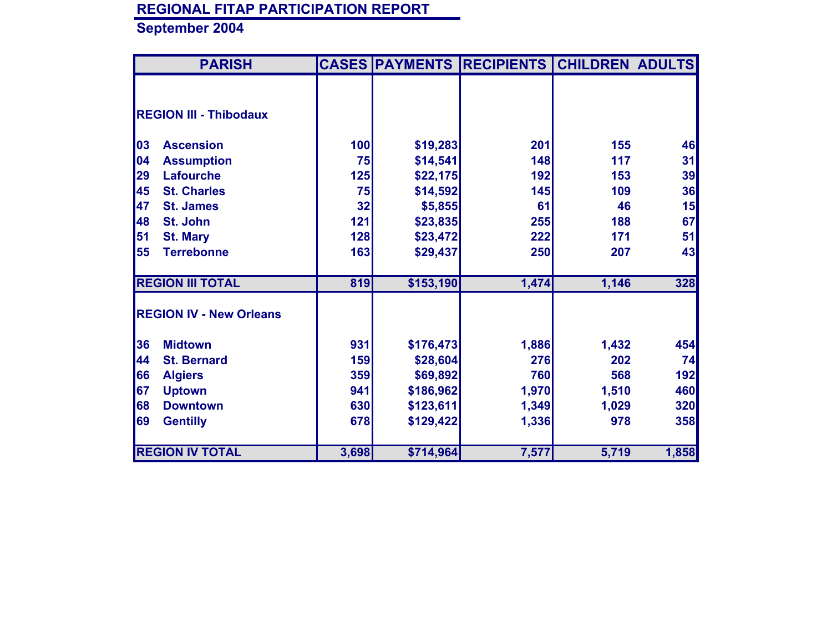| <b>PARISH</b>                  |       |           | <b>CASES PAYMENTS RECIPIENTS</b> | <b>CHILDREN ADULTS</b> |       |
|--------------------------------|-------|-----------|----------------------------------|------------------------|-------|
|                                |       |           |                                  |                        |       |
|                                |       |           |                                  |                        |       |
| <b>REGION III - Thibodaux</b>  |       |           |                                  |                        |       |
| 03<br><b>Ascension</b>         | 100   | \$19,283  | 201                              | 155                    | 46    |
| 04                             | 75    |           | 148                              | 117                    |       |
| <b>Assumption</b>              |       | \$14,541  |                                  |                        | 31    |
| 29<br><b>Lafourche</b>         | 125   | \$22,175  | 192                              | 153                    | 39    |
| 45<br><b>St. Charles</b>       | 75    | \$14,592  | 145                              | 109                    | 36    |
| 47<br><b>St. James</b>         | 32    | \$5,855   | 61                               | 46                     | 15    |
| 48<br>St. John                 | 121   | \$23,835  | 255                              | 188                    | 67    |
| 51<br><b>St. Mary</b>          | 128   | \$23,472  | 222                              | 171                    | 51    |
| 55<br><b>Terrebonne</b>        | 163   | \$29,437  | 250                              | 207                    | 43    |
| <b>REGION III TOTAL</b>        | 819   | \$153,190 | 1,474                            | 1,146                  | 328   |
| <b>REGION IV - New Orleans</b> |       |           |                                  |                        |       |
|                                |       |           |                                  |                        |       |
| 36<br><b>Midtown</b>           | 931   | \$176,473 | 1,886                            | 1,432                  | 454   |
| 44<br><b>St. Bernard</b>       | 159   | \$28,604  | 276                              | 202                    | 74    |
| 66<br><b>Algiers</b>           | 359   | \$69,892  | 760                              | 568                    | 192   |
| 67<br><b>Uptown</b>            | 941   | \$186,962 | 1,970                            | 1,510                  | 460   |
| 68<br><b>Downtown</b>          | 630   | \$123,611 | 1,349                            | 1,029                  | 320   |
| 69<br><b>Gentilly</b>          | 678   | \$129,422 | 1,336                            | 978                    | 358   |
|                                |       |           |                                  |                        |       |
| <b>REGION IV TOTAL</b>         | 3,698 | \$714,964 | 7,577                            | 5,719                  | 1,858 |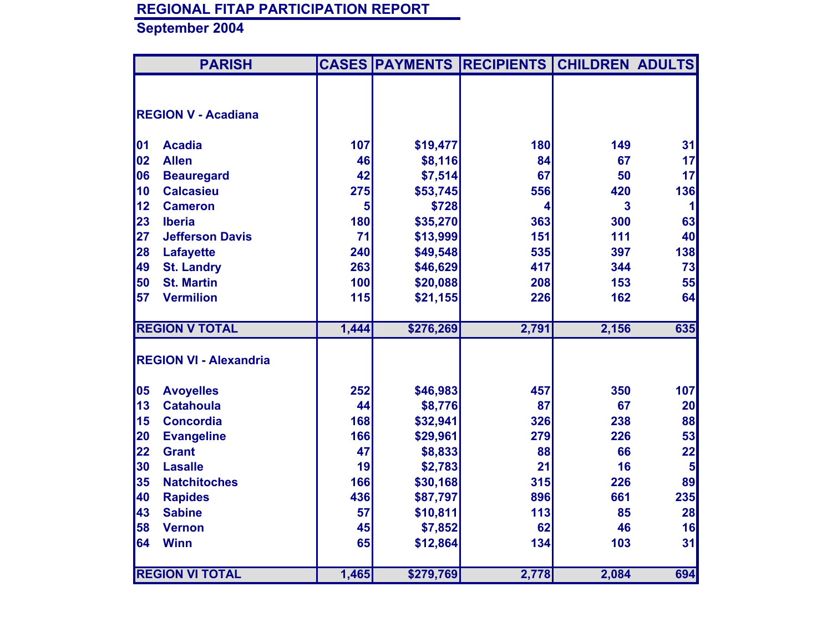|    | <b>PARISH</b>                 |       |           | <b>CASES PAYMENTS RECIPIENTS</b> | <b>CHILDREN ADULTS</b> |              |
|----|-------------------------------|-------|-----------|----------------------------------|------------------------|--------------|
|    |                               |       |           |                                  |                        |              |
|    | <b>REGION V - Acadiana</b>    |       |           |                                  |                        |              |
|    |                               |       |           |                                  |                        |              |
| 01 | <b>Acadia</b>                 | 107   | \$19,477  | 180                              | 149                    | 31           |
| 02 | <b>Allen</b>                  | 46    | \$8,116   | 84                               | 67                     | 17           |
| 06 | <b>Beauregard</b>             | 42    | \$7,514   | 67                               | 50                     | 17           |
| 10 | <b>Calcasieu</b>              | 275   | \$53,745  | 556                              | 420                    | 136          |
| 12 | <b>Cameron</b>                | 5     | \$728     | 4                                | 3                      | $\mathbf{1}$ |
| 23 | <b>Iberia</b>                 | 180   | \$35,270  | 363                              | 300                    | 63           |
| 27 | <b>Jefferson Davis</b>        | 71    | \$13,999  | 151                              | 111                    | 40           |
| 28 | <b>Lafayette</b>              | 240   | \$49,548  | 535                              | 397                    | 138          |
| 49 | <b>St. Landry</b>             | 263   | \$46,629  | 417                              | 344                    | 73           |
| 50 | <b>St. Martin</b>             | 100   | \$20,088  | 208                              | 153                    | 55           |
| 57 | <b>Vermilion</b>              | 115   | \$21,155  | 226                              | 162                    | 64           |
|    |                               |       |           |                                  |                        |              |
|    | <b>REGION V TOTAL</b>         | 1,444 | \$276,269 | 2,791                            | 2,156                  | 635          |
|    |                               |       |           |                                  |                        |              |
|    | <b>REGION VI - Alexandria</b> |       |           |                                  |                        |              |
|    |                               |       |           |                                  |                        |              |
| 05 | <b>Avoyelles</b>              | 252   | \$46,983  | 457                              | 350                    | 107          |
| 13 | <b>Catahoula</b>              | 44    | \$8,776   | 87                               | 67                     | 20           |
| 15 | <b>Concordia</b>              | 168   | \$32,941  | 326                              | 238                    | 88           |
| 20 | <b>Evangeline</b>             | 166   | \$29,961  | 279                              | 226                    | 53           |
| 22 | <b>Grant</b>                  | 47    | \$8,833   | 88                               | 66                     | 22           |
| 30 | <b>Lasalle</b>                | 19    | \$2,783   | 21                               | 16                     | 5            |
| 35 | <b>Natchitoches</b>           | 166   | \$30,168  | 315                              | 226                    | 89           |
| 40 | <b>Rapides</b>                | 436   | \$87,797  | 896                              | 661                    | 235          |
| 43 | <b>Sabine</b>                 | 57    | \$10,811  | 113                              | 85                     | 28           |
| 58 | <b>Vernon</b>                 | 45    | \$7,852   | 62                               | 46                     | 16           |
| 64 | <b>Winn</b>                   | 65    | \$12,864  | 134                              | 103                    | 31           |
|    |                               |       |           |                                  |                        |              |
|    | <b>REGION VI TOTAL</b>        | 1,465 | \$279,769 | 2,778                            | 2,084                  | 694          |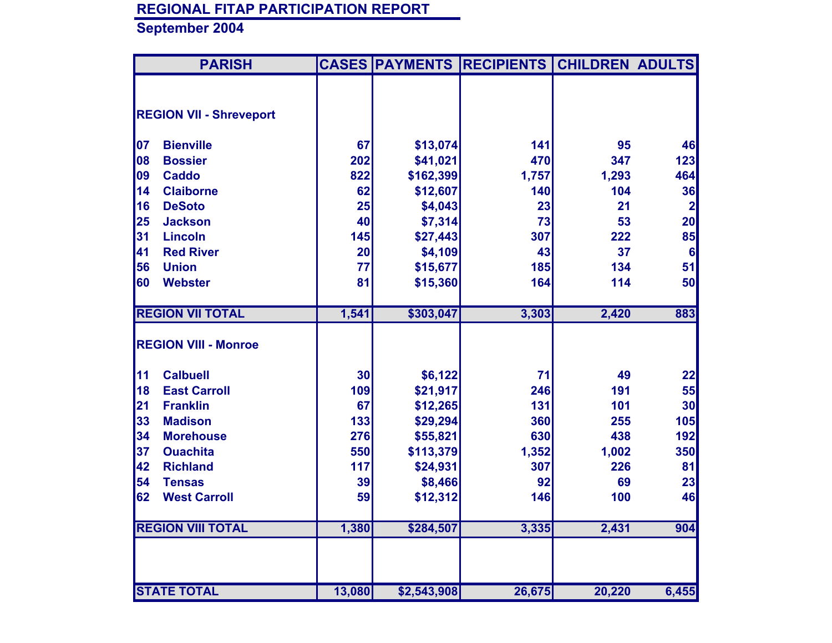|    | <b>PARISH</b>                  |        |             | <b>CASES PAYMENTS RECIPIENTS</b> | <b>CHILDREN ADULTS</b> |                 |
|----|--------------------------------|--------|-------------|----------------------------------|------------------------|-----------------|
|    |                                |        |             |                                  |                        |                 |
|    | <b>REGION VII - Shreveport</b> |        |             |                                  |                        |                 |
|    |                                |        |             |                                  |                        |                 |
| 07 | <b>Bienville</b>               | 67     | \$13,074    | 141                              | 95                     | 46              |
| 08 | <b>Bossier</b>                 | 202    | \$41,021    | 470                              | 347                    | 123             |
| 09 | <b>Caddo</b>                   | 822    | \$162,399   | 1,757                            | 1,293                  | 464             |
| 14 | <b>Claiborne</b>               | 62     | \$12,607    | 140                              | 104                    | 36              |
| 16 | <b>DeSoto</b>                  | 25     | \$4,043     | 23                               | 21                     | $\mathbf{2}$    |
| 25 | <b>Jackson</b>                 | 40     | \$7,314     | 73                               | 53                     | 20              |
| 31 | <b>Lincoln</b>                 | 145    | \$27,443    | 307                              | 222                    | 85              |
| 41 | <b>Red River</b>               | 20     | \$4,109     | 43                               | 37                     | $6\phantom{1}6$ |
| 56 | <b>Union</b>                   | 77     | \$15,677    | 185                              | 134                    | 51              |
| 60 | <b>Webster</b>                 | 81     | \$15,360    | 164                              | 114                    | 50              |
|    |                                |        |             |                                  |                        |                 |
|    | <b>REGION VII TOTAL</b>        | 1,541  | \$303,047   | 3,303                            | 2,420                  | 883             |
|    | <b>REGION VIII - Monroe</b>    |        |             |                                  |                        |                 |
|    |                                |        |             |                                  |                        |                 |
| 11 | <b>Calbuell</b>                | 30     | \$6,122     | 71                               | 49                     | 22              |
| 18 | <b>East Carroll</b>            | 109    | \$21,917    | 246                              | 191                    | 55              |
| 21 | <b>Franklin</b>                | 67     | \$12,265    | 131                              | 101                    | 30              |
| 33 | <b>Madison</b>                 | 133    | \$29,294    | 360                              | 255                    | 105             |
| 34 | <b>Morehouse</b>               | 276    | \$55,821    | 630                              | 438                    | 192             |
| 37 | <b>Ouachita</b>                | 550    | \$113,379   | 1,352                            | 1,002                  | 350             |
| 42 | <b>Richland</b>                | 117    | \$24,931    | 307                              | 226                    | 81              |
| 54 | <b>Tensas</b>                  | 39     | \$8,466     | 92                               | 69                     | 23              |
| 62 | <b>West Carroll</b>            | 59     | \$12,312    | 146                              | 100                    | 46              |
|    |                                |        |             |                                  |                        |                 |
|    | <b>REGION VIII TOTAL</b>       | 1,380  | \$284,507   | 3,335                            | 2,431                  | 904             |
|    |                                |        |             |                                  |                        |                 |
|    |                                |        |             |                                  |                        |                 |
|    | <b>STATE TOTAL</b>             | 13,080 |             | 26,675                           | 20,220                 | 6,455           |
|    |                                |        | \$2,543,908 |                                  |                        |                 |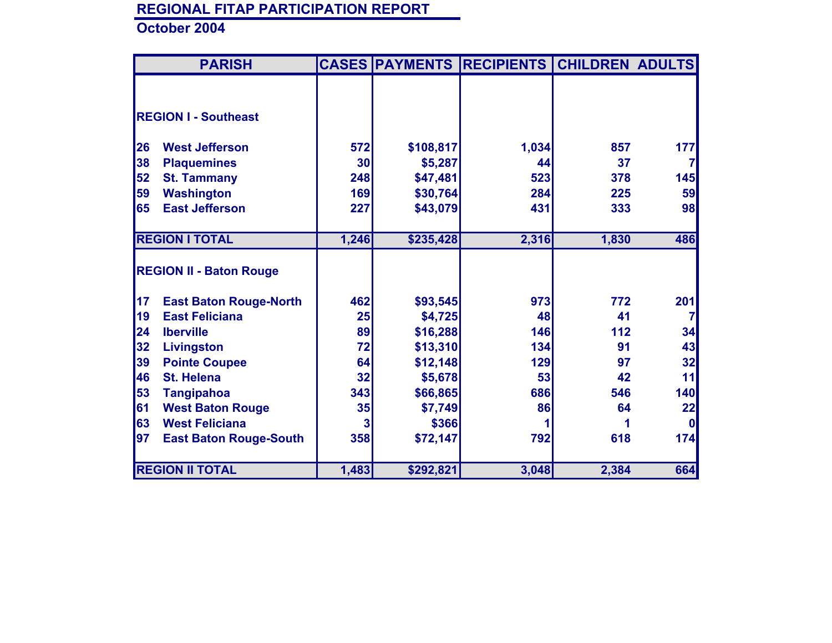|    | <b>PARISH</b>                  |            |           | <b>CASES PAYMENTS RECIPIENTS CHILDREN ADULTS</b> |       |              |
|----|--------------------------------|------------|-----------|--------------------------------------------------|-------|--------------|
|    |                                |            |           |                                                  |       |              |
|    |                                |            |           |                                                  |       |              |
|    | <b>REGION I - Southeast</b>    |            |           |                                                  |       |              |
|    | <b>West Jefferson</b>          |            |           |                                                  |       |              |
| 26 |                                | <b>572</b> | \$108,817 | 1,034                                            | 857   | 177          |
| 38 | <b>Plaquemines</b>             | 30         | \$5,287   | 44                                               | 37    |              |
| 52 | <b>St. Tammany</b>             | 248        | \$47,481  | 523                                              | 378   | 145          |
| 59 | <b>Washington</b>              | 169        | \$30,764  | 284                                              | 225   | 59           |
| 65 | <b>East Jefferson</b>          | 227        | \$43,079  | 431                                              | 333   | 98           |
|    |                                |            |           |                                                  |       |              |
|    | <b>REGION I TOTAL</b>          | 1,246      | \$235,428 | 2,316                                            | 1,830 | 486          |
|    |                                |            |           |                                                  |       |              |
|    | <b>REGION II - Baton Rouge</b> |            |           |                                                  |       |              |
|    |                                |            |           |                                                  |       |              |
| 17 | <b>East Baton Rouge-North</b>  | 462        | \$93,545  | 973                                              | 772   | 201          |
| 19 | <b>East Feliciana</b>          | 25         | \$4,725   | 48                                               | 41    | 7            |
| 24 | <b>Iberville</b>               | 89         | \$16,288  | 146                                              | 112   | 34           |
| 32 | <b>Livingston</b>              | 72         | \$13,310  | 134                                              | 91    | 43           |
| 39 | <b>Pointe Coupee</b>           | 64         | \$12,148  | 129                                              | 97    | 32           |
| 46 | <b>St. Helena</b>              | 32         | \$5,678   | 53                                               | 42    | 11           |
| 53 | <b>Tangipahoa</b>              | 343        | \$66,865  | 686                                              | 546   | 140          |
| 61 | <b>West Baton Rouge</b>        | 35         | \$7,749   | 86                                               | 64    | 22           |
| 63 | <b>West Feliciana</b>          | 3          | \$366     |                                                  |       | <sup>0</sup> |
| 97 |                                | 358        |           | 792                                              | 618   | 174          |
|    | <b>East Baton Rouge-South</b>  |            | \$72,147  |                                                  |       |              |
|    |                                |            |           |                                                  |       |              |
|    | <b>REGION II TOTAL</b>         | 1,483      | \$292,821 | 3,048                                            | 2,384 | 664          |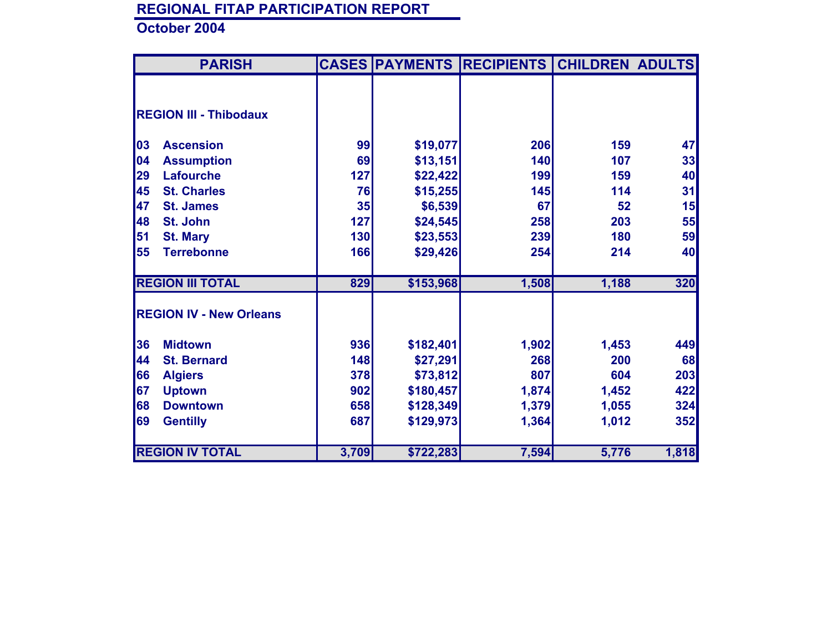| <b>PARISH</b>                  |       | <b>CASES PAYMENTS</b> | <b>RECIPIENTS</b> | <b>CHILDREN ADULTS</b> |       |
|--------------------------------|-------|-----------------------|-------------------|------------------------|-------|
|                                |       |                       |                   |                        |       |
|                                |       |                       |                   |                        |       |
| <b>REGION III - Thibodaux</b>  |       |                       |                   |                        |       |
| 03<br><b>Ascension</b>         | 99    | \$19,077              | 206               | 159                    | 47    |
| 04                             |       |                       | 140               | 107                    |       |
| <b>Assumption</b>              | 69    | \$13,151              |                   |                        | 33    |
| 29<br><b>Lafourche</b>         | 127   | \$22,422              | 199               | 159                    | 40    |
| 45<br><b>St. Charles</b>       | 76    | \$15,255              | 145               | 114                    | 31    |
| 47<br><b>St. James</b>         | 35    | \$6,539               | 67                | 52                     | 15    |
| 48<br>St. John                 | 127   | \$24,545              | 258               | 203                    | 55    |
| 51<br><b>St. Mary</b>          | 130   | \$23,553              | 239               | 180                    | 59    |
| 55<br><b>Terrebonne</b>        | 166   | \$29,426              | 254               | 214                    | 40    |
| <b>REGION III TOTAL</b>        | 829   | \$153,968             | 1,508             | 1,188                  | 320   |
| <b>REGION IV - New Orleans</b> |       |                       |                   |                        |       |
|                                |       |                       |                   |                        |       |
| 36<br><b>Midtown</b>           | 936   | \$182,401             | 1,902             | 1,453                  | 449   |
| 44<br><b>St. Bernard</b>       | 148   | \$27,291              | 268               | 200                    | 68    |
| 66<br><b>Algiers</b>           | 378   | \$73,812              | 807               | 604                    | 203   |
| 67<br><b>Uptown</b>            | 902   | \$180,457             | 1,874             | 1,452                  | 422   |
| 68<br><b>Downtown</b>          | 658   | \$128,349             | 1,379             | 1,055                  | 324   |
| 69<br><b>Gentilly</b>          | 687   | \$129,973             | 1,364             | 1,012                  | 352   |
|                                |       |                       |                   |                        |       |
| <b>REGION IV TOTAL</b>         | 3,709 | \$722,283             | 7,594             | 5,776                  | 1,818 |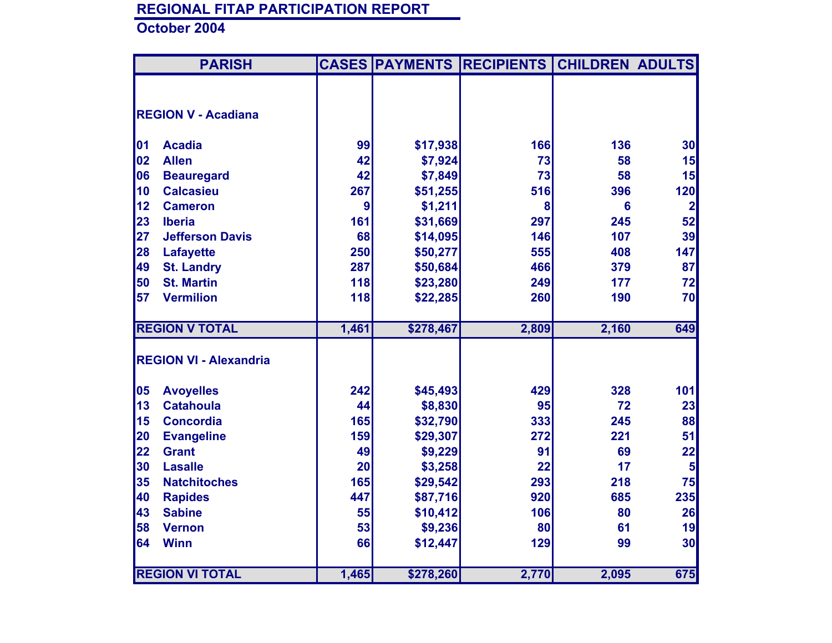|    | <b>PARISH</b>                 |       |           | <b>CASES PAYMENTS RECIPIENTS</b> | <b>CHILDREN ADULTS</b> |                |
|----|-------------------------------|-------|-----------|----------------------------------|------------------------|----------------|
|    |                               |       |           |                                  |                        |                |
|    | <b>REGION V - Acadiana</b>    |       |           |                                  |                        |                |
|    |                               |       |           |                                  |                        |                |
| 01 | <b>Acadia</b>                 | 99    | \$17,938  | 166                              | 136                    | 30             |
| 02 | <b>Allen</b>                  | 42    | \$7,924   | 73                               | 58                     | 15             |
| 06 | <b>Beauregard</b>             | 42    | \$7,849   | 73                               | 58                     | 15             |
| 10 | <b>Calcasieu</b>              | 267   | \$51,255  | 516                              | 396                    | 120            |
| 12 | <b>Cameron</b>                | 9     | \$1,211   | 8                                | $6\phantom{a}$         | $\mathbf{2}$   |
| 23 | <b>Iberia</b>                 | 161   | \$31,669  | 297                              | 245                    | 52             |
| 27 | <b>Jefferson Davis</b>        | 68    | \$14,095  | 146                              | 107                    | 39             |
| 28 | <b>Lafayette</b>              | 250   | \$50,277  | 555                              | 408                    | 147            |
| 49 | <b>St. Landry</b>             | 287   | \$50,684  | 466                              | 379                    | 87             |
| 50 | <b>St. Martin</b>             | 118   | \$23,280  | 249                              | 177                    | 72             |
| 57 | <b>Vermilion</b>              | 118   | \$22,285  | 260                              | 190                    | 70             |
|    |                               |       |           |                                  |                        |                |
|    | <b>REGION V TOTAL</b>         | 1,461 | \$278,467 | 2,809                            | 2,160                  | 649            |
|    |                               |       |           |                                  |                        |                |
|    | <b>REGION VI - Alexandria</b> |       |           |                                  |                        |                |
|    |                               |       |           |                                  |                        |                |
| 05 | <b>Avoyelles</b>              | 242   | \$45,493  | 429                              | 328                    | 101            |
| 13 | <b>Catahoula</b>              | 44    | \$8,830   | 95                               | 72                     | 23             |
| 15 | <b>Concordia</b>              | 165   | \$32,790  | 333                              | 245                    | 88             |
| 20 | <b>Evangeline</b>             | 159   | \$29,307  | 272                              | 221                    | 51             |
| 22 | <b>Grant</b>                  | 49    | \$9,229   | 91                               | 69                     | 22             |
| 30 | <b>Lasalle</b>                | 20    | \$3,258   | 22                               | 17                     | 5 <sup>1</sup> |
| 35 | <b>Natchitoches</b>           | 165   | \$29,542  | 293                              | 218                    | 75             |
| 40 | <b>Rapides</b>                | 447   | \$87,716  | 920                              | 685                    | 235            |
| 43 | <b>Sabine</b>                 | 55    | \$10,412  | 106                              | 80                     | 26             |
| 58 | <b>Vernon</b>                 | 53    | \$9,236   | 80                               | 61                     | 19             |
| 64 | <b>Winn</b>                   | 66    | \$12,447  | 129                              | 99                     | 30             |
|    |                               |       |           |                                  |                        |                |
|    | <b>REGION VI TOTAL</b>        | 1,465 | \$278,260 | 2,770                            | 2,095                  | 675            |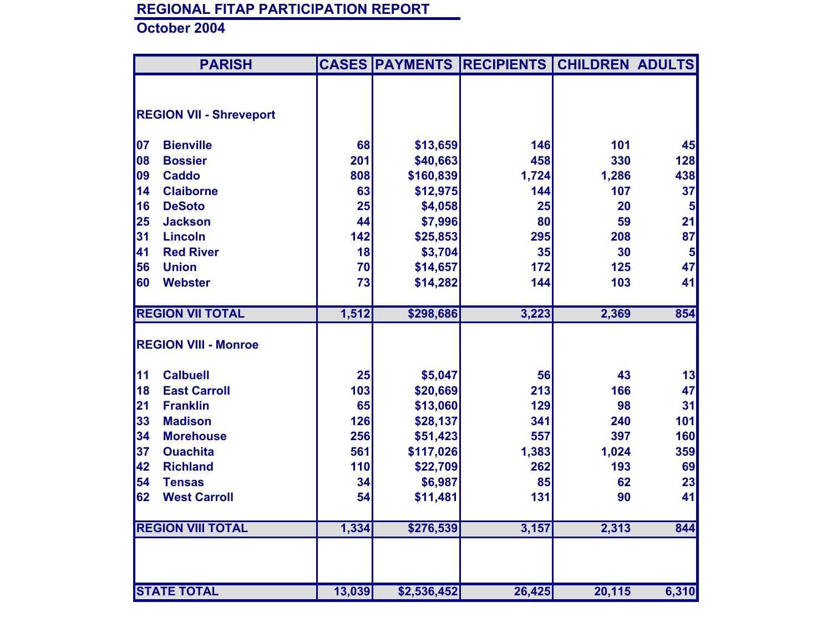|    | <b>PARISH</b>                  |        |             | <b>CASES PAYMENTS RECIPIENTS CHILDREN ADULTS</b> |        |                         |
|----|--------------------------------|--------|-------------|--------------------------------------------------|--------|-------------------------|
|    |                                |        |             |                                                  |        |                         |
|    | <b>REGION VII - Shreveport</b> |        |             |                                                  |        |                         |
|    |                                |        |             |                                                  |        |                         |
| 07 | <b>Bienville</b>               | 68     | \$13,659    | 146                                              | 101    | 45                      |
| 08 | <b>Bossier</b>                 | 201    | \$40,663    | 458                                              | 330    | 128                     |
| 09 | <b>Caddo</b>                   | 808    | \$160,839   | 1,724                                            | 1,286  | 438                     |
| 14 | <b>Claiborne</b>               | 63     | \$12,975    | 144                                              | 107    | 37                      |
| 16 | <b>DeSoto</b>                  | 25     | \$4,058     | 25                                               | 20     | 5                       |
| 25 | <b>Jackson</b>                 | 44     | \$7,996     | 80                                               | 59     | 21                      |
| 31 | <b>Lincoln</b>                 | 142    | \$25,853    | 295                                              | 208    | 87                      |
| 41 | <b>Red River</b>               | 18     | \$3,704     | 35                                               | 30     | $\overline{\mathbf{5}}$ |
| 56 | <b>Union</b>                   | 70     | \$14,657    | 172                                              | 125    | 47                      |
| 60 | <b>Webster</b>                 | 73     | \$14,282    | 144                                              | 103    | 41                      |
|    |                                |        |             |                                                  |        |                         |
|    | <b>REGION VII TOTAL</b>        | 1,512  | \$298,686   | 3,223                                            | 2,369  | 854                     |
|    |                                |        |             |                                                  |        |                         |
|    | <b>REGION VIII - Monroe</b>    |        |             |                                                  |        |                         |
| 11 | <b>Calbuell</b>                | 25     | \$5,047     | 56                                               | 43     | 13                      |
| 18 | <b>East Carroll</b>            | 103    | \$20,669    | 213                                              | 166    | 47                      |
| 21 | <b>Franklin</b>                | 65     | \$13,060    | 129                                              | 98     | 31                      |
| 33 | <b>Madison</b>                 | 126    | \$28,137    | 341                                              | 240    | 101                     |
| 34 | <b>Morehouse</b>               | 256    | \$51,423    | 557                                              | 397    | 160                     |
| 37 | <b>Ouachita</b>                | 561    | \$117,026   | 1,383                                            | 1,024  | 359                     |
| 42 | <b>Richland</b>                | 110    | \$22,709    | 262                                              | 193    | 69                      |
| 54 | <b>Tensas</b>                  | 34     | \$6,987     | 85                                               | 62     | 23                      |
| 62 | <b>West Carroll</b>            | 54     | \$11,481    | 131                                              | 90     | 41                      |
|    |                                |        |             |                                                  |        |                         |
|    | <b>REGION VIII TOTAL</b>       | 1,334  | \$276,539   | 3,157                                            | 2,313  | 844                     |
|    |                                |        |             |                                                  |        |                         |
|    | <b>STATE TOTAL</b>             | 13,039 | \$2,536,452 | 26,425                                           | 20,115 | 6,310                   |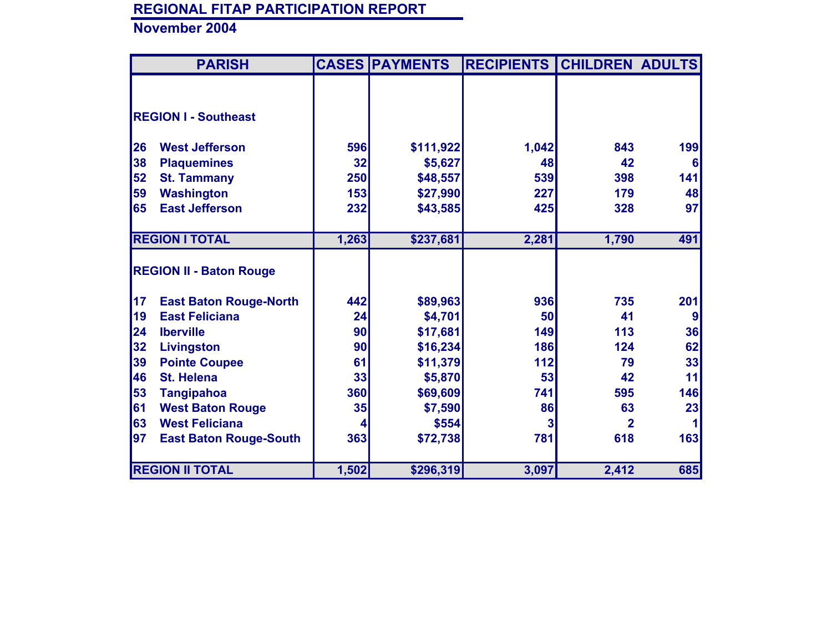|    | <b>PARISH</b>                  |       | <b>CASES PAYMENTS</b> | <b>RECIPIENTS</b> | <b>CHILDREN ADULTS</b> |     |
|----|--------------------------------|-------|-----------------------|-------------------|------------------------|-----|
|    |                                |       |                       |                   |                        |     |
|    |                                |       |                       |                   |                        |     |
|    | <b>REGION I - Southeast</b>    |       |                       |                   |                        |     |
|    |                                |       |                       |                   |                        |     |
| 26 | <b>West Jefferson</b>          | 596   | \$111,922             | 1,042             | 843                    | 199 |
| 38 | <b>Plaquemines</b>             | 32    | \$5,627               | 48                | 42                     | 6   |
| 52 | <b>St. Tammany</b>             | 250   | \$48,557              | 539               | 398                    | 141 |
| 59 | <b>Washington</b>              | 153   | \$27,990              | 227               | 179                    | 48  |
| 65 | <b>East Jefferson</b>          | 232   | \$43,585              | 425               | 328                    | 97  |
|    |                                |       |                       |                   |                        |     |
|    | <b>REGION I TOTAL</b>          | 1,263 | \$237,681             | 2,281             | 1,790                  | 491 |
|    |                                |       |                       |                   |                        |     |
|    | <b>REGION II - Baton Rouge</b> |       |                       |                   |                        |     |
|    |                                |       |                       |                   |                        |     |
| 17 | <b>East Baton Rouge-North</b>  | 442   | \$89,963              | 936               | 735                    | 201 |
| 19 | <b>East Feliciana</b>          | 24    | \$4,701               | 50                | 41                     | 9   |
| 24 | <b>Iberville</b>               | 90    | \$17,681              | 149               | 113                    | 36  |
| 32 | Livingston                     | 90    | \$16,234              | <b>186</b>        | 124                    | 62  |
| 39 | <b>Pointe Coupee</b>           | 61    | \$11,379              | 112               | 79                     | 33  |
| 46 | <b>St. Helena</b>              | 33    | \$5,870               | 53                | 42                     | 11  |
| 53 | <b>Tangipahoa</b>              | 360   | \$69,609              | 741               | 595                    | 146 |
| 61 | <b>West Baton Rouge</b>        | 35    | \$7,590               | 86                | 63                     | 23  |
| 63 | <b>West Feliciana</b>          | 4     | \$554                 |                   | $\overline{2}$         |     |
| 97 | <b>East Baton Rouge-South</b>  | 363   | \$72,738              | 781               | 618                    | 163 |
|    |                                |       |                       |                   |                        |     |
|    | <b>REGION II TOTAL</b>         | 1,502 | \$296,319             | 3,097             | 2,412                  | 685 |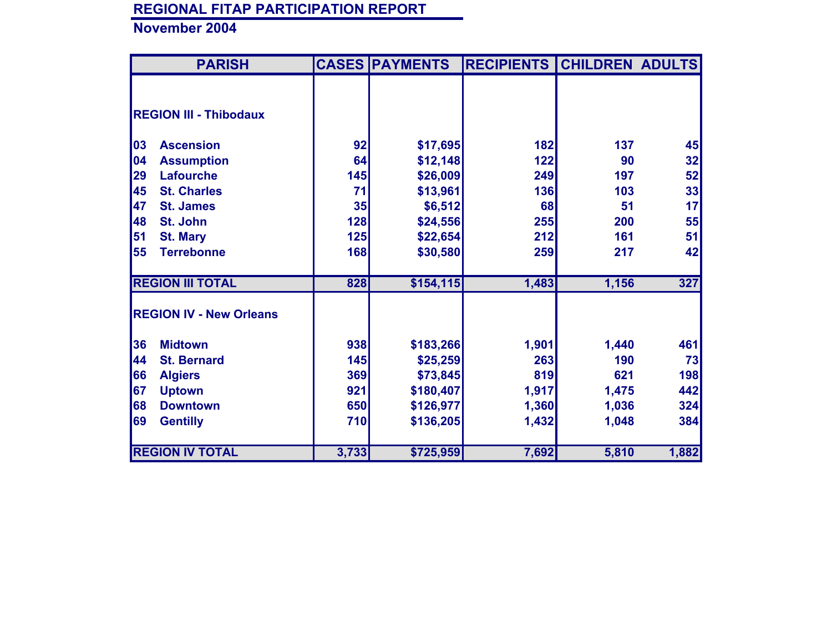| <b>PARISH</b>                  |       | <b>CASES PAYMENTS</b> | <b>RECIPIENTS</b> | <b>CHILDREN ADULTS</b> |            |
|--------------------------------|-------|-----------------------|-------------------|------------------------|------------|
|                                |       |                       |                   |                        |            |
| <b>REGION III - Thibodaux</b>  |       |                       |                   |                        |            |
| 03<br><b>Ascension</b>         | 92    | \$17,695              | 182               | 137                    | 45         |
| 04<br><b>Assumption</b>        | 64    | \$12,148              | 122               | 90                     | 32         |
| 29<br><b>Lafourche</b>         | 145   | \$26,009              | 249               | 197                    | 52         |
| 45<br><b>St. Charles</b>       | 71    | \$13,961              | 136               | 103                    | 33         |
| 47<br><b>St. James</b>         | 35    | \$6,512               | 68                | 51                     | 17         |
| 48<br>St. John                 | 128   | \$24,556              | 255               | 200                    | 55         |
| 51<br><b>St. Mary</b>          | 125   | \$22,654              | 212               | 161                    | 51         |
| 55<br><b>Terrebonne</b>        | 168   | \$30,580              | 259               | 217                    | 42         |
| <b>REGION III TOTAL</b>        | 828   | \$154, 115            | 1,483             | 1,156                  | 327        |
| <b>REGION IV - New Orleans</b> |       |                       |                   |                        |            |
| 36<br><b>Midtown</b>           | 938   | \$183,266             | 1,901             | 1,440                  | 461        |
| 44<br><b>St. Bernard</b>       | 145   | \$25,259              | 263               | 190                    | 73         |
| 66<br><b>Algiers</b>           | 369   | \$73,845              | 819               | 621                    | <b>198</b> |
| 67<br><b>Uptown</b>            | 921   | \$180,407             | 1,917             | 1,475                  | 442        |
| 68<br><b>Downtown</b>          | 650   | \$126,977             | 1,360             | 1,036                  | 324        |
| 69<br><b>Gentilly</b>          | 710   | \$136,205             | 1,432             | 1,048                  | 384        |
| <b>REGION IV TOTAL</b>         | 3,733 | \$725,959             | 7,692             | 5,810                  | 1,882      |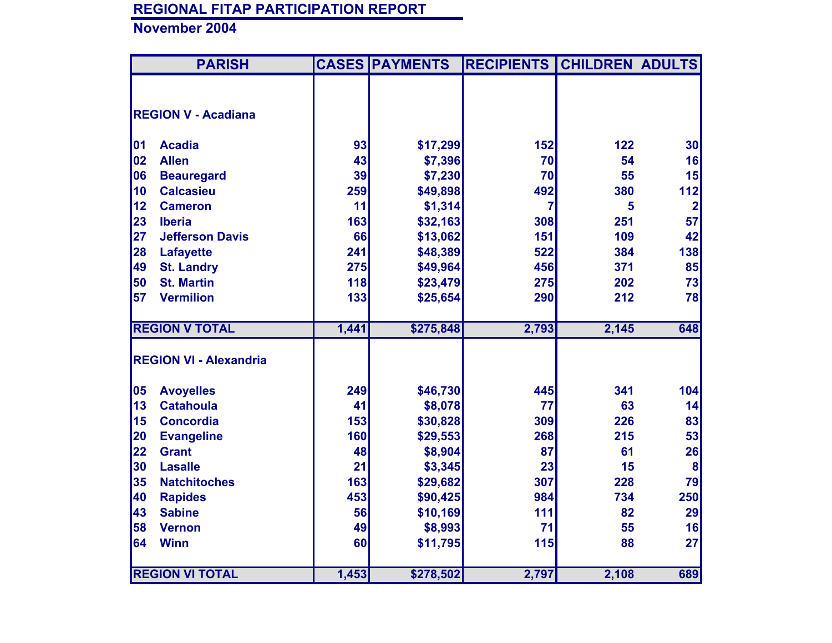|    | <b>PARISH</b>                 |       | <b>CASES PAYMENTS</b> | <b>RECIPIENTS</b> | <b>CHILDREN ADULTS</b> |                  |
|----|-------------------------------|-------|-----------------------|-------------------|------------------------|------------------|
|    |                               |       |                       |                   |                        |                  |
|    | <b>REGION V - Acadiana</b>    |       |                       |                   |                        |                  |
| 01 | <b>Acadia</b>                 | 93    | \$17,299              | 152               | 122                    | 30 <sub>l</sub>  |
| 02 | <b>Allen</b>                  | 43    | \$7,396               | 70                | 54                     | 16               |
| 06 | <b>Beauregard</b>             | 39    | \$7,230               | 70                | 55                     | 15               |
| 10 | <b>Calcasieu</b>              | 259   | \$49,898              | 492               | 380                    | 112              |
| 12 | <b>Cameron</b>                | 11    | \$1,314               | 7                 | 5                      | $\mathbf{2}$     |
| 23 | <b>Iberia</b>                 | 163   | \$32,163              | 308               | 251                    | 57               |
| 27 | <b>Jefferson Davis</b>        | 66    | \$13,062              | 151               | 109                    | 42               |
| 28 | <b>Lafayette</b>              | 241   | \$48,389              | 522               | 384                    | 138              |
| 49 | <b>St. Landry</b>             | 275   | \$49,964              | 456               | 371                    | 85               |
| 50 | <b>St. Martin</b>             | 118   | \$23,479              | 275               | 202                    | 73               |
| 57 | <b>Vermilion</b>              | 133   | \$25,654              | 290               | 212                    | 78               |
|    |                               |       |                       |                   |                        |                  |
|    | <b>REGION V TOTAL</b>         | 1,441 | \$275,848             | 2,793             | 2,145                  | 648              |
|    |                               |       |                       |                   |                        |                  |
|    | <b>REGION VI - Alexandria</b> |       |                       |                   |                        |                  |
| 05 | <b>Avoyelles</b>              | 249   | \$46,730              | 445               | 341                    | 104              |
| 13 | <b>Catahoula</b>              | 41    | \$8,078               | 77                | 63                     | 14               |
| 15 | <b>Concordia</b>              | 153   | \$30,828              | 309               | 226                    | 83               |
| 20 | <b>Evangeline</b>             | 160   | \$29,553              | 268               | 215                    | 53               |
| 22 | <b>Grant</b>                  | 48    | \$8,904               | 87                | 61                     | 26               |
| 30 | <b>Lasalle</b>                | 21    | \$3,345               | 23                | 15                     | $\boldsymbol{8}$ |
| 35 | <b>Natchitoches</b>           | 163   | \$29,682              | 307               | 228                    | 79               |
| 40 | <b>Rapides</b>                | 453   | \$90,425              | 984               | 734                    | 250              |
| 43 | <b>Sabine</b>                 | 56    | \$10,169              | 111               | 82                     | 29               |
| 58 | <b>Vernon</b>                 | 49    | \$8,993               | 71                | 55                     | 16               |
| 64 | <b>Winn</b>                   | 60    | \$11,795              | 115               | 88                     | 27               |
|    |                               |       |                       |                   |                        |                  |
|    | <b>REGION VI TOTAL</b>        | 1,453 | \$278,502             | 2,797             | 2,108                  | 689              |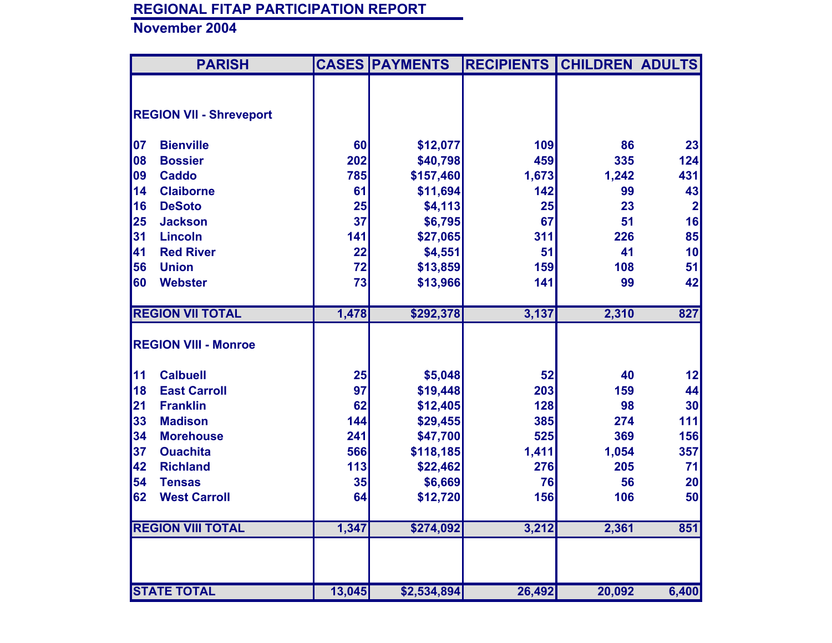|    | <b>PARISH</b>                  |        | <b>CASES PAYMENTS</b> | <b>RECIPIENTS</b> | <b>CHILDREN ADULTS</b> |                         |
|----|--------------------------------|--------|-----------------------|-------------------|------------------------|-------------------------|
|    |                                |        |                       |                   |                        |                         |
|    | <b>REGION VII - Shreveport</b> |        |                       |                   |                        |                         |
|    |                                |        |                       |                   |                        |                         |
| 07 | <b>Bienville</b>               | 60     | \$12,077              | 109               | 86                     | 23                      |
| 08 | <b>Bossier</b>                 | 202    | \$40,798              | 459               | 335                    | 124                     |
| 09 | <b>Caddo</b>                   | 785    | \$157,460             | 1,673             | 1,242                  | 431                     |
| 14 | <b>Claiborne</b>               | 61     | \$11,694              | 142               | 99                     | 43                      |
| 16 | <b>DeSoto</b>                  | 25     | \$4,113               | 25                | 23                     | $\overline{\mathbf{2}}$ |
| 25 | <b>Jackson</b>                 | 37     | \$6,795               | 67                | 51                     | 16                      |
| 31 | <b>Lincoln</b>                 | 141    | \$27,065              | 311               | 226                    | 85                      |
| 41 | <b>Red River</b>               | 22     | \$4,551               | 51                | 41                     | 10                      |
| 56 | <b>Union</b>                   | 72     | \$13,859              | 159               | 108                    | 51                      |
| 60 | <b>Webster</b>                 | 73     | \$13,966              | 141               | 99                     | 42                      |
|    |                                |        |                       |                   |                        |                         |
|    | <b>REGION VII TOTAL</b>        | 1,478  | \$292,378             | 3,137             | 2,310                  | 827                     |
|    | <b>REGION VIII - Monroe</b>    |        |                       |                   |                        |                         |
|    |                                |        |                       |                   |                        |                         |
| 11 | <b>Calbuell</b>                | 25     | \$5,048               | 52                | 40                     | 12                      |
| 18 | <b>East Carroll</b>            | 97     | \$19,448              | 203               | 159                    | 44                      |
| 21 | <b>Franklin</b>                | 62     | \$12,405              | 128               | 98                     | 30                      |
| 33 | <b>Madison</b>                 | 144    | \$29,455              | 385               | 274                    | 111                     |
| 34 | <b>Morehouse</b>               | 241    | \$47,700              | 525               | 369                    | 156                     |
| 37 | <b>Ouachita</b>                | 566    | \$118,185             | 1,411             | 1,054                  | 357                     |
| 42 | <b>Richland</b>                | 113    | \$22,462              | 276               | 205                    | 71                      |
| 54 | <b>Tensas</b>                  | 35     | \$6,669               | 76                | 56                     | 20                      |
| 62 | <b>West Carroll</b>            | 64     | \$12,720              | 156               | 106                    | 50                      |
|    |                                |        |                       |                   |                        |                         |
|    | <b>REGION VIII TOTAL</b>       | 1,347  | \$274,092             | 3,212             | 2,361                  | 851                     |
|    |                                |        |                       |                   |                        |                         |
|    |                                |        |                       |                   |                        |                         |
|    | <b>STATE TOTAL</b>             | 13,045 | \$2,534,894           | 26,492            | 20,092                 | 6,400                   |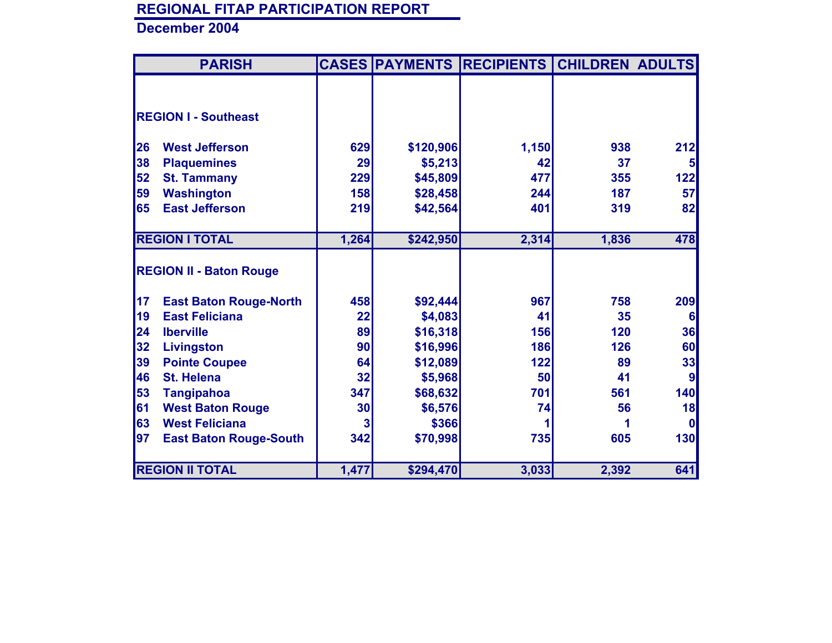|           | <b>PARISH</b>                  |       | <b>CASES PAYMENTS</b> | <b>RECIPIENTS</b> | <b>CHILDREN ADULTS</b> |              |
|-----------|--------------------------------|-------|-----------------------|-------------------|------------------------|--------------|
|           |                                |       |                       |                   |                        |              |
|           |                                |       |                       |                   |                        |              |
|           | <b>REGION I - Southeast</b>    |       |                       |                   |                        |              |
|           |                                |       |                       |                   |                        |              |
| <b>26</b> | <b>West Jefferson</b>          | 629   | \$120,906             | 1,150             | 938                    | 212          |
| 38        | <b>Plaquemines</b>             | 29    | \$5,213               | 42                | 37                     |              |
| 52        | <b>St. Tammany</b>             | 229   | \$45,809              | 477               | 355                    | 122          |
| 59        | <b>Washington</b>              | 158   | \$28,458              | 244               | 187                    | 57           |
| 65        | <b>East Jefferson</b>          | 219   | \$42,564              | 401               | 319                    | 82           |
|           |                                |       |                       |                   |                        |              |
|           | <b>REGION I TOTAL</b>          | 1,264 | \$242,950             | 2,314             | 1,836                  | 478          |
|           |                                |       |                       |                   |                        |              |
|           | <b>REGION II - Baton Rouge</b> |       |                       |                   |                        |              |
|           |                                |       |                       |                   |                        |              |
| 17        | <b>East Baton Rouge-North</b>  | 458   | \$92,444              | 967               | 758                    | 209          |
| <b>19</b> | <b>East Feliciana</b>          | 22    | \$4,083               | 41                | 35                     | 6            |
| 24        | <b>Iberville</b>               | 89    | \$16,318              | 156               | 120                    | 36           |
| 32        | Livingston                     | 90    | \$16,996              | 186               | 126                    | 60           |
| 39        | <b>Pointe Coupee</b>           | 64    | \$12,089              | 122               | 89                     | 33           |
| 46        | <b>St. Helena</b>              | 32    | \$5,968               | 50                | 41                     | 9            |
| 53        | <b>Tangipahoa</b>              | 347   | \$68,632              | 701               | 561                    | 140          |
| 61        | <b>West Baton Rouge</b>        | 30    | \$6,576               | 74                | 56                     | 18           |
| 63        | <b>West Feliciana</b>          |       | \$366                 |                   |                        | $\mathbf{0}$ |
| 97        | <b>East Baton Rouge-South</b>  | 342   | \$70,998              | 735               | 605                    | 130          |
|           |                                |       |                       |                   |                        |              |
|           | <b>REGION II TOTAL</b>         | 1,477 | \$294,470             | 3,033             | 2,392                  | 641          |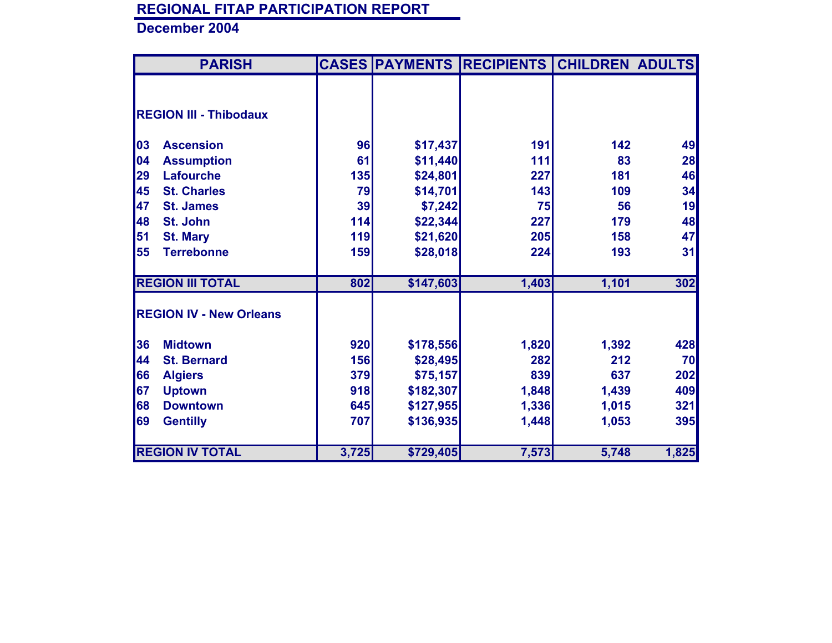| <b>PARISH</b>                  |       |           | <b>CASES PAYMENTS RECIPIENTS</b> | <b>CHILDREN ADULTS</b> |       |
|--------------------------------|-------|-----------|----------------------------------|------------------------|-------|
|                                |       |           |                                  |                        |       |
|                                |       |           |                                  |                        |       |
| <b>REGION III - Thibodaux</b>  |       |           |                                  |                        |       |
|                                |       |           |                                  |                        |       |
| 03<br><b>Ascension</b>         | 96    | \$17,437  | 191                              | 142                    | 49    |
| 04<br><b>Assumption</b>        | 61    | \$11,440  | 111                              | 83                     | 28    |
| 29<br><b>Lafourche</b>         | 135   | \$24,801  | 227                              | 181                    | 46    |
| 45<br><b>St. Charles</b>       | 79    | \$14,701  | 143                              | 109                    | 34    |
| 47<br><b>St. James</b>         | 39    | \$7,242   | 75                               | 56                     | 19    |
| 48<br>St. John                 | 114   | \$22,344  | 227                              | 179                    | 48    |
| 51<br><b>St. Mary</b>          | 119   | \$21,620  | 205                              | 158                    | 47    |
| 55<br><b>Terrebonne</b>        | 159   | \$28,018  | 224                              | 193                    | 31    |
|                                |       |           |                                  |                        |       |
| <b>REGION III TOTAL</b>        | 802   | \$147,603 | 1,403                            | 1,101                  | 302   |
|                                |       |           |                                  |                        |       |
| <b>REGION IV - New Orleans</b> |       |           |                                  |                        |       |
|                                |       |           |                                  |                        |       |
| 36<br><b>Midtown</b>           | 920   | \$178,556 | 1,820                            | 1,392                  | 428   |
| 44<br><b>St. Bernard</b>       | 156   | \$28,495  | 282                              | 212                    | 70    |
| 66<br><b>Algiers</b>           | 379   | \$75,157  | 839                              | 637                    | 202   |
| 67<br><b>Uptown</b>            | 918   | \$182,307 | 1,848                            | 1,439                  | 409   |
| 68<br><b>Downtown</b>          | 645   | \$127,955 | 1,336                            | 1,015                  | 321   |
| 69<br><b>Gentilly</b>          | 707   | \$136,935 | 1,448                            | 1,053                  | 395   |
|                                |       |           |                                  |                        |       |
| <b>REGION IV TOTAL</b>         | 3,725 | \$729,405 | 7,573                            | 5,748                  | 1,825 |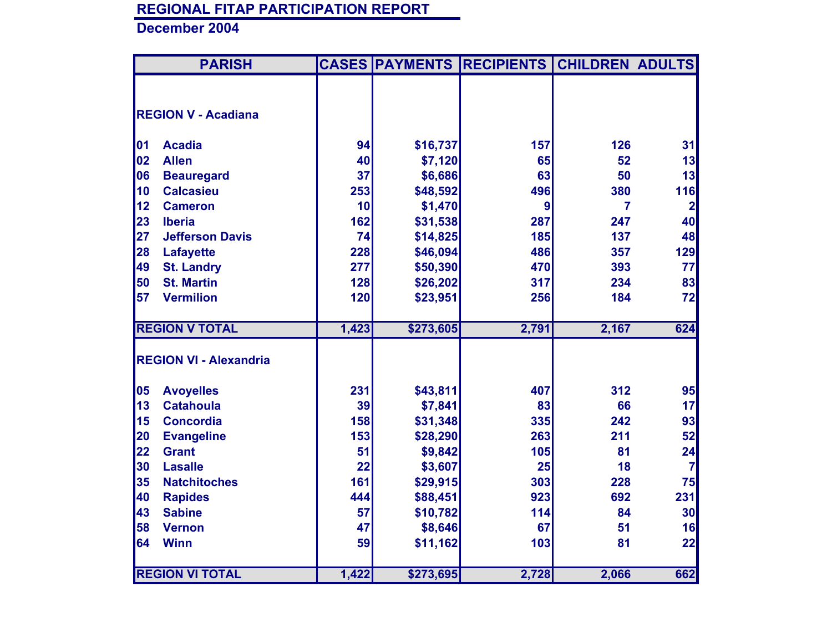|    | <b>PARISH</b>                 |       |           | <b>CASES PAYMENTS RECIPIENTS CHILDREN ADULTS</b> |                |                         |
|----|-------------------------------|-------|-----------|--------------------------------------------------|----------------|-------------------------|
|    |                               |       |           |                                                  |                |                         |
|    | <b>REGION V - Acadiana</b>    |       |           |                                                  |                |                         |
|    |                               |       |           |                                                  |                |                         |
| 01 | <b>Acadia</b>                 | 94    | \$16,737  | 157                                              | 126            | 31                      |
| 02 | <b>Allen</b>                  | 40    | \$7,120   | 65                                               | 52             | 13                      |
| 06 | <b>Beauregard</b>             | 37    | \$6,686   | 63                                               | 50             | 13                      |
| 10 | <b>Calcasieu</b>              | 253   | \$48,592  | 496                                              | 380            | 116                     |
| 12 | <b>Cameron</b>                | 10    | \$1,470   | $\boldsymbol{9}$                                 | $\overline{7}$ | $\overline{\mathbf{2}}$ |
| 23 | <b>Iberia</b>                 | 162   | \$31,538  | 287                                              | 247            | 40                      |
| 27 | <b>Jefferson Davis</b>        | 74    | \$14,825  | 185                                              | 137            | 48                      |
| 28 | <b>Lafayette</b>              | 228   | \$46,094  | 486                                              | 357            | 129                     |
| 49 | <b>St. Landry</b>             | 277   | \$50,390  | 470                                              | 393            | 77                      |
| 50 | <b>St. Martin</b>             | 128   | \$26,202  | 317                                              | 234            | 83                      |
| 57 | <b>Vermilion</b>              | 120   | \$23,951  | 256                                              | 184            | 72                      |
|    |                               |       |           |                                                  |                |                         |
|    | <b>REGION V TOTAL</b>         | 1,423 | \$273,605 | 2,791                                            | 2,167          | 624                     |
|    |                               |       |           |                                                  |                |                         |
|    | <b>REGION VI - Alexandria</b> |       |           |                                                  |                |                         |
| 05 | <b>Avoyelles</b>              | 231   | \$43,811  | 407                                              | 312            | 95                      |
| 13 | <b>Catahoula</b>              | 39    | \$7,841   | 83                                               | 66             | 17                      |
| 15 | <b>Concordia</b>              | 158   | \$31,348  | 335                                              | 242            | 93                      |
| 20 | <b>Evangeline</b>             | 153   | \$28,290  | 263                                              | 211            | 52                      |
| 22 | <b>Grant</b>                  | 51    | \$9,842   | 105                                              | 81             | 24                      |
| 30 | <b>Lasalle</b>                | 22    | \$3,607   | 25                                               | 18             | $\overline{7}$          |
| 35 | <b>Natchitoches</b>           | 161   | \$29,915  | 303                                              | 228            | 75                      |
| 40 | <b>Rapides</b>                | 444   | \$88,451  | 923                                              | 692            | 231                     |
| 43 | <b>Sabine</b>                 | 57    | \$10,782  | 114                                              | 84             | 30                      |
| 58 | <b>Vernon</b>                 | 47    | \$8,646   | 67                                               | 51             | 16                      |
| 64 | <b>Winn</b>                   | 59    | \$11,162  | 103                                              | 81             | 22                      |
|    |                               |       |           |                                                  |                |                         |
|    | <b>REGION VI TOTAL</b>        | 1,422 | \$273,695 | 2,728                                            | 2,066          | 662                     |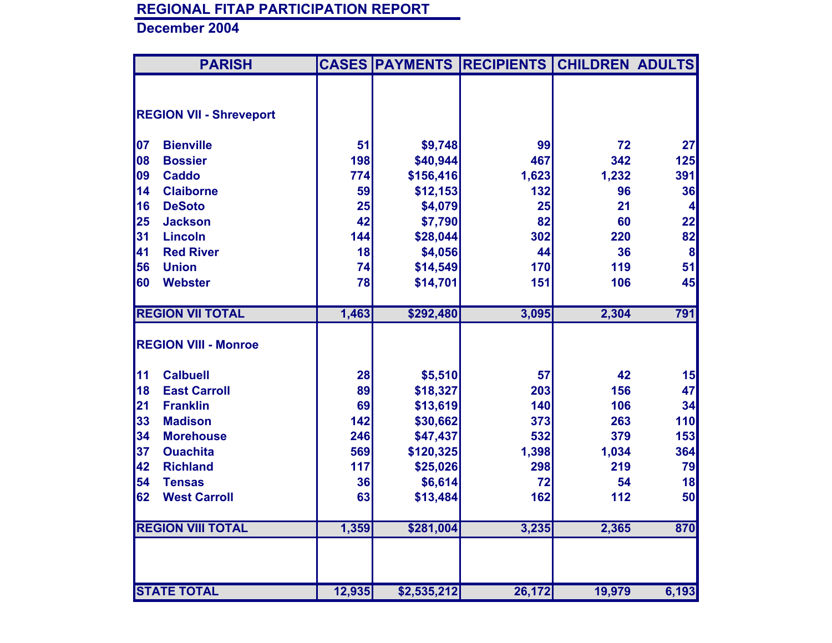| <b>PARISH</b>                  |        |             | <b>CASES PAYMENTS RECIPIENTS</b> | <b>CHILDREN ADULTS</b> |                  |
|--------------------------------|--------|-------------|----------------------------------|------------------------|------------------|
|                                |        |             |                                  |                        |                  |
| <b>REGION VII - Shreveport</b> |        |             |                                  |                        |                  |
|                                |        |             |                                  |                        |                  |
| <b>Bienville</b><br>07         | 51     | \$9,748     | 99                               | 72                     | 27               |
| 08<br><b>Bossier</b>           | 198    | \$40,944    | 467                              | 342                    | 125              |
| 09<br><b>Caddo</b>             | 774    | \$156,416   | 1,623                            | 1,232                  | 391              |
| 14<br><b>Claiborne</b>         | 59     | \$12,153    | 132                              | 96                     | 36               |
| 16<br><b>DeSoto</b>            | 25     | \$4,079     | 25                               | 21                     | 4                |
| 25<br><b>Jackson</b>           | 42     | \$7,790     | 82                               | 60                     | 22               |
| 31<br><b>Lincoln</b>           | 144    | \$28,044    | 302                              | 220                    | 82               |
| 41<br><b>Red River</b>         | 18     | \$4,056     | 44                               | 36                     | $\boldsymbol{8}$ |
| 56<br><b>Union</b>             | 74     | \$14,549    | 170                              | 119                    | 51               |
| 60<br><b>Webster</b>           | 78     | \$14,701    | 151                              | 106                    | 45               |
| <b>REGION VII TOTAL</b>        | 1,463  | \$292,480   | 3,095                            | 2,304                  | 791              |
| <b>REGION VIII - Monroe</b>    |        |             |                                  |                        |                  |
| <b>Calbuell</b><br>11          | 28     | \$5,510     | 57                               | 42                     | 15               |
| <b>East Carroll</b><br>18      | 89     | \$18,327    | 203                              | 156                    | 47               |
| 21<br><b>Franklin</b>          | 69     | \$13,619    | 140                              | 106                    | 34               |
| 33<br><b>Madison</b>           | 142    | \$30,662    | 373                              | 263                    | 110              |
| 34<br><b>Morehouse</b>         | 246    | \$47,437    | 532                              | 379                    | 153              |
| 37<br><b>Ouachita</b>          | 569    | \$120,325   | 1,398                            | 1,034                  | 364              |
| 42<br><b>Richland</b>          | 117    | \$25,026    | 298                              | 219                    | 79               |
| 54<br><b>Tensas</b>            | 36     | \$6,614     | 72                               | 54                     | 18               |
| 62<br><b>West Carroll</b>      | 63     | \$13,484    | 162                              | 112                    | 50               |
| <b>REGION VIII TOTAL</b>       | 1,359  | \$281,004   | 3,235                            | 2,365                  | 870              |
|                                |        |             |                                  |                        |                  |
| <b>STATE TOTAL</b>             | 12,935 | \$2,535,212 | 26,172                           | 19,979                 | 6,193            |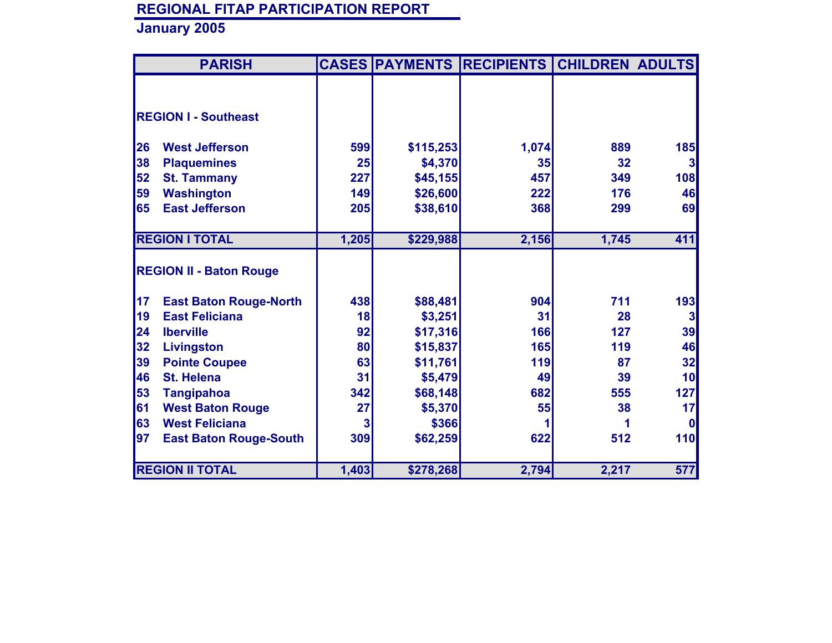|    | <b>PARISH</b>                  |       |           | <b>CASES PAYMENTS RECIPIENTS CHILDREN ADULTS</b> |       |                 |
|----|--------------------------------|-------|-----------|--------------------------------------------------|-------|-----------------|
|    |                                |       |           |                                                  |       |                 |
|    |                                |       |           |                                                  |       |                 |
|    | <b>REGION I - Southeast</b>    |       |           |                                                  |       |                 |
| 26 | <b>West Jefferson</b>          | 599   | \$115,253 | 1,074                                            | 889   | <b>185</b>      |
| 38 | <b>Plaquemines</b>             | 25    | \$4,370   | 35                                               | 32    | 3 <sup>l</sup>  |
| 52 | <b>St. Tammany</b>             | 227   | \$45,155  | 457                                              | 349   | 108             |
| 59 | <b>Washington</b>              | 149   | \$26,600  | 222                                              | 176   | 46              |
| 65 | <b>East Jefferson</b>          | 205   | \$38,610  | 368                                              | 299   | 69              |
|    |                                |       |           |                                                  |       |                 |
|    | <b>REGION I TOTAL</b>          | 1,205 | \$229,988 | 2,156                                            | 1,745 | 411             |
|    |                                |       |           |                                                  |       |                 |
|    | <b>REGION II - Baton Rouge</b> |       |           |                                                  |       |                 |
| 17 | <b>East Baton Rouge-North</b>  | 438   | \$88,481  | 904                                              | 711   | 193             |
| 19 | <b>East Feliciana</b>          | 18    | \$3,251   | 31                                               | 28    | 3 <sup>1</sup>  |
| 24 | <b>Iberville</b>               | 92    | \$17,316  | 166                                              | 127   | 39              |
| 32 | <b>Livingston</b>              | 80    | \$15,837  | <b>165</b>                                       | 119   | 46              |
| 39 | <b>Pointe Coupee</b>           | 63    | \$11,761  | 119                                              | 87    | 32              |
| 46 | <b>St. Helena</b>              | 31    | \$5,479   | 49                                               | 39    | 10 <sup>1</sup> |
| 53 | <b>Tangipahoa</b>              | 342   | \$68,148  | 682                                              | 555   | 127             |
| 61 | <b>West Baton Rouge</b>        | 27    | \$5,370   | 55                                               | 38    | 17              |
| 63 | <b>West Feliciana</b>          | 3     | \$366     |                                                  |       | $\mathbf{0}$    |
| 97 | <b>East Baton Rouge-South</b>  | 309   | \$62,259  | 622                                              | 512   | 110             |
|    |                                |       |           |                                                  |       |                 |
|    | <b>REGION II TOTAL</b>         | 1,403 | \$278,268 | 2,794                                            | 2,217 | 577             |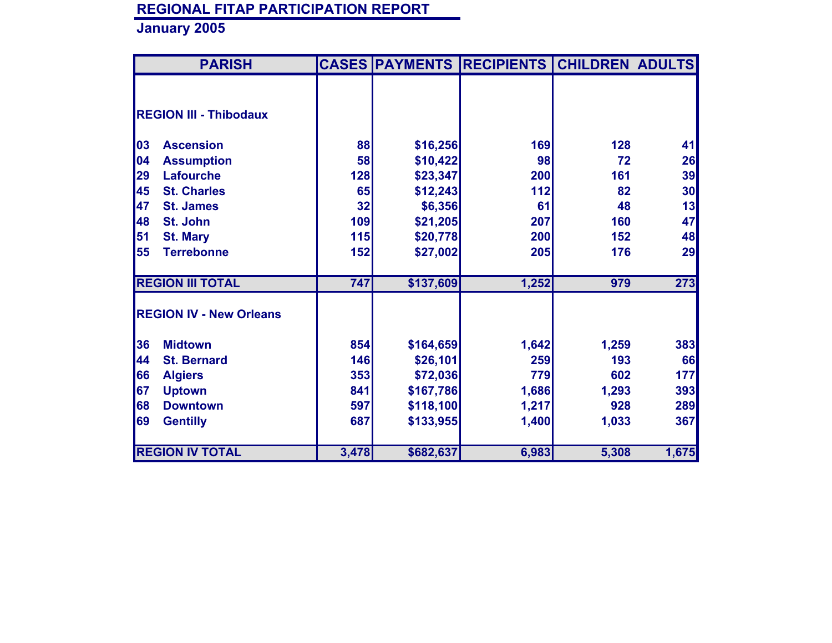| <b>PARISH</b>                  |                  |           | <b>CASES PAYMENTS RECIPIENTS</b> | <b>CHILDREN ADULTS</b> |       |
|--------------------------------|------------------|-----------|----------------------------------|------------------------|-------|
|                                |                  |           |                                  |                        |       |
|                                |                  |           |                                  |                        |       |
| <b>REGION III - Thibodaux</b>  |                  |           |                                  |                        |       |
|                                |                  |           |                                  |                        |       |
| 03<br><b>Ascension</b>         | 88               | \$16,256  | 169                              | 128                    | 41    |
| 04<br><b>Assumption</b>        | 58               | \$10,422  | 98                               | 72                     | 26    |
| 29<br><b>Lafourche</b>         | 128              | \$23,347  | 200                              | 161                    | 39    |
| 45<br><b>St. Charles</b>       | 65               | \$12,243  | 112                              | 82                     | 30    |
| 47<br><b>St. James</b>         | 32               | \$6,356   | 61                               | 48                     | 13    |
| 48<br>St. John                 | 109              | \$21,205  | 207                              | 160                    | 47    |
| 51<br><b>St. Mary</b>          | 115              | \$20,778  | 200                              | 152                    | 48    |
| 55<br><b>Terrebonne</b>        | 152              | \$27,002  | 205                              | 176                    | 29    |
|                                |                  |           |                                  |                        |       |
| <b>REGION III TOTAL</b>        | $\overline{747}$ | \$137,609 | 1,252                            | 979                    | 273   |
|                                |                  |           |                                  |                        |       |
| <b>REGION IV - New Orleans</b> |                  |           |                                  |                        |       |
| 36<br><b>Midtown</b>           | 854              | \$164,659 | 1,642                            | 1,259                  | 383   |
| 44<br><b>St. Bernard</b>       | 146              | \$26,101  | 259                              | 193                    | 66    |
| 66<br><b>Algiers</b>           | 353              | \$72,036  | 779                              | 602                    | 177   |
| 67<br><b>Uptown</b>            | 841              | \$167,786 | 1,686                            | 1,293                  | 393   |
| 68<br><b>Downtown</b>          | 597              | \$118,100 | 1,217                            | 928                    | 289   |
| 69<br><b>Gentilly</b>          | 687              | \$133,955 | 1,400                            | 1,033                  | 367   |
|                                |                  |           |                                  |                        |       |
| <b>REGION IV TOTAL</b>         | 3,478            | \$682,637 | 6,983                            | 5,308                  | 1,675 |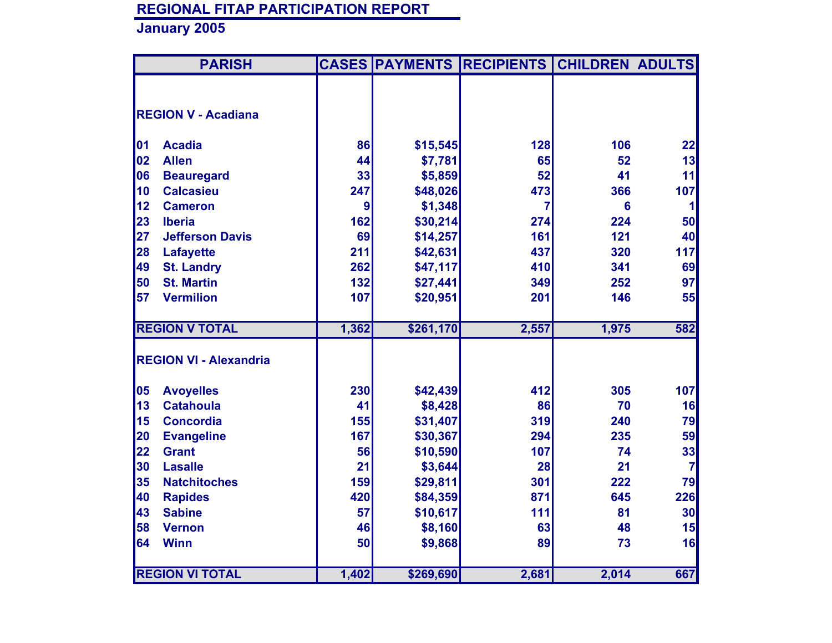|    | <b>PARISH</b>                 |                  |           | <b>CASES PAYMENTS RECIPIENTS</b> | <b>CHILDREN ADULTS</b> |                |
|----|-------------------------------|------------------|-----------|----------------------------------|------------------------|----------------|
|    |                               |                  |           |                                  |                        |                |
|    | <b>REGION V - Acadiana</b>    |                  |           |                                  |                        |                |
|    |                               |                  |           |                                  |                        |                |
| 01 | <b>Acadia</b>                 | 86               | \$15,545  | 128                              | 106                    | 22             |
| 02 | <b>Allen</b>                  | 44               | \$7,781   | 65                               | 52                     | 13             |
| 06 | <b>Beauregard</b>             | 33               | \$5,859   | 52                               | 41                     | 11             |
| 10 | <b>Calcasieu</b>              | 247              | \$48,026  | 473                              | 366                    | 107            |
| 12 | <b>Cameron</b>                | $\boldsymbol{9}$ | \$1,348   | 7                                | 6                      | $\mathbf{1}$   |
| 23 | <b>Iberia</b>                 | 162              | \$30,214  | 274                              | 224                    | 50             |
| 27 | <b>Jefferson Davis</b>        | 69               | \$14,257  | 161                              | 121                    | 40             |
| 28 | <b>Lafayette</b>              | 211              | \$42,631  | 437                              | 320                    | 117            |
| 49 | <b>St. Landry</b>             | 262              | \$47,117  | 410                              | 341                    | 69             |
| 50 | <b>St. Martin</b>             | 132              | \$27,441  | 349                              | 252                    | 97             |
| 57 | <b>Vermilion</b>              | 107              | \$20,951  | 201                              | 146                    | 55             |
|    |                               |                  |           |                                  |                        |                |
|    | <b>REGION V TOTAL</b>         | 1,362            | \$261,170 | 2,557                            | 1,975                  | 582            |
|    |                               |                  |           |                                  |                        |                |
|    | <b>REGION VI - Alexandria</b> |                  |           |                                  |                        |                |
| 05 | <b>Avoyelles</b>              | 230              | \$42,439  | 412                              | 305                    | 107            |
| 13 | <b>Catahoula</b>              | 41               | \$8,428   | 86                               | 70                     | 16             |
| 15 | <b>Concordia</b>              | 155              | \$31,407  | 319                              | 240                    | 79             |
| 20 | <b>Evangeline</b>             | 167              | \$30,367  | 294                              | 235                    | 59             |
| 22 | <b>Grant</b>                  | 56               | \$10,590  | 107                              | 74                     | 33             |
| 30 | <b>Lasalle</b>                | 21               | \$3,644   | 28                               | 21                     | $\overline{7}$ |
| 35 | <b>Natchitoches</b>           | 159              | \$29,811  | 301                              | 222                    | 79             |
| 40 | <b>Rapides</b>                | 420              | \$84,359  | 871                              | 645                    | 226            |
| 43 | <b>Sabine</b>                 | 57               | \$10,617  | 111                              | 81                     | 30             |
| 58 | <b>Vernon</b>                 | 46               | \$8,160   | 63                               | 48                     | 15             |
| 64 | <b>Winn</b>                   | 50               | \$9,868   | 89                               | 73                     | 16             |
|    |                               |                  |           |                                  |                        |                |
|    | <b>REGION VI TOTAL</b>        | 1,402            | \$269,690 | 2,681                            | 2,014                  | 667            |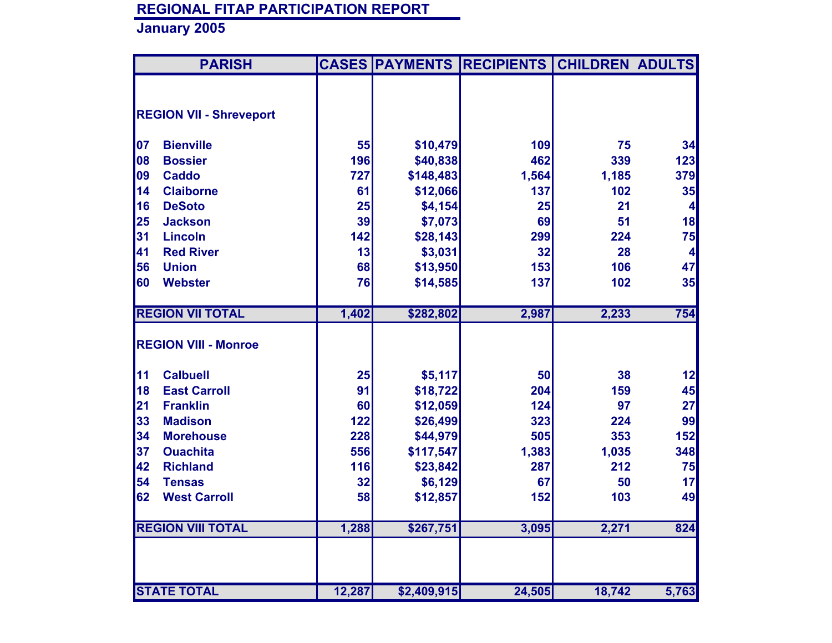|    | <b>PARISH</b>                  |        |             | <b>CASES PAYMENTS RECIPIENTS</b> | <b>CHILDREN ADULTS</b> |         |
|----|--------------------------------|--------|-------------|----------------------------------|------------------------|---------|
|    |                                |        |             |                                  |                        |         |
|    | <b>REGION VII - Shreveport</b> |        |             |                                  |                        |         |
|    |                                |        |             |                                  |                        |         |
| 07 | <b>Bienville</b>               | 55     | \$10,479    | 109                              | 75                     | 34      |
| 08 | <b>Bossier</b>                 | 196    | \$40,838    | 462                              | 339                    | 123     |
| 09 | <b>Caddo</b>                   | 727    | \$148,483   | 1,564                            | 1,185                  | 379     |
| 14 | <b>Claiborne</b>               | 61     | \$12,066    | 137                              | 102                    | 35      |
| 16 | <b>DeSoto</b>                  | 25     | \$4,154     | 25                               | 21                     | $\vert$ |
| 25 | <b>Jackson</b>                 | 39     | \$7,073     | 69                               | 51                     | 18      |
| 31 | <b>Lincoln</b>                 | 142    | \$28,143    | 299                              | 224                    | 75      |
| 41 | <b>Red River</b>               | 13     | \$3,031     | 32                               | 28                     | $\vert$ |
| 56 | <b>Union</b>                   | 68     | \$13,950    | 153                              | 106                    | 47      |
| 60 | <b>Webster</b>                 | 76     | \$14,585    | 137                              | 102                    | 35      |
|    |                                |        |             |                                  |                        |         |
|    | <b>REGION VII TOTAL</b>        | 1,402  | \$282,802   | 2,987                            | 2,233                  | 754     |
|    |                                |        |             |                                  |                        |         |
|    | <b>REGION VIII - Monroe</b>    |        |             |                                  |                        |         |
| 11 | <b>Calbuell</b>                | 25     | \$5,117     | 50                               | 38                     | 12      |
| 18 | <b>East Carroll</b>            | 91     | \$18,722    | 204                              | 159                    | 45      |
| 21 | <b>Franklin</b>                | 60     | \$12,059    | 124                              | 97                     | 27      |
| 33 | <b>Madison</b>                 | 122    | \$26,499    | 323                              | 224                    | 99      |
| 34 | <b>Morehouse</b>               | 228    | \$44,979    | 505                              | 353                    | 152     |
| 37 | <b>Ouachita</b>                | 556    | \$117,547   | 1,383                            | 1,035                  | 348     |
| 42 | <b>Richland</b>                | 116    | \$23,842    | 287                              | 212                    | 75      |
| 54 | <b>Tensas</b>                  | 32     | \$6,129     | 67                               | 50                     | 17      |
| 62 | <b>West Carroll</b>            | 58     | \$12,857    | 152                              | 103                    | 49      |
|    |                                |        |             |                                  |                        |         |
|    | <b>REGION VIII TOTAL</b>       | 1,288  | \$267,751   | 3,095                            | 2,271                  | 824     |
|    |                                |        |             |                                  |                        |         |
|    |                                |        |             |                                  |                        |         |
|    |                                |        |             |                                  |                        |         |
|    | <b>STATE TOTAL</b>             | 12,287 | \$2,409,915 | 24,505                           | 18,742                 | 5,763   |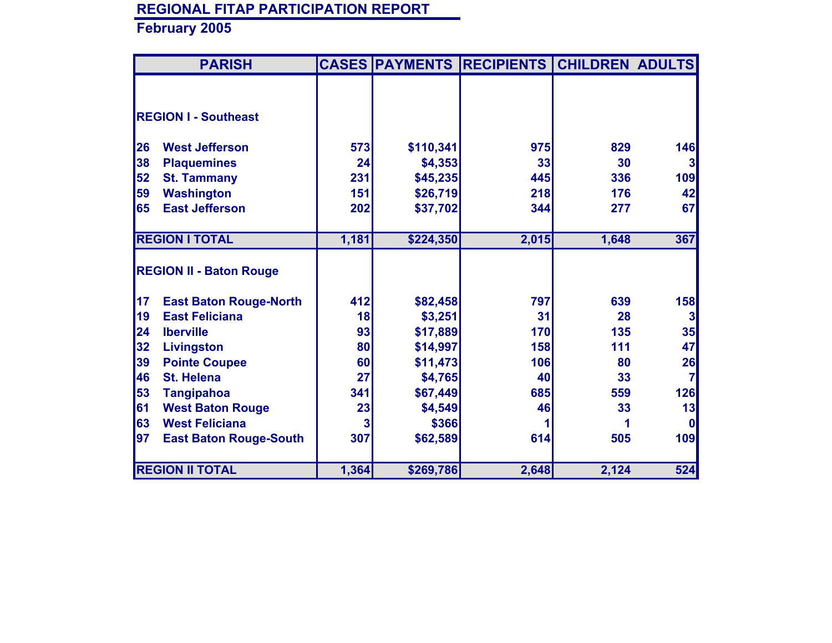|    | <b>PARISH</b>                  |       |           | <b>CASES PAYMENTS RECIPIENTS CHILDREN ADULTS</b> |       |                |
|----|--------------------------------|-------|-----------|--------------------------------------------------|-------|----------------|
|    |                                |       |           |                                                  |       |                |
|    |                                |       |           |                                                  |       |                |
|    | <b>REGION I - Southeast</b>    |       |           |                                                  |       |                |
| 26 | <b>West Jefferson</b>          | 573   | \$110,341 | 975                                              | 829   | 146            |
| 38 | <b>Plaquemines</b>             | 24    | \$4,353   | 33                                               | 30    | $\mathbf{3}$   |
| 52 |                                | 231   |           | 445                                              | 336   | 109            |
|    | <b>St. Tammany</b>             |       | \$45,235  |                                                  |       |                |
| 59 | <b>Washington</b>              | 151   | \$26,719  | 218                                              | 176   | 42             |
| 65 | <b>East Jefferson</b>          | 202   | \$37,702  | 344                                              | 277   | 67             |
|    | <b>REGION I TOTAL</b>          | 1,181 | \$224,350 | 2,015                                            | 1,648 | 367            |
|    |                                |       |           |                                                  |       |                |
|    | <b>REGION II - Baton Rouge</b> |       |           |                                                  |       |                |
| 17 | <b>East Baton Rouge-North</b>  | 412   | \$82,458  | 797                                              | 639   | 158            |
| 19 | <b>East Feliciana</b>          | 18    | \$3,251   | 31                                               | 28    | 3 <sup>1</sup> |
| 24 | <b>Iberville</b>               | 93    | \$17,889  | 170                                              | 135   | 35             |
| 32 | <b>Livingston</b>              | 80    | \$14,997  | 158                                              | 111   | 47             |
| 39 | <b>Pointe Coupee</b>           | 60    | \$11,473  | 106                                              | 80    | 26             |
| 46 | <b>St. Helena</b>              | 27    | \$4,765   | 40                                               | 33    | $\overline{7}$ |
| 53 | <b>Tangipahoa</b>              | 341   | \$67,449  | 685                                              | 559   | 126            |
| 61 | <b>West Baton Rouge</b>        | 23    | \$4,549   | 46                                               | 33    | 13             |
| 63 | <b>West Feliciana</b>          |       | \$366     |                                                  |       | <sup>0</sup>   |
| 97 | <b>East Baton Rouge-South</b>  | 307   | \$62,589  | 614                                              | 505   | 109            |
|    |                                |       |           |                                                  |       |                |
|    | <b>REGION II TOTAL</b>         | 1,364 | \$269,786 | 2,648                                            | 2,124 | 524            |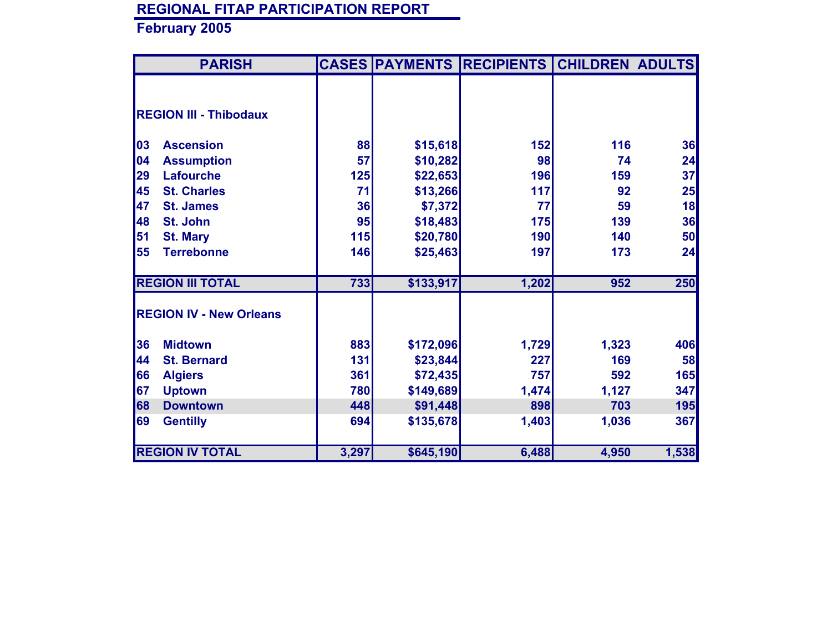| <b>PARISH</b>                  |       |           | <b>CASES PAYMENTS RECIPIENTS</b> | <b>CHILDREN ADULTS</b> |       |
|--------------------------------|-------|-----------|----------------------------------|------------------------|-------|
|                                |       |           |                                  |                        |       |
|                                |       |           |                                  |                        |       |
| <b>REGION III - Thibodaux</b>  |       |           |                                  |                        |       |
| 03<br><b>Ascension</b>         | 88    | \$15,618  | 152                              | 116                    | 36    |
| 04<br><b>Assumption</b>        | 57    | \$10,282  | 98                               | 74                     | 24    |
|                                |       |           |                                  |                        |       |
| 29<br><b>Lafourche</b>         | 125   | \$22,653  | 196                              | 159                    | 37    |
| 45<br><b>St. Charles</b>       | 71    | \$13,266  | 117                              | 92                     | 25    |
| 47<br><b>St. James</b>         | 36    | \$7,372   | 77                               | 59                     | 18    |
| 48<br>St. John                 | 95    | \$18,483  | 175                              | 139                    | 36    |
| 51<br><b>St. Mary</b>          | 115   | \$20,780  | 190                              | 140                    | 50    |
| 55<br><b>Terrebonne</b>        | 146   | \$25,463  | 197                              | 173                    | 24    |
| <b>REGION III TOTAL</b>        | 733   | \$133,917 | 1,202                            | 952                    | 250   |
| <b>REGION IV - New Orleans</b> |       |           |                                  |                        |       |
| 36<br><b>Midtown</b>           | 883   | \$172,096 | 1,729                            | 1,323                  | 406   |
| 44<br><b>St. Bernard</b>       | 131   | \$23,844  | 227                              | 169                    | 58    |
| 66<br><b>Algiers</b>           | 361   | \$72,435  | 757                              | 592                    | 165   |
| 67<br><b>Uptown</b>            | 780   | \$149,689 | 1,474                            |                        | 347   |
|                                |       |           |                                  | 1,127                  |       |
| 68<br><b>Downtown</b>          | 448   | \$91,448  | 898                              | 703                    | 195   |
| 69<br><b>Gentilly</b>          | 694   | \$135,678 | 1,403                            | 1,036                  | 367   |
| <b>REGION IV TOTAL</b>         | 3,297 | \$645,190 | 6,488                            | 4,950                  | 1,538 |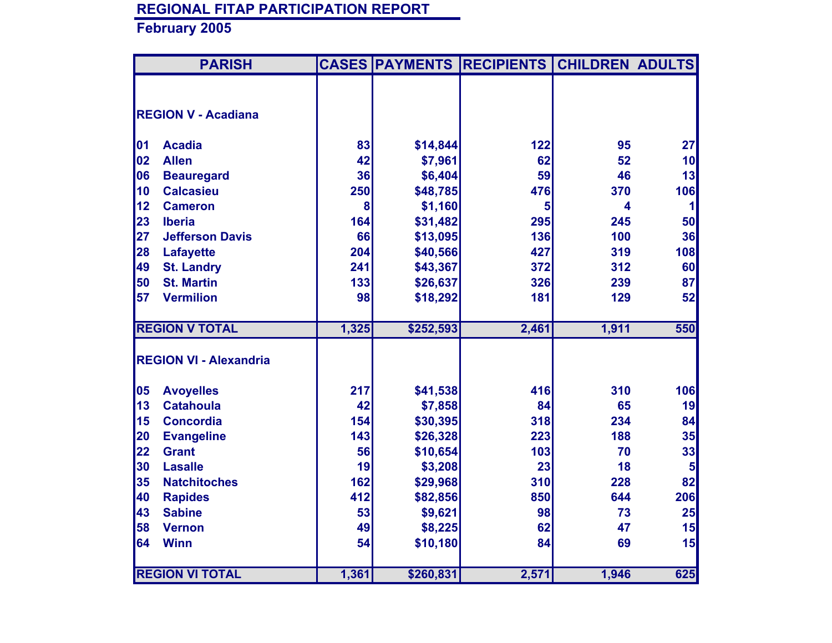|    | <b>PARISH</b>                 |       |           | <b>CASES PAYMENTS RECIPIENTS</b> | <b>CHILDREN ADULTS</b> |                |
|----|-------------------------------|-------|-----------|----------------------------------|------------------------|----------------|
|    |                               |       |           |                                  |                        |                |
|    | <b>REGION V - Acadiana</b>    |       |           |                                  |                        |                |
|    |                               |       |           |                                  |                        |                |
| 01 | <b>Acadia</b>                 | 83    | \$14,844  | 122                              | 95                     | 27             |
| 02 | <b>Allen</b>                  | 42    | \$7,961   | 62                               | 52                     | 10             |
| 06 | <b>Beauregard</b>             | 36    | \$6,404   | 59                               | 46                     | 13             |
| 10 | <b>Calcasieu</b>              | 250   | \$48,785  | 476                              | 370                    | 106            |
| 12 | <b>Cameron</b>                | 8     | \$1,160   | 5                                | 4                      | $\mathbf{1}$   |
| 23 | <b>Iberia</b>                 | 164   | \$31,482  | 295                              | 245                    | 50             |
| 27 | <b>Jefferson Davis</b>        | 66    | \$13,095  | 136                              | 100                    | 36             |
| 28 | <b>Lafayette</b>              | 204   | \$40,566  | 427                              | 319                    | 108            |
| 49 | <b>St. Landry</b>             | 241   | \$43,367  | 372                              | 312                    | 60             |
| 50 | <b>St. Martin</b>             | 133   | \$26,637  | 326                              | 239                    | 87             |
| 57 | <b>Vermilion</b>              | 98    | \$18,292  | 181                              | 129                    | 52             |
|    |                               |       |           |                                  |                        |                |
|    | <b>REGION V TOTAL</b>         | 1,325 | \$252,593 | 2,461                            | 1,911                  | 550            |
|    |                               |       |           |                                  |                        |                |
|    | <b>REGION VI - Alexandria</b> |       |           |                                  |                        |                |
| 05 | <b>Avoyelles</b>              | 217   | \$41,538  | 416                              | 310                    | 106            |
| 13 | <b>Catahoula</b>              | 42    | \$7,858   | 84                               | 65                     | 19             |
| 15 | <b>Concordia</b>              | 154   | \$30,395  | 318                              | 234                    | 84             |
| 20 | <b>Evangeline</b>             | 143   | \$26,328  | 223                              | 188                    | 35             |
| 22 | <b>Grant</b>                  | 56    | \$10,654  | 103                              | 70                     | 33             |
| 30 | <b>Lasalle</b>                | 19    | \$3,208   | 23                               | 18                     | $5\phantom{1}$ |
| 35 | <b>Natchitoches</b>           | 162   | \$29,968  | 310                              | 228                    | 82             |
| 40 | <b>Rapides</b>                | 412   | \$82,856  | 850                              | 644                    | 206            |
| 43 | <b>Sabine</b>                 | 53    | \$9,621   | 98                               | 73                     | 25             |
| 58 | <b>Vernon</b>                 | 49    | \$8,225   | 62                               | 47                     | 15             |
| 64 | <b>Winn</b>                   | 54    | \$10,180  | 84                               | 69                     | 15             |
|    |                               |       |           |                                  |                        |                |
|    | <b>REGION VI TOTAL</b>        | 1,361 | \$260,831 | 2,571                            | 1,946                  | 625            |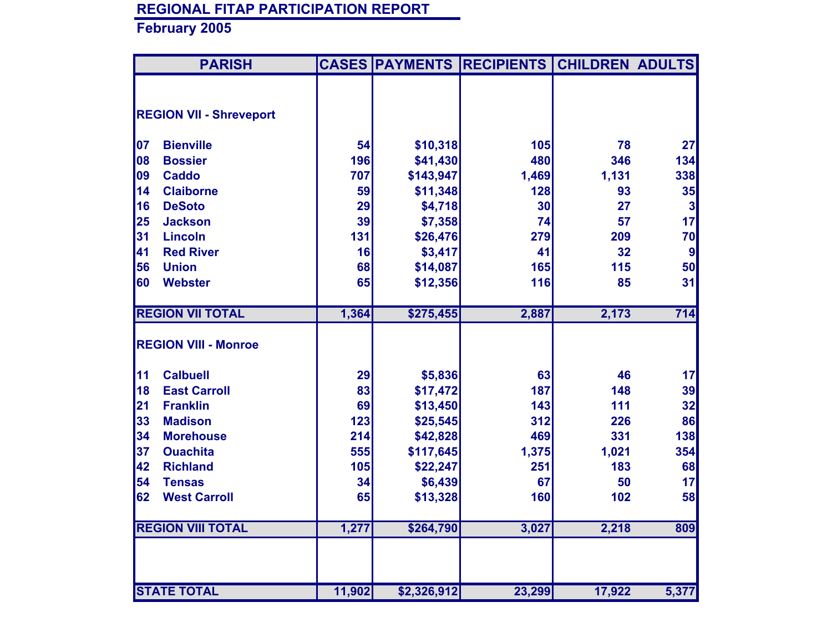|    | <b>PARISH</b>                  |        |             | <b>CASES PAYMENTS RECIPIENTS</b> | <b>CHILDREN ADULTS</b> |       |
|----|--------------------------------|--------|-------------|----------------------------------|------------------------|-------|
|    |                                |        |             |                                  |                        |       |
|    | <b>REGION VII - Shreveport</b> |        |             |                                  |                        |       |
|    |                                |        |             |                                  |                        |       |
| 07 | <b>Bienville</b>               | 54     | \$10,318    | 105                              | 78                     | 27    |
| 08 | <b>Bossier</b>                 | 196    | \$41,430    | 480                              | 346                    | 134   |
| 09 | <b>Caddo</b>                   | 707    | \$143,947   | 1,469                            | 1,131                  | 338   |
| 14 | <b>Claiborne</b>               | 59     | \$11,348    | 128                              | 93                     | 35    |
| 16 | <b>DeSoto</b>                  | 29     | \$4,718     | 30                               | 27                     | 3     |
| 25 | <b>Jackson</b>                 | 39     | \$7,358     | 74                               | 57                     | 17    |
| 31 | <b>Lincoln</b>                 | 131    | \$26,476    | 279                              | 209                    | 70    |
| 41 | <b>Red River</b>               | 16     | \$3,417     | 41                               | 32                     | 9     |
| 56 | <b>Union</b>                   | 68     | \$14,087    | 165                              | 115                    | 50    |
| 60 | <b>Webster</b>                 | 65     | \$12,356    | 116                              | 85                     | 31    |
|    |                                |        |             |                                  |                        |       |
|    | <b>REGION VII TOTAL</b>        | 1,364  | \$275,455   | 2,887                            | 2,173                  | 714   |
|    | <b>REGION VIII - Monroe</b>    |        |             |                                  |                        |       |
|    |                                |        |             |                                  |                        |       |
| 11 | <b>Calbuell</b>                | 29     | \$5,836     | 63                               | 46                     | 17    |
| 18 | <b>East Carroll</b>            | 83     | \$17,472    | 187                              | 148                    | 39    |
| 21 | <b>Franklin</b>                | 69     | \$13,450    | 143                              | 111                    | 32    |
| 33 | <b>Madison</b>                 | 123    | \$25,545    | 312                              | 226                    | 86    |
| 34 | <b>Morehouse</b>               | 214    | \$42,828    | 469                              | 331                    | 138   |
| 37 | <b>Ouachita</b>                | 555    | \$117,645   | 1,375                            | 1,021                  | 354   |
| 42 | <b>Richland</b>                | 105    | \$22,247    | 251                              | 183                    | 68    |
| 54 | <b>Tensas</b>                  | 34     | \$6,439     | 67                               | 50                     | 17    |
| 62 | <b>West Carroll</b>            | 65     | \$13,328    | 160                              | 102                    | 58    |
|    |                                |        |             |                                  |                        |       |
|    | <b>REGION VIII TOTAL</b>       | 1,277  | \$264,790   | 3,027                            | 2,218                  | 809   |
|    |                                |        |             |                                  |                        |       |
|    |                                |        |             |                                  |                        |       |
|    | <b>STATE TOTAL</b>             | 11,902 | \$2,326,912 | 23,299                           | 17,922                 | 5,377 |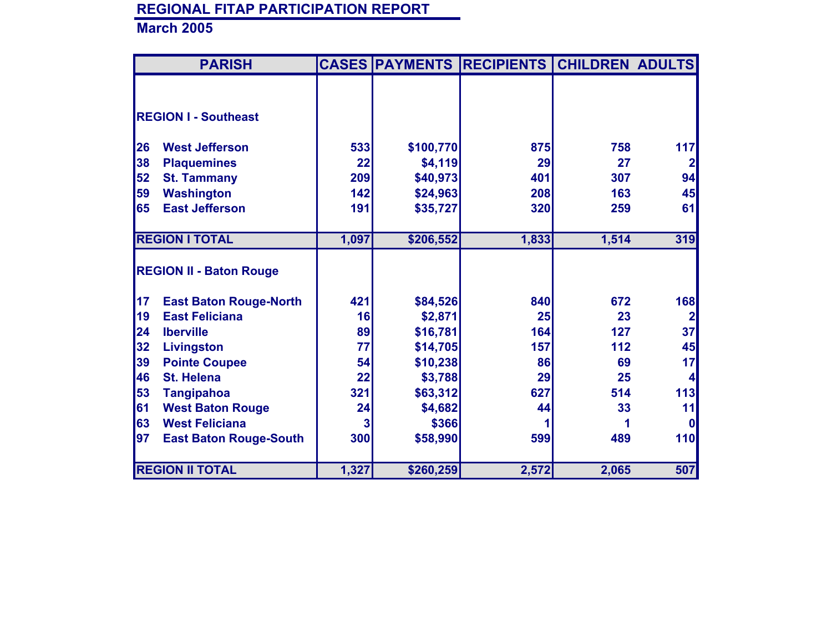|           | <b>PARISH</b>                  |       |           | <b>CASES PAYMENTS RECIPIENTS</b> | <b>CHILDREN ADULTS</b> |                |
|-----------|--------------------------------|-------|-----------|----------------------------------|------------------------|----------------|
|           |                                |       |           |                                  |                        |                |
|           |                                |       |           |                                  |                        |                |
|           | <b>REGION I - Southeast</b>    |       |           |                                  |                        |                |
|           |                                |       |           |                                  |                        |                |
| 26        | <b>West Jefferson</b>          | 533   | \$100,770 | 875                              | 758                    | 117            |
| 38        | <b>Plaquemines</b>             | 22    | \$4,119   | 29                               | 27                     | $\overline{2}$ |
| 52        | <b>St. Tammany</b>             | 209   | \$40,973  | 401                              | 307                    | 94             |
| 59        | <b>Washington</b>              | 142   | \$24,963  | 208                              | 163                    | 45             |
| 65        | <b>East Jefferson</b>          | 191   | \$35,727  | 320                              | 259                    | 61             |
|           |                                |       |           |                                  |                        |                |
|           | <b>REGION I TOTAL</b>          | 1,097 | \$206,552 | 1,833                            | 1,514                  | 319            |
|           |                                |       |           |                                  |                        |                |
|           | <b>REGION II - Baton Rouge</b> |       |           |                                  |                        |                |
|           |                                |       |           |                                  |                        |                |
| 17        | <b>East Baton Rouge-North</b>  | 421   | \$84,526  | 840                              | 672                    | 168            |
| <b>19</b> | <b>East Feliciana</b>          | 16    | \$2,871   | 25                               | 23                     | $\overline{2}$ |
| 24        | <b>Iberville</b>               | 89    | \$16,781  | 164                              | 127                    | 37             |
| 32        | <b>Livingston</b>              | 77    | \$14,705  | 157                              | 112                    | 45             |
| 39        | <b>Pointe Coupee</b>           | 54    | \$10,238  | 86                               | 69                     | 17             |
| 46        | <b>St. Helena</b>              | 22    | \$3,788   | 29                               | 25                     |                |
| 53        | <b>Tangipahoa</b>              | 321   | \$63,312  | 627                              | 514                    | 113            |
| 61        | <b>West Baton Rouge</b>        | 24    | \$4,682   | 44                               | 33                     | 11             |
| 63        | <b>West Feliciana</b>          | 3     | \$366     |                                  |                        | O              |
| 97        | <b>East Baton Rouge-South</b>  | 300   | \$58,990  | 599                              | 489                    | 110            |
|           |                                |       |           |                                  |                        |                |
|           | <b>REGION II TOTAL</b>         | 1,327 | \$260,259 | 2,572                            | 2,065                  | 507            |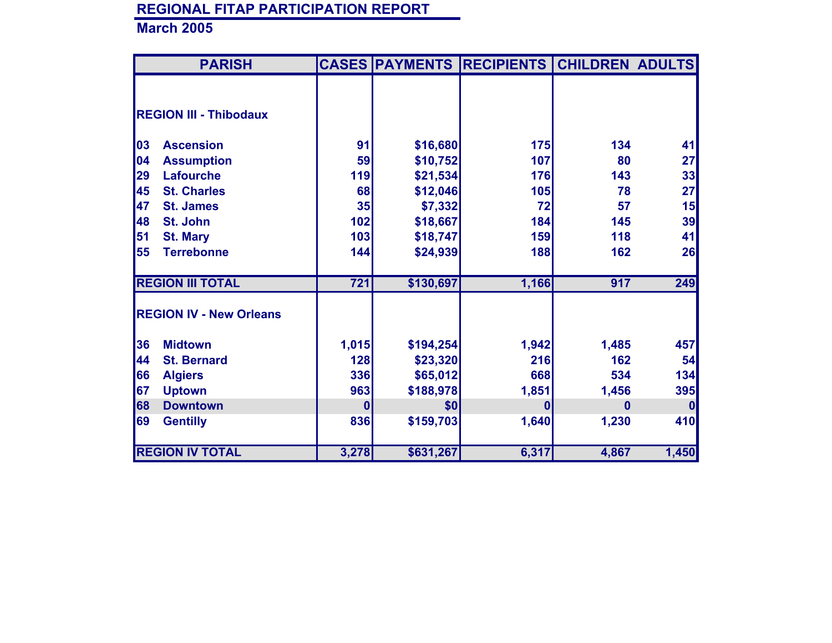| <b>PARISH</b>                  |                  |           | <b>CASES PAYMENTS RECIPIENTS</b> | <b>CHILDREN ADULTS</b> |          |
|--------------------------------|------------------|-----------|----------------------------------|------------------------|----------|
|                                |                  |           |                                  |                        |          |
|                                |                  |           |                                  |                        |          |
| <b>REGION III - Thibodaux</b>  |                  |           |                                  |                        |          |
|                                |                  |           |                                  |                        |          |
| 03<br><b>Ascension</b>         | 91               | \$16,680  | <b>175</b>                       | 134                    | 41       |
| 04<br><b>Assumption</b>        | 59               | \$10,752  | 107                              | 80                     | 27       |
| 29<br><b>Lafourche</b>         | 119              | \$21,534  | 176                              | 143                    | 33       |
| 45<br><b>St. Charles</b>       | 68               | \$12,046  | 105                              | 78                     | 27       |
| 47<br><b>St. James</b>         | 35               | \$7,332   | 72                               | 57                     | 15       |
| 48<br>St. John                 | 102              | \$18,667  | 184                              | 145                    | 39       |
| 51<br><b>St. Mary</b>          | 103              | \$18,747  | 159                              | 118                    | 41       |
| 55<br><b>Terrebonne</b>        | 144              | \$24,939  | 188                              | 162                    | 26       |
|                                |                  |           |                                  |                        |          |
| <b>REGION III TOTAL</b>        | $\overline{721}$ | \$130,697 | 1,166                            | 917                    | 249      |
|                                |                  |           |                                  |                        |          |
| <b>REGION IV - New Orleans</b> |                  |           |                                  |                        |          |
| 36<br><b>Midtown</b>           | 1,015            | \$194,254 | 1,942                            | 1,485                  | 457      |
| 44<br><b>St. Bernard</b>       | 128              | \$23,320  | 216                              | 162                    | 54       |
| 66<br><b>Algiers</b>           | 336              | \$65,012  | 668                              | 534                    | 134      |
| 67<br><b>Uptown</b>            | 963              | \$188,978 | 1,851                            | 1,456                  | 395      |
| 68<br><b>Downtown</b>          | $\mathbf{0}$     | \$0       | $\mathbf{0}$                     | $\mathbf{0}$           | $\bf{0}$ |
| 69                             | 836              |           | 1,640                            |                        | 410      |
| <b>Gentilly</b>                |                  | \$159,703 |                                  | 1,230                  |          |
| <b>REGION IV TOTAL</b>         | 3,278            | \$631,267 | 6,317                            | 4,867                  | 1,450    |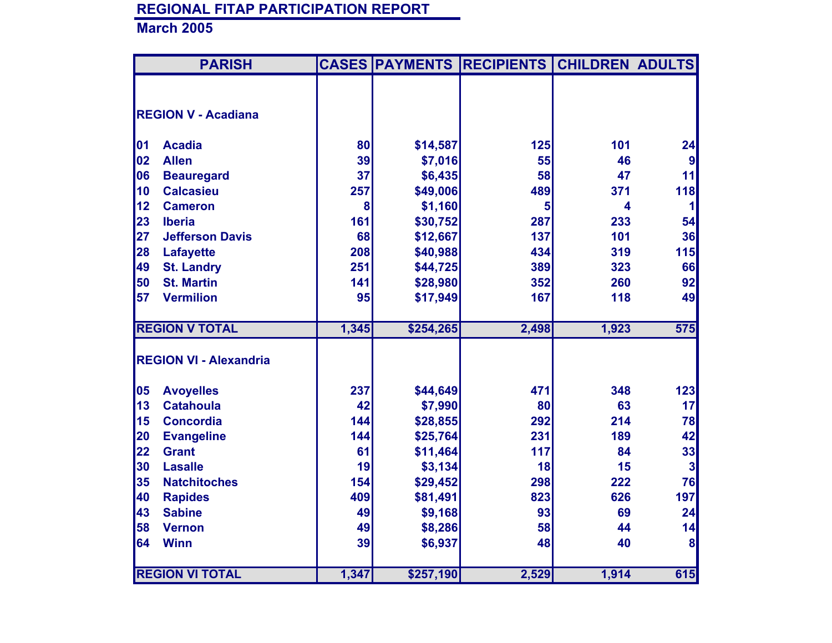|    | <b>PARISH</b>                 |       |           | <b>CASES PAYMENTS RECIPIENTS</b> | <b>CHILDREN ADULTS</b> |                         |
|----|-------------------------------|-------|-----------|----------------------------------|------------------------|-------------------------|
|    |                               |       |           |                                  |                        |                         |
|    | <b>REGION V - Acadiana</b>    |       |           |                                  |                        |                         |
|    |                               |       |           |                                  |                        |                         |
| 01 | <b>Acadia</b>                 | 80    | \$14,587  | 125                              | 101                    | 24                      |
| 02 | <b>Allen</b>                  | 39    | \$7,016   | 55                               | 46                     | $\boldsymbol{9}$        |
| 06 | <b>Beauregard</b>             | 37    | \$6,435   | 58                               | 47                     | 11                      |
| 10 | <b>Calcasieu</b>              | 257   | \$49,006  | 489                              | 371                    | 118                     |
| 12 | <b>Cameron</b>                | 8     | \$1,160   | 5                                | 4                      | 1                       |
| 23 | <b>Iberia</b>                 | 161   | \$30,752  | 287                              | 233                    | 54                      |
| 27 | <b>Jefferson Davis</b>        | 68    | \$12,667  | 137                              | 101                    | 36                      |
| 28 | <b>Lafayette</b>              | 208   | \$40,988  | 434                              | 319                    | 115                     |
| 49 | <b>St. Landry</b>             | 251   | \$44,725  | 389                              | 323                    | 66                      |
| 50 | <b>St. Martin</b>             | 141   | \$28,980  | 352                              | 260                    | 92                      |
| 57 | <b>Vermilion</b>              | 95    | \$17,949  | 167                              | 118                    | 49                      |
|    |                               |       |           |                                  |                        |                         |
|    | <b>REGION V TOTAL</b>         | 1,345 | \$254,265 | 2,498                            | 1,923                  | 575                     |
|    |                               |       |           |                                  |                        |                         |
|    | <b>REGION VI - Alexandria</b> |       |           |                                  |                        |                         |
| 05 | <b>Avoyelles</b>              | 237   | \$44,649  | 471                              | 348                    | 123                     |
| 13 | <b>Catahoula</b>              | 42    | \$7,990   | 80                               | 63                     | 17                      |
| 15 | <b>Concordia</b>              | 144   | \$28,855  | 292                              | 214                    | 78                      |
| 20 | <b>Evangeline</b>             | 144   | \$25,764  | 231                              | 189                    | 42                      |
| 22 | <b>Grant</b>                  | 61    | \$11,464  | 117                              | 84                     | 33                      |
| 30 | <b>Lasalle</b>                | 19    | \$3,134   | 18                               | 15                     | $\overline{\mathbf{3}}$ |
| 35 | <b>Natchitoches</b>           | 154   | \$29,452  | 298                              | 222                    | 76                      |
| 40 | <b>Rapides</b>                | 409   | \$81,491  | 823                              | 626                    | 197                     |
| 43 | <b>Sabine</b>                 | 49    | \$9,168   | 93                               | 69                     | 24                      |
| 58 | <b>Vernon</b>                 | 49    | \$8,286   | 58                               | 44                     | 14                      |
| 64 | <b>Winn</b>                   | 39    | \$6,937   | 48                               | 40                     | 8                       |
|    |                               |       |           |                                  |                        |                         |
|    | <b>REGION VI TOTAL</b>        | 1,347 | \$257,190 | 2,529                            | 1,914                  | 615                     |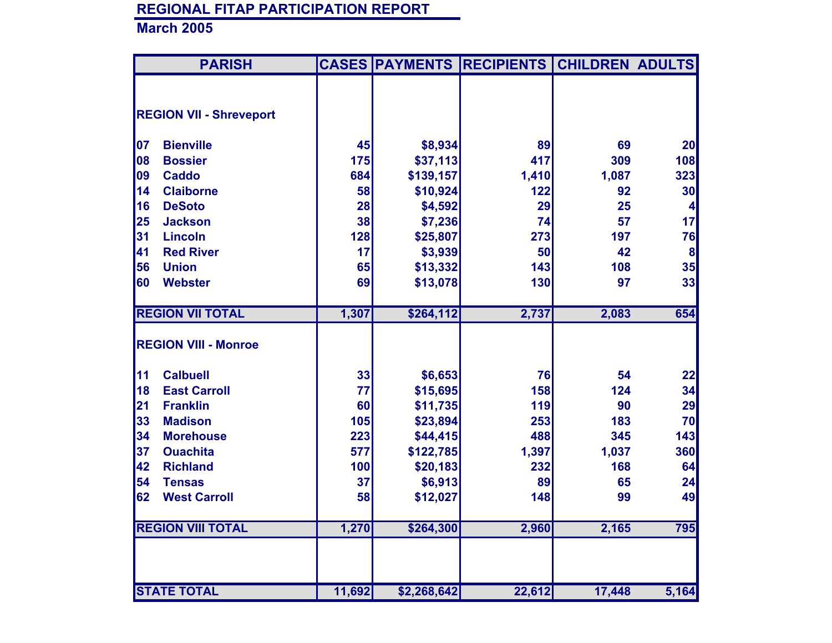|    | <b>PARISH</b>                  |        |             | <b>CASES PAYMENTS RECIPIENTS</b> | <b>CHILDREN ADULTS</b> |                  |
|----|--------------------------------|--------|-------------|----------------------------------|------------------------|------------------|
|    |                                |        |             |                                  |                        |                  |
|    | <b>REGION VII - Shreveport</b> |        |             |                                  |                        |                  |
|    |                                |        |             |                                  |                        |                  |
| 07 | <b>Bienville</b>               | 45     | \$8,934     | 89                               | 69                     | 20               |
| 08 | <b>Bossier</b>                 | 175    | \$37,113    | 417                              | 309                    | 108              |
| 09 | <b>Caddo</b>                   | 684    | \$139,157   | 1,410                            | 1,087                  | 323              |
| 14 | <b>Claiborne</b>               | 58     | \$10,924    | 122                              | 92                     | 30               |
| 16 | <b>DeSoto</b>                  | 28     | \$4,592     | 29                               | 25                     | 4                |
| 25 | <b>Jackson</b>                 | 38     | \$7,236     | 74                               | 57                     | 17               |
| 31 | <b>Lincoln</b>                 | 128    | \$25,807    | 273                              | 197                    | 76               |
| 41 | <b>Red River</b>               | 17     | \$3,939     | 50                               | 42                     | $\boldsymbol{8}$ |
| 56 | <b>Union</b>                   | 65     | \$13,332    | 143                              | 108                    | 35               |
| 60 | <b>Webster</b>                 | 69     | \$13,078    | 130                              | 97                     | 33               |
|    |                                |        |             |                                  |                        |                  |
|    | <b>REGION VII TOTAL</b>        | 1,307  | \$264,112   | 2,737                            | 2,083                  | 654              |
|    |                                |        |             |                                  |                        |                  |
|    | <b>REGION VIII - Monroe</b>    |        |             |                                  |                        |                  |
| 11 | <b>Calbuell</b>                | 33     | \$6,653     | 76                               | 54                     | 22               |
| 18 | <b>East Carroll</b>            | 77     | \$15,695    | 158                              | 124                    | 34               |
| 21 | <b>Franklin</b>                | 60     | \$11,735    | 119                              | 90                     | 29               |
| 33 | <b>Madison</b>                 | 105    | \$23,894    | 253                              | 183                    | 70               |
| 34 | <b>Morehouse</b>               | 223    | \$44,415    | 488                              | 345                    | 143              |
| 37 | <b>Ouachita</b>                | 577    | \$122,785   | 1,397                            | 1,037                  | 360              |
| 42 | <b>Richland</b>                | 100    | \$20,183    | 232                              | 168                    | 64               |
| 54 | <b>Tensas</b>                  | 37     | \$6,913     | 89                               | 65                     | 24               |
| 62 | <b>West Carroll</b>            | 58     | \$12,027    | 148                              | 99                     | 49               |
|    |                                |        |             |                                  |                        |                  |
|    | <b>REGION VIII TOTAL</b>       | 1,270  | \$264,300   | 2,960                            | 2,165                  | 795              |
|    |                                |        |             |                                  |                        |                  |
|    |                                |        |             |                                  |                        |                  |
|    | <b>STATE TOTAL</b>             | 11,692 | \$2,268,642 | 22,612                           | 17,448                 | 5,164            |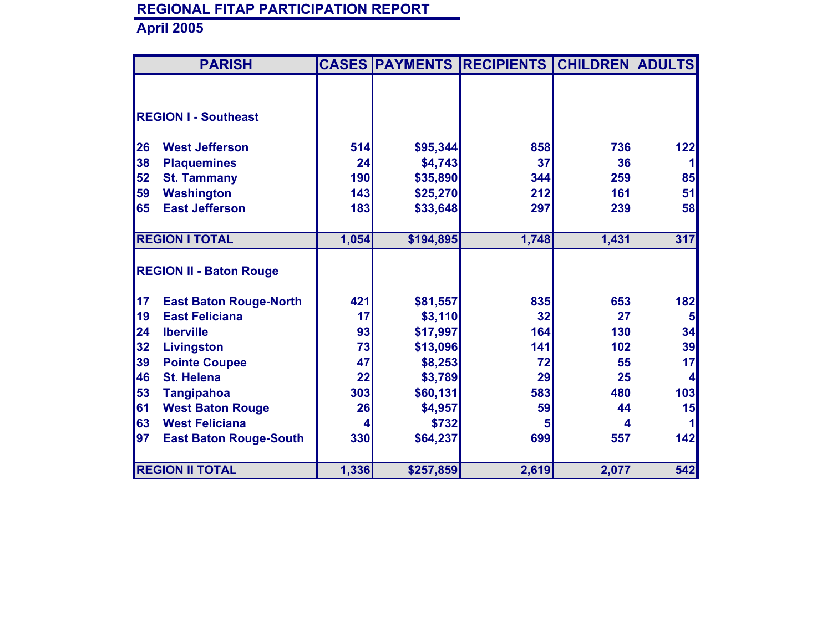|    | <b>PARISH</b>                  |            |           | <b>CASES PAYMENTS RECIPIENTS</b> | <b>CHILDREN ADULTS</b> |                |
|----|--------------------------------|------------|-----------|----------------------------------|------------------------|----------------|
|    |                                |            |           |                                  |                        |                |
|    |                                |            |           |                                  |                        |                |
|    | <b>REGION I - Southeast</b>    |            |           |                                  |                        |                |
|    | <b>West Jefferson</b>          |            |           | 858                              | 736                    |                |
| 26 |                                | 514        | \$95,344  |                                  |                        | 122            |
| 38 | <b>Plaquemines</b>             | 24         | \$4,743   | 37                               | 36                     |                |
| 52 | <b>St. Tammany</b>             | <b>190</b> | \$35,890  | 344                              | 259                    | 85             |
| 59 | <b>Washington</b>              | 143        | \$25,270  | 212                              | 161                    | 51             |
| 65 | <b>East Jefferson</b>          | 183        | \$33,648  | 297                              | 239                    | 58             |
|    |                                |            |           |                                  |                        |                |
|    | <b>REGION I TOTAL</b>          | 1,054      | \$194,895 | 1,748                            | 1,431                  | 317            |
|    |                                |            |           |                                  |                        |                |
|    | <b>REGION II - Baton Rouge</b> |            |           |                                  |                        |                |
|    |                                |            |           |                                  |                        |                |
| 17 | <b>East Baton Rouge-North</b>  | 421        | \$81,557  | 835                              | 653                    | 182            |
| 19 | <b>East Feliciana</b>          | 17         | \$3,110   | 32                               | 27                     | 5 <sup>1</sup> |
| 24 | <b>Iberville</b>               | 93         | \$17,997  | 164                              | 130                    | 34             |
| 32 | <b>Livingston</b>              | 73         | \$13,096  | 141                              | 102                    | 39             |
| 39 | <b>Pointe Coupee</b>           | 47         | \$8,253   | 72                               | 55                     | 17             |
| 46 | <b>St. Helena</b>              | 22         | \$3,789   | 29                               | 25                     | $\vert$        |
| 53 | <b>Tangipahoa</b>              | 303        | \$60,131  | 583                              | 480                    | 103            |
| 61 | <b>West Baton Rouge</b>        | 26         | \$4,957   | 59                               | 44                     | 15             |
| 63 | <b>West Feliciana</b>          |            | \$732     | 5                                | 4                      |                |
| 97 |                                | 330        | \$64,237  | 699                              | 557                    | 142            |
|    | <b>East Baton Rouge-South</b>  |            |           |                                  |                        |                |
|    |                                |            |           |                                  |                        |                |
|    | <b>REGION II TOTAL</b>         | 1,336      | \$257,859 | 2,619                            | 2,077                  | 542            |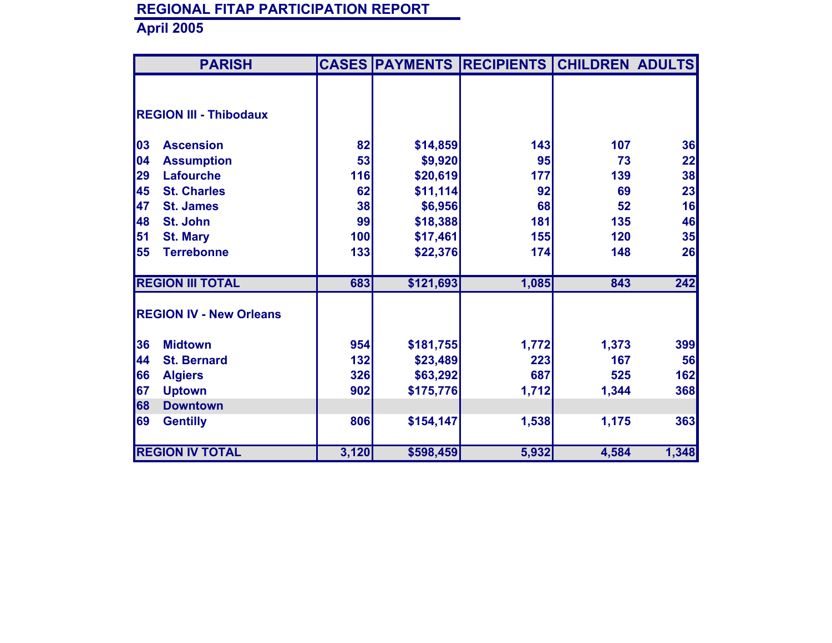| <b>PARISH</b> |                                |       |           | <b>CASES PAYMENTS RECIPIENTS</b> | <b>CHILDREN ADULTS</b> |       |
|---------------|--------------------------------|-------|-----------|----------------------------------|------------------------|-------|
|               |                                |       |           |                                  |                        |       |
|               |                                |       |           |                                  |                        |       |
|               | <b>REGION III - Thibodaux</b>  |       |           |                                  |                        |       |
| 03            | <b>Ascension</b>               | 82    | \$14,859  | 143                              | 107                    | 36    |
| 04            | <b>Assumption</b>              | 53    | \$9,920   | 95                               | 73                     | 22    |
| 29            | <b>Lafourche</b>               | 116   | \$20,619  | 177                              | 139                    | 38    |
| 45            | <b>St. Charles</b>             | 62    | \$11,114  | 92                               | 69                     | 23    |
| 47            | <b>St. James</b>               | 38    | \$6,956   | 68                               | 52                     | 16    |
| 48            | <b>St. John</b>                | 99    | \$18,388  | 181                              | 135                    | 46    |
| 51            | <b>St. Mary</b>                | 100   | \$17,461  | 155                              | 120                    | 35    |
| 55            | <b>Terrebonne</b>              | 133   | \$22,376  | 174                              | 148                    | 26    |
|               | <b>REGION III TOTAL</b>        | 683   | \$121,693 | 1,085                            | 843                    | 242   |
|               |                                |       |           |                                  |                        |       |
|               | <b>REGION IV - New Orleans</b> |       |           |                                  |                        |       |
| 36            | <b>Midtown</b>                 | 954   | \$181,755 | 1,772                            | 1,373                  | 399   |
| 44            | <b>St. Bernard</b>             | 132   | \$23,489  | 223                              | 167                    | 56    |
| 66            | <b>Algiers</b>                 | 326   | \$63,292  | 687                              | 525                    | 162   |
| 67            | <b>Uptown</b>                  | 902   | \$175,776 | 1,712                            | 1,344                  | 368   |
| 68            | <b>Downtown</b>                |       |           |                                  |                        |       |
| 69            | <b>Gentilly</b>                | 806   | \$154,147 | 1,538                            | 1,175                  | 363   |
|               | <b>REGION IV TOTAL</b>         | 3,120 | \$598,459 | 5,932                            | 4,584                  | 1,348 |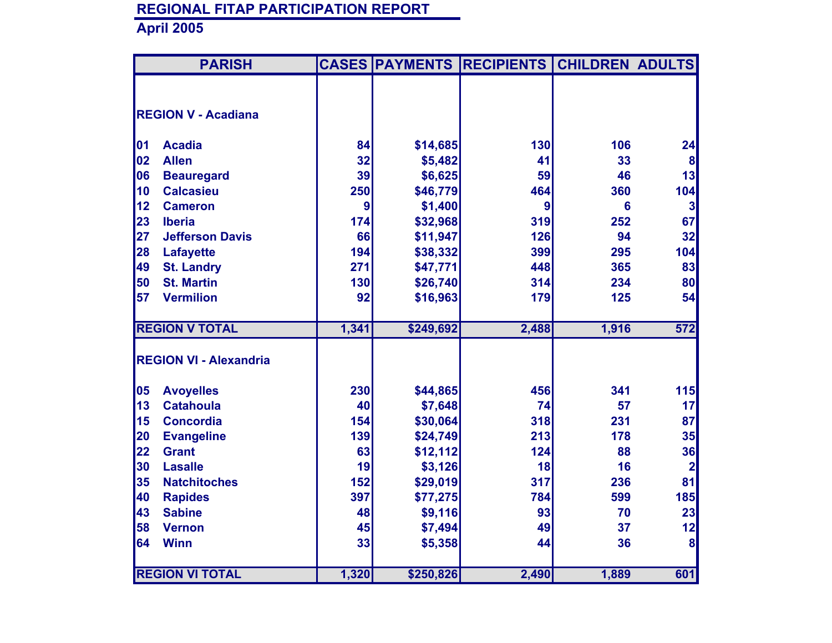|    | <b>PARISH</b>                 | <b>CASES</b> | <b>PAYMENTS</b> | <b>RECIPIENTS</b> | <b>CHILDREN ADULTS</b> |                         |
|----|-------------------------------|--------------|-----------------|-------------------|------------------------|-------------------------|
|    |                               |              |                 |                   |                        |                         |
|    | <b>REGION V - Acadiana</b>    |              |                 |                   |                        |                         |
|    |                               |              |                 |                   |                        |                         |
| 01 | <b>Acadia</b>                 | 84           | \$14,685        | 130               | 106                    | 24                      |
| 02 | <b>Allen</b>                  | 32           | \$5,482         | 41                | 33                     | 8                       |
| 06 | <b>Beauregard</b>             | 39           | \$6,625         | 59                | 46                     | 13                      |
| 10 | <b>Calcasieu</b>              | 250          | \$46,779        | 464               | 360                    | 104                     |
| 12 | <b>Cameron</b>                | 9            | \$1,400         | 9                 | $6\phantom{a}$         | 3                       |
| 23 | <b>Iberia</b>                 | 174          | \$32,968        | 319               | 252                    | 67                      |
| 27 | <b>Jefferson Davis</b>        | 66           | \$11,947        | 126               | 94                     | 32                      |
| 28 | <b>Lafayette</b>              | 194          | \$38,332        | 399               | 295                    | 104                     |
| 49 | <b>St. Landry</b>             | 271          | \$47,771        | 448               | 365                    | 83                      |
| 50 | <b>St. Martin</b>             | 130          | \$26,740        | 314               | 234                    | 80                      |
| 57 | <b>Vermilion</b>              | 92           | \$16,963        | 179               | 125                    | 54                      |
|    |                               |              |                 |                   |                        |                         |
|    | <b>REGION V TOTAL</b>         | 1,341        | \$249,692       | 2,488             | 1,916                  | $\overline{572}$        |
|    |                               |              |                 |                   |                        |                         |
|    | <b>REGION VI - Alexandria</b> |              |                 |                   |                        |                         |
| 05 | <b>Avoyelles</b>              | 230          | \$44,865        | 456               | 341                    | 115                     |
| 13 | <b>Catahoula</b>              | 40           | \$7,648         | 74                | 57                     | 17                      |
| 15 | <b>Concordia</b>              | 154          | \$30,064        | 318               | 231                    | 87                      |
| 20 | <b>Evangeline</b>             | 139          | \$24,749        | 213               | 178                    | 35                      |
| 22 | <b>Grant</b>                  | 63           | \$12,112        | 124               | 88                     | 36                      |
| 30 | <b>Lasalle</b>                | 19           | \$3,126         | 18                | 16                     | $\overline{\mathbf{2}}$ |
| 35 | <b>Natchitoches</b>           | 152          | \$29,019        | 317               | 236                    | 81                      |
| 40 | <b>Rapides</b>                | 397          | \$77,275        | 784               | 599                    | 185                     |
| 43 | <b>Sabine</b>                 | 48           | \$9,116         | 93                | 70                     | 23                      |
| 58 | <b>Vernon</b>                 | 45           | \$7,494         | 49                | 37                     | 12                      |
| 64 | <b>Winn</b>                   | 33           | \$5,358         | 44                | 36                     | 8                       |
|    |                               |              |                 |                   |                        |                         |
|    | <b>REGION VI TOTAL</b>        | 1,320        | \$250,826       | 2,490             | 1,889                  | 601                     |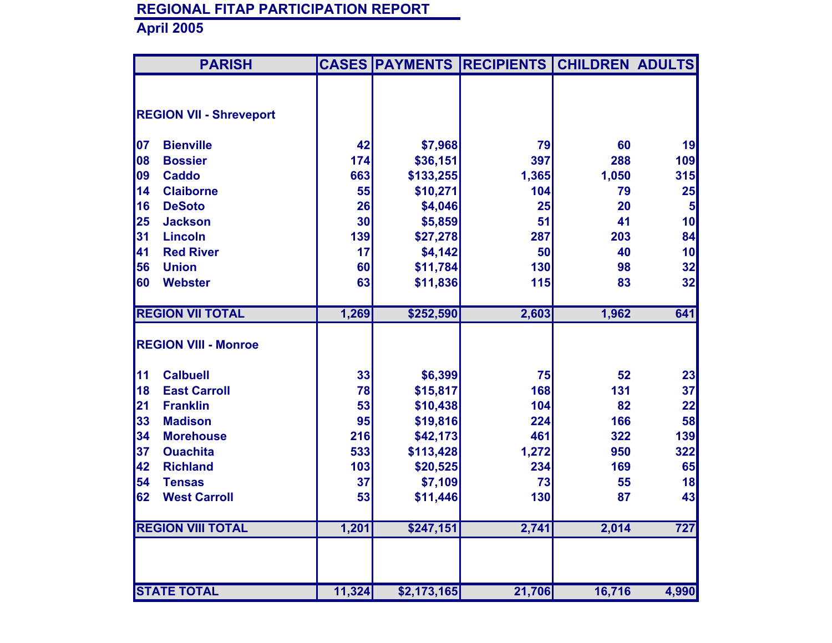|    | <b>PARISH</b>                  |        |             | <b>CASES PAYMENTS RECIPIENTS</b> | <b>CHILDREN ADULTS</b> |                  |
|----|--------------------------------|--------|-------------|----------------------------------|------------------------|------------------|
|    |                                |        |             |                                  |                        |                  |
|    | <b>REGION VII - Shreveport</b> |        |             |                                  |                        |                  |
|    |                                |        |             |                                  |                        |                  |
| 07 | <b>Bienville</b>               | 42     | \$7,968     | 79                               | 60                     | 19               |
| 08 | <b>Bossier</b>                 | 174    | \$36,151    | 397                              | 288                    | 109              |
| 09 | <b>Caddo</b>                   | 663    | \$133,255   | 1,365                            | 1,050                  | 315              |
| 14 | <b>Claiborne</b>               | 55     | \$10,271    | 104                              | 79                     | 25               |
| 16 | <b>DeSoto</b>                  | 26     | \$4,046     | 25                               | 20                     | $5\phantom{1}$   |
| 25 | <b>Jackson</b>                 | 30     | \$5,859     | 51                               | 41                     | 10               |
| 31 | <b>Lincoln</b>                 | 139    | \$27,278    | 287                              | 203                    | 84               |
| 41 | <b>Red River</b>               | 17     | \$4,142     | 50                               | 40                     | 10               |
| 56 | <b>Union</b>                   | 60     | \$11,784    | 130                              | 98                     | 32               |
| 60 | <b>Webster</b>                 | 63     | \$11,836    | 115                              | 83                     | 32               |
|    |                                |        |             |                                  |                        |                  |
|    | <b>REGION VII TOTAL</b>        | 1,269  | \$252,590   | 2,603                            | 1,962                  | 641              |
|    |                                |        |             |                                  |                        |                  |
|    | <b>REGION VIII - Monroe</b>    |        |             |                                  |                        |                  |
| 11 | <b>Calbuell</b>                | 33     | \$6,399     | 75                               | 52                     | 23               |
| 18 | <b>East Carroll</b>            | 78     | \$15,817    | 168                              | 131                    | 37               |
| 21 | <b>Franklin</b>                | 53     | \$10,438    | 104                              | 82                     | 22               |
| 33 | <b>Madison</b>                 | 95     | \$19,816    | 224                              | 166                    | 58               |
| 34 | <b>Morehouse</b>               | 216    | \$42,173    | 461                              | 322                    | 139              |
| 37 | <b>Ouachita</b>                | 533    | \$113,428   | 1,272                            | 950                    | 322              |
| 42 | <b>Richland</b>                | 103    | \$20,525    | 234                              | 169                    | 65               |
| 54 | <b>Tensas</b>                  | 37     | \$7,109     | 73                               | 55                     | 18               |
| 62 | <b>West Carroll</b>            | 53     | \$11,446    | 130                              | 87                     | 43               |
|    | <b>REGION VIII TOTAL</b>       | 1,201  | \$247,151   | 2,741                            | 2,014                  | $\overline{727}$ |
|    |                                |        |             |                                  |                        |                  |
|    | <b>STATE TOTAL</b>             | 11,324 | \$2,173,165 | 21,706                           | 16,716                 | 4,990            |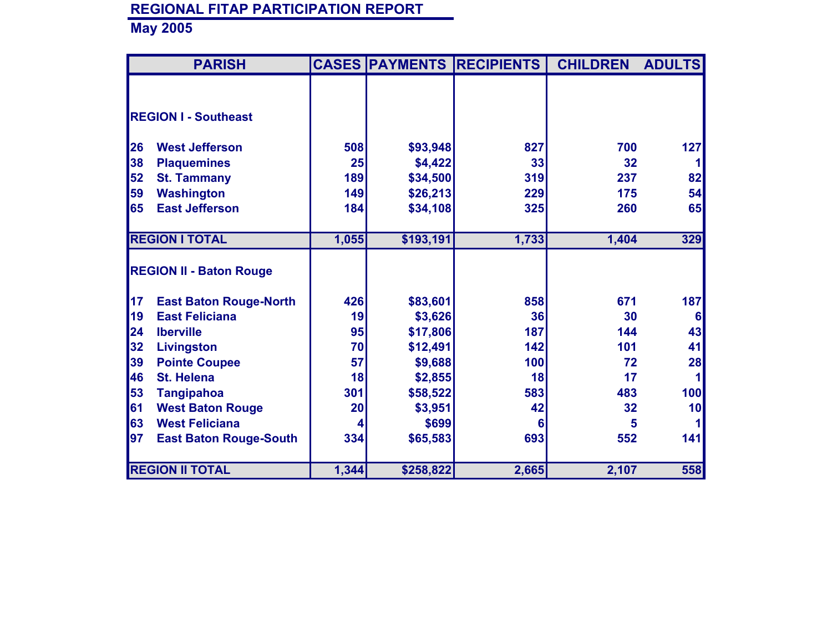|    | <b>PARISH</b>                  |       |           | <b>CASES PAYMENTS RECIPIENTS</b> | <b>CHILDREN</b> | <b>ADULTS</b> |
|----|--------------------------------|-------|-----------|----------------------------------|-----------------|---------------|
|    |                                |       |           |                                  |                 |               |
|    |                                |       |           |                                  |                 |               |
|    | <b>REGION I - Southeast</b>    |       |           |                                  |                 |               |
|    | <b>West Jefferson</b>          |       |           | 827                              | 700             |               |
| 26 |                                | 508   | \$93,948  |                                  |                 | 127           |
| 38 | <b>Plaquemines</b>             | 25    | \$4,422   | 33                               | 32              |               |
| 52 | <b>St. Tammany</b>             | 189   | \$34,500  | 319                              | 237             | 82            |
| 59 | <b>Washington</b>              | 149   | \$26,213  | 229                              | 175             | 54            |
| 65 | <b>East Jefferson</b>          | 184   | \$34,108  | 325                              | 260             | 65            |
|    |                                |       |           |                                  |                 |               |
|    | <b>REGION I TOTAL</b>          | 1,055 | \$193,191 | 1,733                            | 1,404           | 329           |
|    |                                |       |           |                                  |                 |               |
|    | <b>REGION II - Baton Rouge</b> |       |           |                                  |                 |               |
|    |                                |       |           |                                  |                 |               |
| 17 | <b>East Baton Rouge-North</b>  | 426   | \$83,601  | 858                              | 671             | 187           |
| 19 | <b>East Feliciana</b>          | 19    | \$3,626   | 36                               | 30              | 6             |
| 24 | <b>Iberville</b>               | 95    | \$17,806  | 187                              | 144             | 43            |
| 32 | Livingston                     | 70    | \$12,491  | 142                              | 101             | 41            |
| 39 | <b>Pointe Coupee</b>           | 57    | \$9,688   | 100                              | 72              | 28            |
| 46 | <b>St. Helena</b>              | 18    | \$2,855   | 18                               | 17              |               |
| 53 | <b>Tangipahoa</b>              | 301   | \$58,522  | 583                              | 483             | 100           |
| 61 | <b>West Baton Rouge</b>        | 20    | \$3,951   | 42                               | 32              | 10            |
| 63 | <b>West Feliciana</b>          | 4     | \$699     | 6                                | 5               |               |
| 97 | <b>East Baton Rouge-South</b>  | 334   | \$65,583  | 693                              | 552             | 141           |
|    |                                |       |           |                                  |                 |               |
|    | <b>REGION II TOTAL</b>         | 1,344 | \$258,822 | 2,665                            | 2,107           | 558           |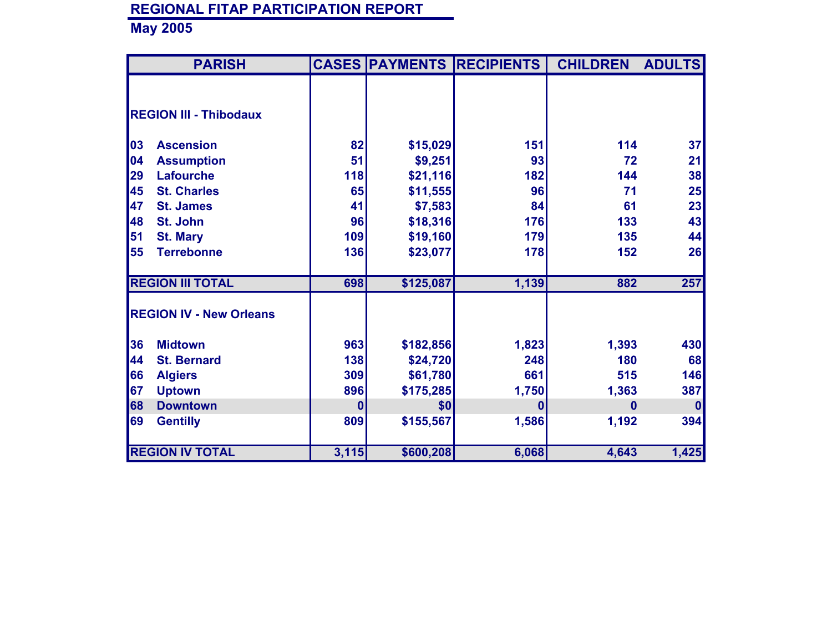| <b>PARISH</b>                  |       | <b>CASES PAYMENTS</b> | <b>RECIPIENTS</b> | <b>CHILDREN</b> | <b>ADULTS</b> |
|--------------------------------|-------|-----------------------|-------------------|-----------------|---------------|
|                                |       |                       |                   |                 |               |
|                                |       |                       |                   |                 |               |
| <b>REGION III - Thibodaux</b>  |       |                       |                   |                 |               |
|                                |       |                       |                   |                 |               |
| 03<br><b>Ascension</b>         | 82    | \$15,029              | 151               | 114             | 37            |
| 04<br><b>Assumption</b>        | 51    | \$9,251               | 93                | 72              | 21            |
| 29<br><b>Lafourche</b>         | 118   | \$21,116              | 182               | 144             | 38            |
| 45<br><b>St. Charles</b>       | 65    | \$11,555              | 96                | 71              | 25            |
| 47<br><b>St. James</b>         | 41    | \$7,583               | 84                | 61              | 23            |
| 48<br>St. John                 | 96    | \$18,316              | 176               | 133             | 43            |
| 51<br><b>St. Mary</b>          | 109   | \$19,160              | 179               | 135             | 44            |
| 55<br><b>Terrebonne</b>        | 136   | \$23,077              | <b>178</b>        | 152             | 26            |
|                                |       |                       |                   |                 |               |
| <b>REGION III TOTAL</b>        | 698   | \$125,087             | 1,139             | 882             | 257           |
|                                |       |                       |                   |                 |               |
| <b>REGION IV - New Orleans</b> |       |                       |                   |                 |               |
|                                |       |                       |                   |                 |               |
| 36<br><b>Midtown</b>           | 963   | \$182,856             | 1,823             | 1,393           | 430           |
| 44<br><b>St. Bernard</b>       | 138   | \$24,720              | 248               | 180             | 68            |
| 66<br><b>Algiers</b>           | 309   | \$61,780              | 661               | 515             | 146           |
| 67<br><b>Uptown</b>            | 896   | \$175,285             | 1,750             | 1,363           | 387           |
| 68<br><b>Downtown</b>          | 0     | \$0                   | $\mathbf{0}$      | 0               | $\bf{0}$      |
| 69<br><b>Gentilly</b>          | 809   | \$155,567             | 1,586             | 1,192           | 394           |
|                                |       |                       |                   |                 |               |
| <b>REGION IV TOTAL</b>         | 3,115 | \$600,208             | 6,068             | 4,643           | 1,425         |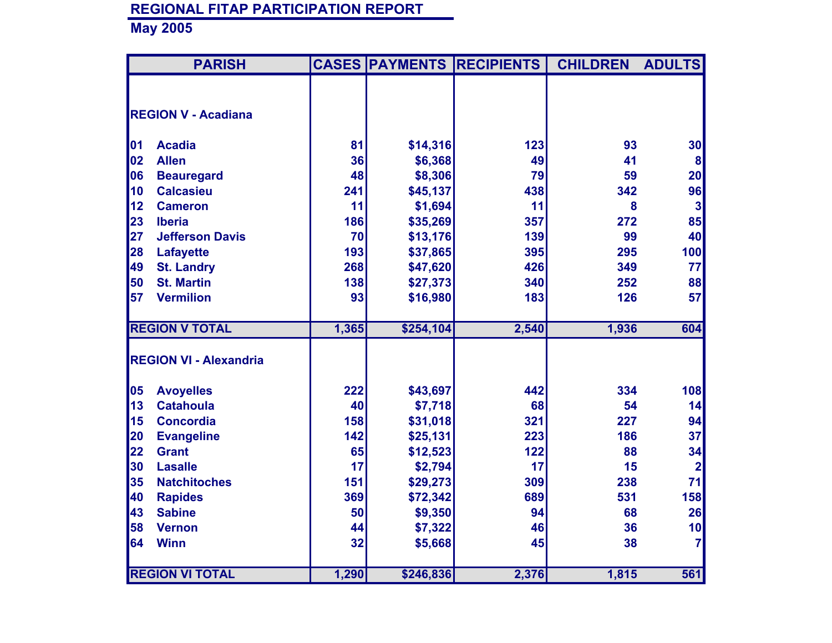|    | <b>PARISH</b>                 |       | <b>CASES PAYMENTS</b> | <b>RECIPIENTS</b> | <b>CHILDREN</b> | <b>ADULTS</b>           |
|----|-------------------------------|-------|-----------------------|-------------------|-----------------|-------------------------|
|    |                               |       |                       |                   |                 |                         |
|    | <b>REGION V - Acadiana</b>    |       |                       |                   |                 |                         |
| 01 | <b>Acadia</b>                 | 81    | \$14,316              | 123               | 93              | 30                      |
| 02 | <b>Allen</b>                  | 36    | \$6,368               | 49                | 41              | 8                       |
| 06 | <b>Beauregard</b>             | 48    | \$8,306               | 79                | 59              | 20                      |
| 10 | <b>Calcasieu</b>              | 241   | \$45,137              | 438               | 342             | 96                      |
| 12 | <b>Cameron</b>                | 11    | \$1,694               | 11                | 8               | 3                       |
| 23 | <b>Iberia</b>                 | 186   | \$35,269              | 357               | 272             | 85                      |
| 27 | <b>Jefferson Davis</b>        | 70    | \$13,176              | 139               | 99              | 40                      |
| 28 | <b>Lafayette</b>              | 193   | \$37,865              | 395               | 295             | 100                     |
| 49 | <b>St. Landry</b>             | 268   | \$47,620              | 426               | 349             | 77                      |
| 50 | <b>St. Martin</b>             | 138   | \$27,373              | 340               | 252             | 88                      |
| 57 | <b>Vermilion</b>              | 93    | \$16,980              | 183               | 126             | 57                      |
|    |                               |       |                       |                   |                 |                         |
|    | <b>REGION V TOTAL</b>         | 1,365 | \$254,104             | 2,540             | 1,936           | 604                     |
|    | <b>REGION VI - Alexandria</b> |       |                       |                   |                 |                         |
|    |                               |       |                       |                   |                 |                         |
| 05 | <b>Avoyelles</b>              | 222   | \$43,697              | 442               | 334             | 108                     |
| 13 | <b>Catahoula</b>              | 40    | \$7,718               | 68                | 54              | 14                      |
| 15 | <b>Concordia</b>              | 158   | \$31,018              | 321               | 227             | 94                      |
| 20 | <b>Evangeline</b>             | 142   | \$25,131              | 223               | 186             | 37                      |
| 22 | <b>Grant</b>                  | 65    | \$12,523              | 122               | 88              | 34                      |
| 30 | <b>Lasalle</b>                | 17    | \$2,794               | 17                | 15              | $\overline{\mathbf{2}}$ |
| 35 | <b>Natchitoches</b>           | 151   | \$29,273              | 309               | 238             | 71                      |
| 40 | <b>Rapides</b>                | 369   | \$72,342              | 689               | 531             | 158                     |
| 43 | <b>Sabine</b>                 | 50    | \$9,350               | 94                | 68              | 26                      |
| 58 | <b>Vernon</b>                 | 44    | \$7,322               | 46                | 36              | 10                      |
| 64 | <b>Winn</b>                   | 32    | \$5,668               | 45                | 38              | $\overline{7}$          |
|    |                               |       |                       |                   |                 |                         |
|    | <b>REGION VI TOTAL</b>        | 1,290 | \$246,836             | 2,376             | 1,815           | 561                     |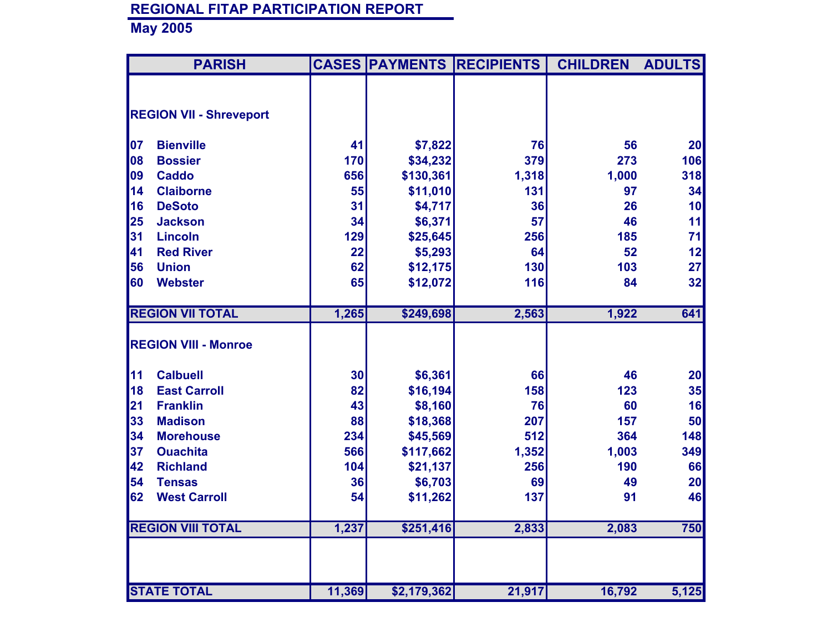|    | <b>PARISH</b>                  |        | <b>CASES PAYMENTS</b> | <b>RECIPIENTS</b> | <b>CHILDREN</b> | <b>ADULTS</b> |
|----|--------------------------------|--------|-----------------------|-------------------|-----------------|---------------|
|    |                                |        |                       |                   |                 |               |
|    | <b>REGION VII - Shreveport</b> |        |                       |                   |                 |               |
| 07 | <b>Bienville</b>               | 41     | \$7,822               | 76                | 56              | 20            |
| 08 | <b>Bossier</b>                 | 170    | \$34,232              | 379               | 273             | 106           |
| 09 | <b>Caddo</b>                   | 656    | \$130,361             | 1,318             | 1,000           | 318           |
| 14 | <b>Claiborne</b>               | 55     | \$11,010              | 131               | 97              | 34            |
| 16 | <b>DeSoto</b>                  | 31     | \$4,717               | 36                | 26              | 10            |
| 25 | <b>Jackson</b>                 | 34     | \$6,371               | 57                | 46              | 11            |
| 31 | <b>Lincoln</b>                 | 129    | \$25,645              | 256               | 185             | 71            |
| 41 | <b>Red River</b>               | 22     | \$5,293               | 64                | 52              | 12            |
| 56 | <b>Union</b>                   | 62     | \$12,175              | 130               | 103             | 27            |
| 60 | <b>Webster</b>                 | 65     | \$12,072              | 116               | 84              | 32            |
|    |                                |        |                       |                   |                 |               |
|    | <b>REGION VII TOTAL</b>        | 1,265  | \$249,698             | 2,563             | 1,922           | 641           |
|    | <b>REGION VIII - Monroe</b>    |        |                       |                   |                 |               |
|    |                                |        |                       |                   |                 |               |
| 11 | <b>Calbuell</b>                | 30     | \$6,361               | 66                | 46              | 20            |
| 18 | <b>East Carroll</b>            | 82     | \$16,194              | 158               | 123             | 35            |
| 21 | <b>Franklin</b>                | 43     | \$8,160               | 76                | 60              | 16            |
| 33 | <b>Madison</b>                 | 88     | \$18,368              | 207               | 157             | 50            |
| 34 | <b>Morehouse</b>               | 234    | \$45,569              | 512               | 364             | 148           |
| 37 | <b>Ouachita</b>                | 566    | \$117,662             | 1,352             | 1,003           | 349           |
| 42 | <b>Richland</b>                | 104    | \$21,137              | 256               | 190             | 66            |
| 54 | <b>Tensas</b>                  | 36     | \$6,703               | 69                | 49              | 20            |
| 62 | <b>West Carroll</b>            | 54     | \$11,262              | 137               | 91              | 46            |
|    | <b>REGION VIII TOTAL</b>       | 1,237  | \$251,416             | 2,833             | 2,083           | 750           |
|    |                                |        |                       |                   |                 |               |
|    | <b>STATE TOTAL</b>             | 11,369 | \$2,179,362           | 21,917            | 16,792          | 5,125         |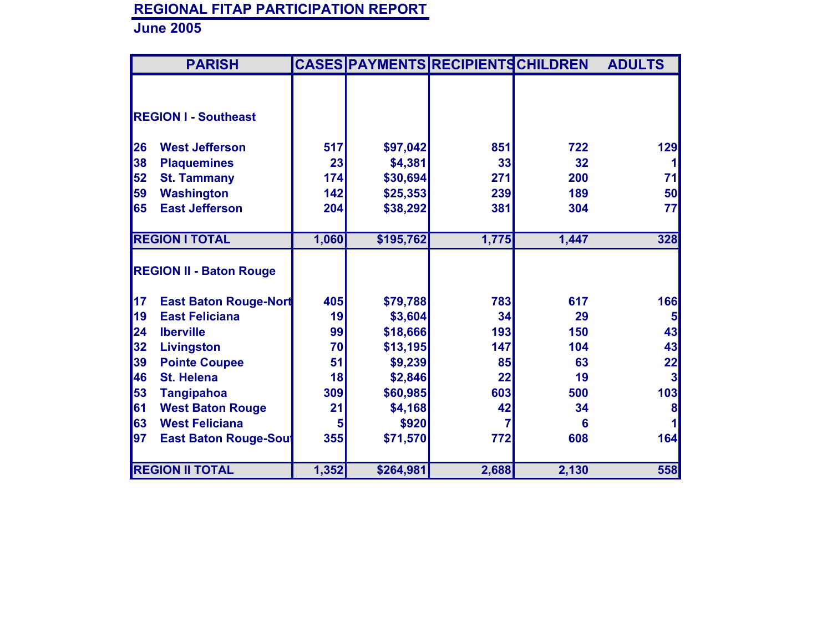|           | <b>PARISH</b>                  |       |           | <b>CASES PAYMENTS RECIPIENTS CHILDREN</b> |       | <b>ADULTS</b>  |
|-----------|--------------------------------|-------|-----------|-------------------------------------------|-------|----------------|
|           |                                |       |           |                                           |       |                |
|           |                                |       |           |                                           |       |                |
|           | <b>REGION I - Southeast</b>    |       |           |                                           |       |                |
| <b>26</b> | <b>West Jefferson</b>          | 517   | \$97,042  | 851                                       | 722   | 129            |
| 38        | <b>Plaquemines</b>             | 23    | \$4,381   | 33                                        | 32    |                |
| 52        | <b>St. Tammany</b>             | 174   | \$30,694  | 271                                       | 200   | 71             |
| 59        | <b>Washington</b>              | 142   | \$25,353  | 239                                       | 189   | 50             |
| 65        | <b>East Jefferson</b>          | 204   | \$38,292  | 381                                       | 304   | 77             |
|           |                                |       |           |                                           |       |                |
|           | <b>REGION I TOTAL</b>          | 1,060 | \$195,762 | 1,775                                     | 1,447 | 328            |
|           |                                |       |           |                                           |       |                |
|           | <b>REGION II - Baton Rouge</b> |       |           |                                           |       |                |
| 17        | <b>East Baton Rouge-Nort</b>   | 405   | \$79,788  | 783                                       | 617   | 166            |
| 19        | <b>East Feliciana</b>          | 19    | \$3,604   | 34                                        | 29    | 5 <sub>5</sub> |
| 24        | <b>Iberville</b>               | 99    | \$18,666  | 193                                       | 150   | 43             |
| 32        | <b>Livingston</b>              | 70    | \$13,195  | 147                                       | 104   | 43             |
| 39        | <b>Pointe Coupee</b>           | 51    | \$9,239   | 85                                        | 63    | 22             |
| 46        | <b>St. Helena</b>              | 18    | \$2,846   | 22                                        | 19    | 3              |
| 53        | <b>Tangipahoa</b>              | 309   | \$60,985  | 603                                       | 500   | 103            |
| 61        | <b>West Baton Rouge</b>        | 21    | \$4,168   | 42                                        | 34    | 8              |
| 63        | <b>West Feliciana</b>          | 5     | \$920     |                                           | 6     |                |
| 97        | <b>East Baton Rouge-Sout</b>   | 355   | \$71,570  | 772                                       | 608   | 164            |
|           |                                |       |           |                                           |       |                |
|           | <b>REGION II TOTAL</b>         | 1,352 | \$264,981 | 2,688                                     | 2,130 | 558            |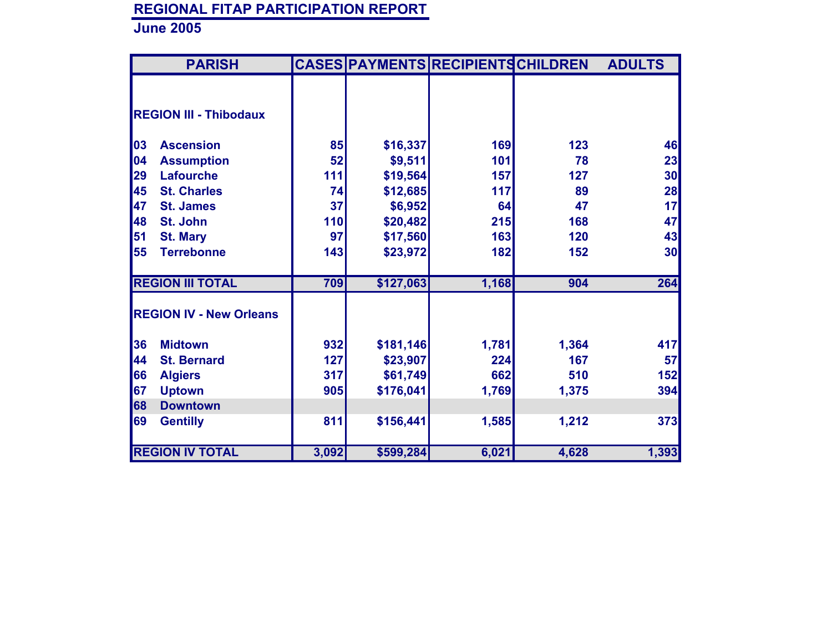|    | <b>PARISH</b>                  |       |           | CASES PAYMENTS RECIPIENTS CHILDREN |       | <b>ADULTS</b> |
|----|--------------------------------|-------|-----------|------------------------------------|-------|---------------|
|    |                                |       |           |                                    |       |               |
|    | <b>REGION III - Thibodaux</b>  |       |           |                                    |       |               |
| 03 | <b>Ascension</b>               | 85    | \$16,337  | 169                                | 123   | 46            |
| 04 | <b>Assumption</b>              | 52    | \$9,511   | 101                                | 78    | 23            |
| 29 | <b>Lafourche</b>               | 111   | \$19,564  | 157                                | 127   | 30            |
| 45 | <b>St. Charles</b>             | 74    | \$12,685  | 117                                | 89    | 28            |
| 47 | <b>St. James</b>               | 37    | \$6,952   | 64                                 | 47    | 17            |
| 48 | St. John                       | 110   | \$20,482  | 215                                | 168   | 47            |
| 51 | <b>St. Mary</b>                | 97    | \$17,560  | 163                                | 120   | 43            |
| 55 | <b>Terrebonne</b>              | 143   | \$23,972  | 182                                | 152   | 30            |
|    | <b>REGION III TOTAL</b>        | 709   | \$127,063 | 1,168                              | 904   | 264           |
|    | <b>REGION IV - New Orleans</b> |       |           |                                    |       |               |
| 36 | <b>Midtown</b>                 | 932   | \$181,146 | 1,781                              | 1,364 | 417           |
| 44 | <b>St. Bernard</b>             | 127   | \$23,907  | 224                                | 167   | 57            |
| 66 | <b>Algiers</b>                 | 317   | \$61,749  | 662                                | 510   | 152           |
| 67 | <b>Uptown</b>                  | 905   | \$176,041 | 1,769                              | 1,375 | 394           |
| 68 | <b>Downtown</b>                |       |           |                                    |       |               |
| 69 | <b>Gentilly</b>                | 811   | \$156,441 | 1,585                              | 1,212 | 373           |
|    | <b>REGION IV TOTAL</b>         | 3,092 | \$599,284 | 6,021                              | 4,628 | 1,393         |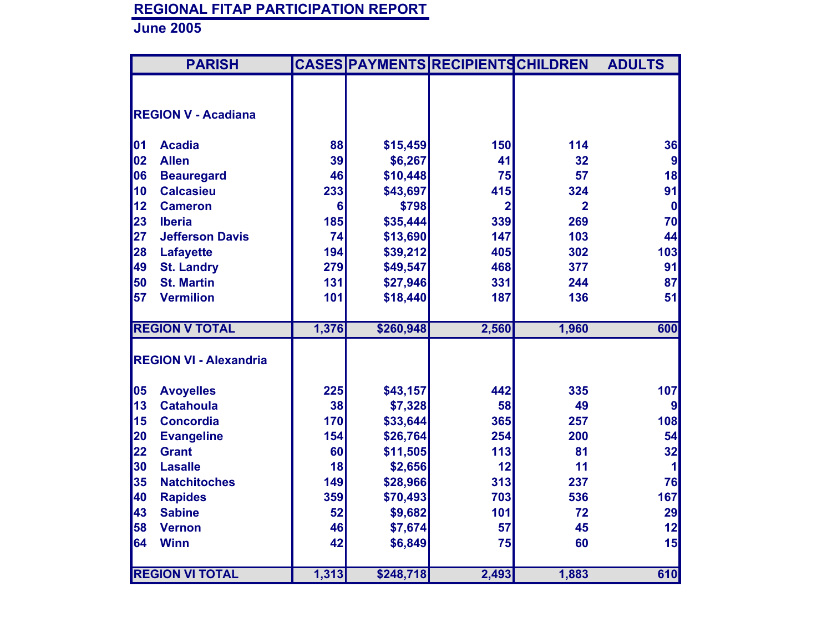| <b>PARISH</b>                 |                 | CASES PAYMENTS RECIPIENTS CHILDREN |                |                | <b>ADULTS</b> |
|-------------------------------|-----------------|------------------------------------|----------------|----------------|---------------|
|                               |                 |                                    |                |                |               |
| <b>REGION V - Acadiana</b>    |                 |                                    |                |                |               |
|                               |                 |                                    |                |                |               |
| 01<br><b>Acadia</b>           | 88              | \$15,459                           | 150            | 114            | 36            |
| 02<br><b>Allen</b>            | 39              | \$6,267                            | 41             | 32             | 9             |
| 06<br><b>Beauregard</b>       | 46              | \$10,448                           | 75             | 57             | 18            |
| 10<br><b>Calcasieu</b>        | 233             | \$43,697                           | 415            | 324            | 91            |
| 12 <br><b>Cameron</b>         | $6\phantom{1}6$ | \$798                              | $\overline{2}$ | $\overline{2}$ | 0             |
| 23<br><b>Iberia</b>           | 185             | \$35,444                           | 339            | 269            | 70            |
| 27 <br><b>Jefferson Davis</b> | 74              | \$13,690                           | 147            | 103            | 44            |
| 28<br>Lafayette               | 194             | \$39,212                           | 405            | 302            | 103           |
| 49<br><b>St. Landry</b>       | 279             | \$49,547                           | 468            | 377            | 91            |
| 50<br><b>St. Martin</b>       | 131             | \$27,946                           | 331            | 244            | 87            |
| 57<br><b>Vermilion</b>        | 101             | \$18,440                           | 187            | 136            | 51            |
| <b>REGION V TOTAL</b>         | 1,376           | \$260,948                          | 2,560          | 1,960          | 600           |
| <b>REGION VI - Alexandria</b> |                 |                                    |                |                |               |
|                               |                 |                                    |                |                |               |
| 05<br><b>Avoyelles</b>        | 225             | \$43,157                           | 442            | 335            | 107           |
| 13<br><b>Catahoula</b>        | 38              | \$7,328                            | 58             | 49             | 9             |
| 15<br><b>Concordia</b>        | 170             | \$33,644                           | 365            | 257            | 108           |
| 20<br><b>Evangeline</b>       | 154             | \$26,764                           | 254            | 200            | 54            |
| 22<br><b>Grant</b>            | 60              | \$11,505                           | 113            | 81             | 32            |
| 30<br><b>Lasalle</b>          | 18              | \$2,656                            | 12             | 11             | 1             |
| 35<br><b>Natchitoches</b>     | 149             | \$28,966                           | 313            | 237            | 76            |
| 40<br><b>Rapides</b>          | 359             | \$70,493                           | 703            | 536            | 167           |
| 43<br><b>Sabine</b>           | 52              | \$9,682                            | 101            | 72             | 29            |
| 58<br><b>Vernon</b>           | 46              | \$7,674                            | 57             | 45             | 12            |
| 64<br><b>Winn</b>             | 42              | \$6,849                            | 75             | 60             | 15            |
|                               |                 |                                    |                |                |               |
| <b>REGION VI TOTAL</b>        | 1,313           | \$248,718                          | 2,493          | 1,883          | 610           |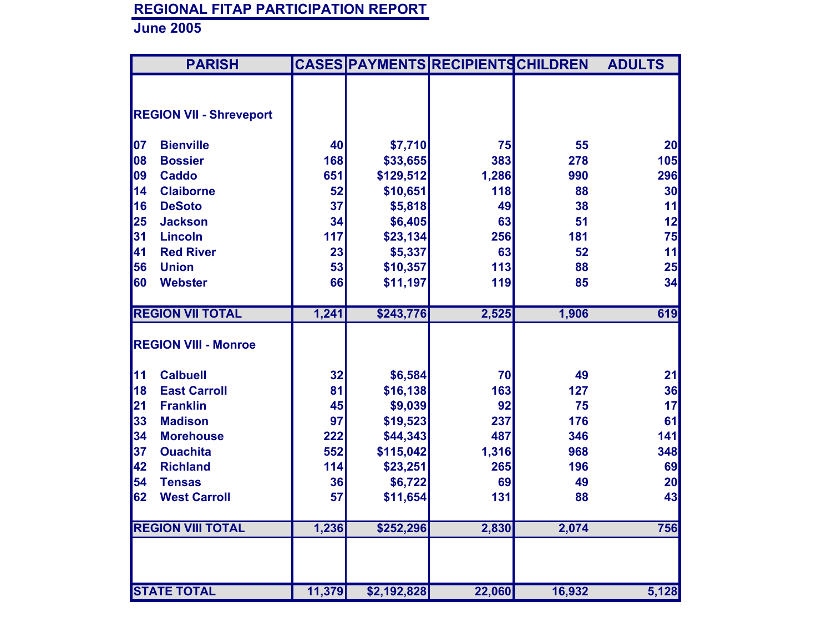|    | <b>PARISH</b>                  |        |             | <b>CASES PAYMENTS RECIPIENTS CHILDREN</b> |        | <b>ADULTS</b>   |
|----|--------------------------------|--------|-------------|-------------------------------------------|--------|-----------------|
|    |                                |        |             |                                           |        |                 |
|    |                                |        |             |                                           |        |                 |
|    | <b>REGION VII - Shreveport</b> |        |             |                                           |        |                 |
| 07 | <b>Bienville</b>               | 40     | \$7,710     | 75                                        | 55     | 20              |
| 08 | <b>Bossier</b>                 | 168    | \$33,655    | 383                                       | 278    | 105             |
| 09 | <b>Caddo</b>                   | 651    | \$129,512   | 1,286                                     | 990    | 296             |
| 14 | <b>Claiborne</b>               | 52     | \$10,651    | 118                                       | 88     | 30 <sup>2</sup> |
| 16 | <b>DeSoto</b>                  | 37     | \$5,818     | 49                                        | 38     | 11              |
| 25 | <b>Jackson</b>                 | 34     | \$6,405     | 63                                        | 51     | 12              |
| 31 | <b>Lincoln</b>                 | 117    | \$23,134    | 256                                       | 181    | 75              |
| 41 | <b>Red River</b>               | 23     | \$5,337     | 63                                        | 52     | 11              |
| 56 | <b>Union</b>                   | 53     | \$10,357    | 113                                       | 88     | 25              |
| 60 | <b>Webster</b>                 | 66     | \$11,197    | 119                                       | 85     | 34              |
|    |                                |        |             |                                           |        |                 |
|    | <b>REGION VII TOTAL</b>        | 1,241  | \$243,776   | 2,525                                     | 1,906  | 619             |
|    |                                |        |             |                                           |        |                 |
|    | <b>REGION VIII - Monroe</b>    |        |             |                                           |        |                 |
| 11 | <b>Calbuell</b>                | 32     | \$6,584     | 70                                        | 49     | 21              |
| 18 | <b>East Carroll</b>            | 81     | \$16,138    | 163                                       | 127    | 36              |
| 21 | <b>Franklin</b>                | 45     | \$9,039     | 92                                        | 75     | 17              |
| 33 | <b>Madison</b>                 | 97     | \$19,523    | 237                                       | 176    | 61              |
| 34 | <b>Morehouse</b>               | 222    | \$44,343    | 487                                       | 346    | 141             |
| 37 | <b>Ouachita</b>                | 552    | \$115,042   | 1,316                                     | 968    | 348             |
| 42 | <b>Richland</b>                | 114    | \$23,251    | 265                                       | 196    | 69              |
| 54 | <b>Tensas</b>                  | 36     | \$6,722     | 69                                        | 49     | 20              |
| 62 | <b>West Carroll</b>            | 57     | \$11,654    | 131                                       | 88     | 43              |
|    |                                |        |             |                                           |        |                 |
|    | <b>REGION VIII TOTAL</b>       | 1,236  | \$252,296   | 2,830                                     | 2,074  | 756             |
|    |                                |        |             |                                           |        |                 |
|    |                                |        |             |                                           |        |                 |
|    | <b>STATE TOTAL</b>             | 11,379 | \$2,192,828 | 22,060                                    | 16,932 | 5,128           |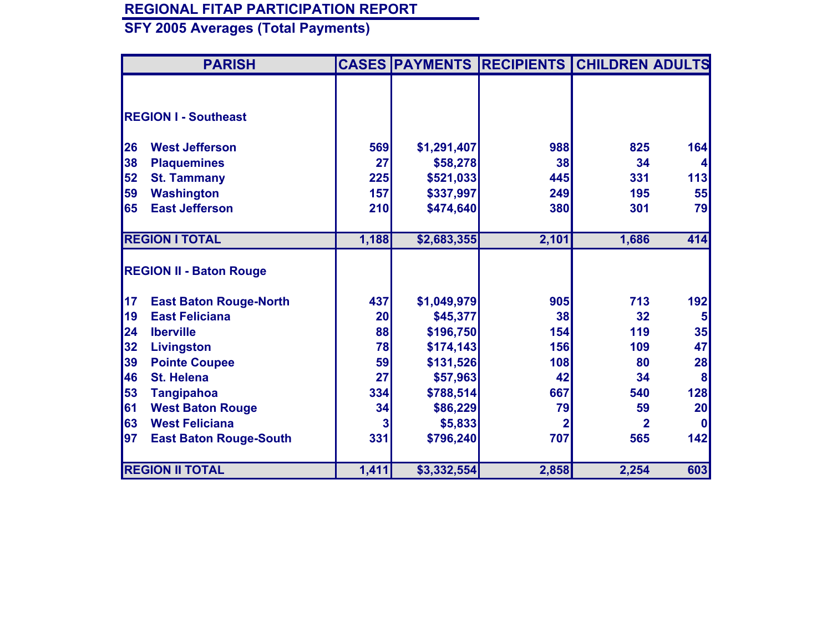| <b>PARISH</b>                       |       |             | <b>CASES PAYMENTS RECIPIENTS</b> | <b>CHILDREN ADULTS</b> |                |
|-------------------------------------|-------|-------------|----------------------------------|------------------------|----------------|
|                                     |       |             |                                  |                        |                |
| <b>REGION I - Southeast</b>         |       |             |                                  |                        |                |
| <b>West Jefferson</b><br>26         | 569   | \$1,291,407 | 988                              | 825                    | 164            |
| 38<br><b>Plaquemines</b>            | 27    | \$58,278    | 38                               | 34                     |                |
| 52<br><b>St. Tammany</b>            | 225   | \$521,033   | 445                              | 331                    | 113            |
| 59<br><b>Washington</b>             | 157   | \$337,997   | 249                              | 195                    | 55             |
| <b>East Jefferson</b><br>65         | 210   | \$474,640   | 380                              | 301                    | 79             |
|                                     |       |             |                                  |                        |                |
| <b>REGION I TOTAL</b>               | 1,188 | \$2,683,355 | 2,101                            | 1,686                  | 414            |
| <b>REGION II - Baton Rouge</b>      |       |             |                                  |                        |                |
| 17<br><b>East Baton Rouge-North</b> | 437   | \$1,049,979 | 905                              | 713                    | 192            |
| <b>East Feliciana</b><br>19         | 20    | \$45,377    | 38                               | 32                     | $5\phantom{1}$ |
| 24<br><b>Iberville</b>              | 88    | \$196,750   | 154                              | 119                    | 35             |
| 32<br>Livingston                    | 78    | \$174,143   | 156                              | 109                    | 47             |
| 39<br><b>Pointe Coupee</b>          | 59    | \$131,526   | 108                              | 80                     | 28             |
| 46<br><b>St. Helena</b>             | 27    | \$57,963    | 42                               | 34                     | 8              |
| 53<br><b>Tangipahoa</b>             | 334   | \$788,514   | 667                              | 540                    | 128            |
| 61<br><b>West Baton Rouge</b>       | 34    | \$86,229    | 79                               | 59                     | 20             |
| 63<br><b>West Feliciana</b>         | 3     | \$5,833     | $\overline{2}$                   | $\overline{2}$         | <b>0</b>       |
| 97<br><b>East Baton Rouge-South</b> | 331   | \$796,240   | 707                              | 565                    | 142            |
|                                     |       |             |                                  |                        |                |
| <b>REGION II TOTAL</b>              | 1,411 | \$3,332,554 | 2,858                            | 2,254                  | 603            |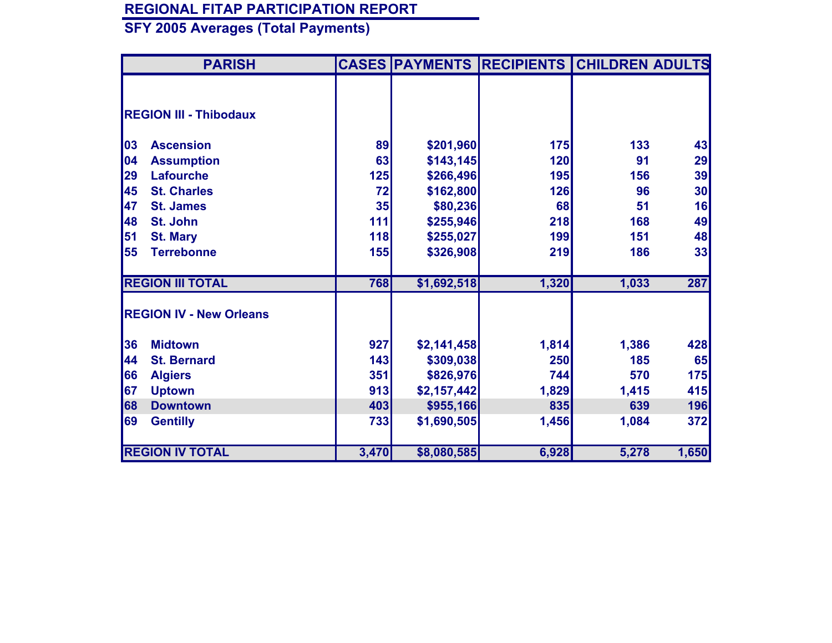| <b>PARISH</b>                  |       |             | <b>CASES PAYMENTS RECIPIENTS</b> | <b>CHILDREN ADULTS</b> |            |
|--------------------------------|-------|-------------|----------------------------------|------------------------|------------|
|                                |       |             |                                  |                        |            |
| <b>REGION III - Thibodaux</b>  |       |             |                                  |                        |            |
| 03<br><b>Ascension</b>         | 89    | \$201,960   | 175                              | 133                    | 43         |
| 04<br><b>Assumption</b>        | 63    | \$143,145   | 120                              | 91                     | 29         |
| <b>Lafourche</b><br>29         | 125   | \$266,496   | 195                              | 156                    | 39         |
| 45<br><b>St. Charles</b>       | 72    | \$162,800   | 126                              | 96                     | 30         |
| 47<br><b>St. James</b>         | 35    | \$80,236    | 68                               | 51                     | 16         |
| 48<br>St. John                 | 111   | \$255,946   | 218                              | 168                    | 49         |
| 51<br><b>St. Mary</b>          | 118   | \$255,027   | 199                              | 151                    | 48         |
| 55<br><b>Terrebonne</b>        | 155   | \$326,908   | 219                              | 186                    | 33         |
| <b>REGION III TOTAL</b>        | 768   | \$1,692,518 | 1,320                            | 1,033                  | 287        |
| <b>REGION IV - New Orleans</b> |       |             |                                  |                        |            |
| 36<br><b>Midtown</b>           | 927   | \$2,141,458 | 1,814                            | 1,386                  | 428        |
| 44<br><b>St. Bernard</b>       | 143   | \$309,038   | 250                              | 185                    | 65         |
| 66<br><b>Algiers</b>           | 351   | \$826,976   | 744                              | 570                    | 175        |
| 67<br><b>Uptown</b>            | 913   | \$2,157,442 | 1,829                            | 1,415                  | 415        |
| 68<br><b>Downtown</b>          | 403   | \$955,166   | 835                              | 639                    | 196        |
| 69<br><b>Gentilly</b>          | 733   | \$1,690,505 | 1,456                            | 1,084                  | <b>372</b> |
| <b>REGION IV TOTAL</b>         | 3,470 | \$8,080,585 | 6,928                            | 5,278                  | 1,650      |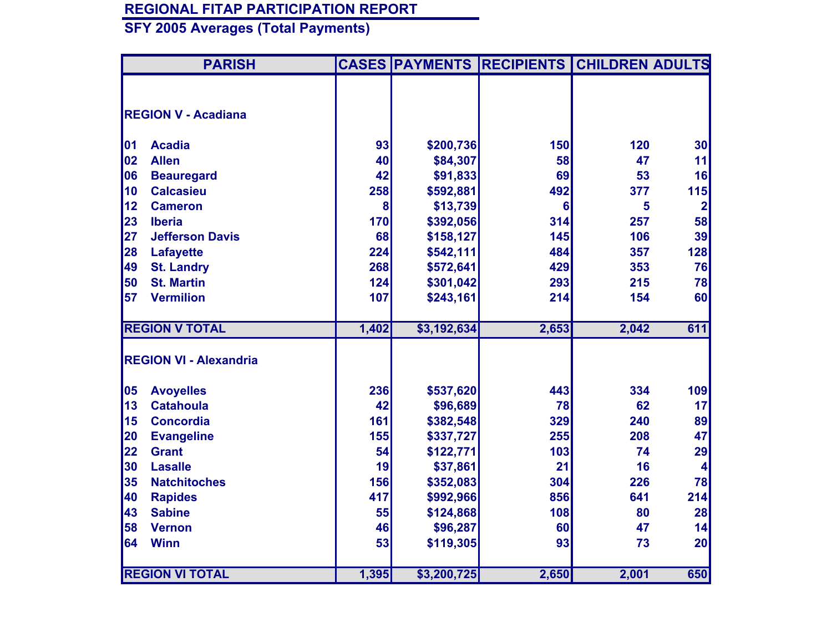|    | <b>PARISH</b>                 |       |             | <b>CASES PAYMENTS RECIPIENTS</b> | <b>CHILDREN ADULTS</b> |                |
|----|-------------------------------|-------|-------------|----------------------------------|------------------------|----------------|
|    |                               |       |             |                                  |                        |                |
|    | <b>REGION V - Acadiana</b>    |       |             |                                  |                        |                |
|    |                               |       |             |                                  |                        |                |
| 01 | <b>Acadia</b>                 | 93    | \$200,736   | 150                              | 120                    | 30             |
| 02 | <b>Allen</b>                  | 40    | \$84,307    | 58                               | 47                     | 11             |
| 06 | <b>Beauregard</b>             | 42    | \$91,833    | 69                               | 53                     | 16             |
| 10 | <b>Calcasieu</b>              | 258   | \$592,881   | 492                              | 377                    | 115            |
| 12 | <b>Cameron</b>                | 8     | \$13,739    | $6\phantom{1}6$                  | 5                      | $\overline{2}$ |
| 23 | <b>Iberia</b>                 | 170   | \$392,056   | 314                              | 257                    | 58             |
| 27 | <b>Jefferson Davis</b>        | 68    | \$158,127   | 145                              | 106                    | 39             |
| 28 | <b>Lafayette</b>              | 224   | \$542,111   | 484                              | 357                    | 128            |
| 49 | <b>St. Landry</b>             | 268   | \$572,641   | 429                              | 353                    | 76             |
| 50 | <b>St. Martin</b>             | 124   | \$301,042   | 293                              | 215                    | 78             |
| 57 | <b>Vermilion</b>              | 107   | \$243,161   | 214                              | 154                    | 60             |
|    |                               |       |             |                                  |                        |                |
|    | <b>REGION V TOTAL</b>         | 1,402 | \$3,192,634 | 2,653                            | 2,042                  | 611            |
|    |                               |       |             |                                  |                        |                |
|    | <b>REGION VI - Alexandria</b> |       |             |                                  |                        |                |
| 05 | <b>Avoyelles</b>              | 236   | \$537,620   | 443                              | 334                    | 109            |
| 13 | <b>Catahoula</b>              | 42    | \$96,689    | 78                               | 62                     | 17             |
| 15 | <b>Concordia</b>              | 161   | \$382,548   | 329                              | 240                    | 89             |
| 20 | <b>Evangeline</b>             | 155   | \$337,727   | 255                              | 208                    | 47             |
| 22 | <b>Grant</b>                  | 54    | \$122,771   | 103                              | 74                     | 29             |
| 30 | <b>Lasalle</b>                | 19    | \$37,861    | 21                               | 16                     | 4              |
| 35 | <b>Natchitoches</b>           | 156   | \$352,083   | 304                              | 226                    | 78             |
| 40 | <b>Rapides</b>                | 417   | \$992,966   | 856                              | 641                    | 214            |
| 43 | <b>Sabine</b>                 | 55    | \$124,868   | 108                              | 80                     | 28             |
| 58 | <b>Vernon</b>                 | 46    | \$96,287    | 60                               | 47                     | 14             |
| 64 | <b>Winn</b>                   | 53    | \$119,305   | 93                               | 73                     | 20             |
|    |                               |       |             |                                  |                        |                |
|    | <b>REGION VI TOTAL</b>        | 1,395 | \$3,200,725 | 2,650                            | 2,001                  | 650            |